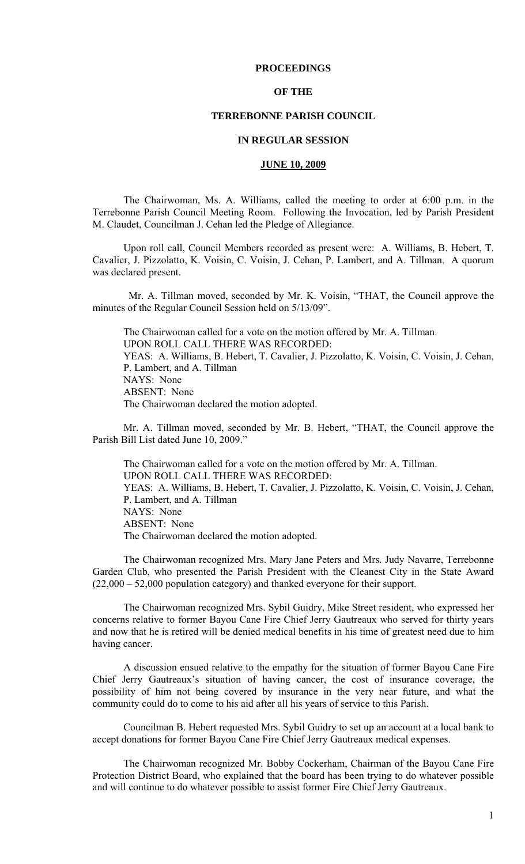# **PROCEEDINGS**

## **OF THE**

# **TERREBONNE PARISH COUNCIL**

## **IN REGULAR SESSION**

### **JUNE 10, 2009**

 The Chairwoman, Ms. A. Williams, called the meeting to order at 6:00 p.m. in the Terrebonne Parish Council Meeting Room. Following the Invocation, led by Parish President M. Claudet, Councilman J. Cehan led the Pledge of Allegiance.

Upon roll call, Council Members recorded as present were: A. Williams, B. Hebert, T. Cavalier, J. Pizzolatto, K. Voisin, C. Voisin, J. Cehan, P. Lambert, and A. Tillman. A quorum was declared present.

 Mr. A. Tillman moved, seconded by Mr. K. Voisin, "THAT, the Council approve the minutes of the Regular Council Session held on 5/13/09".

The Chairwoman called for a vote on the motion offered by Mr. A. Tillman. UPON ROLL CALL THERE WAS RECORDED: YEAS: A. Williams, B. Hebert, T. Cavalier, J. Pizzolatto, K. Voisin, C. Voisin, J. Cehan, P. Lambert, and A. Tillman NAYS: None ABSENT: None The Chairwoman declared the motion adopted.

Mr. A. Tillman moved, seconded by Mr. B. Hebert, "THAT, the Council approve the Parish Bill List dated June 10, 2009."

The Chairwoman called for a vote on the motion offered by Mr. A. Tillman. UPON ROLL CALL THERE WAS RECORDED: YEAS: A. Williams, B. Hebert, T. Cavalier, J. Pizzolatto, K. Voisin, C. Voisin, J. Cehan, P. Lambert, and A. Tillman NAYS: None ABSENT: None The Chairwoman declared the motion adopted.

The Chairwoman recognized Mrs. Mary Jane Peters and Mrs. Judy Navarre, Terrebonne Garden Club, who presented the Parish President with the Cleanest City in the State Award (22,000 – 52,000 population category) and thanked everyone for their support.

The Chairwoman recognized Mrs. Sybil Guidry, Mike Street resident, who expressed her concerns relative to former Bayou Cane Fire Chief Jerry Gautreaux who served for thirty years and now that he is retired will be denied medical benefits in his time of greatest need due to him having cancer.

A discussion ensued relative to the empathy for the situation of former Bayou Cane Fire Chief Jerry Gautreaux's situation of having cancer, the cost of insurance coverage, the possibility of him not being covered by insurance in the very near future, and what the community could do to come to his aid after all his years of service to this Parish.

Councilman B. Hebert requested Mrs. Sybil Guidry to set up an account at a local bank to accept donations for former Bayou Cane Fire Chief Jerry Gautreaux medical expenses.

The Chairwoman recognized Mr. Bobby Cockerham, Chairman of the Bayou Cane Fire Protection District Board, who explained that the board has been trying to do whatever possible and will continue to do whatever possible to assist former Fire Chief Jerry Gautreaux.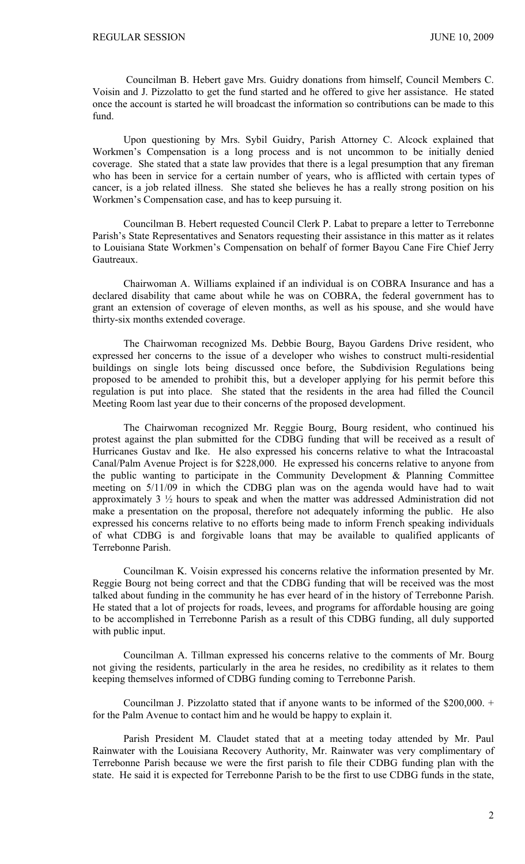Councilman B. Hebert gave Mrs. Guidry donations from himself, Council Members C. Voisin and J. Pizzolatto to get the fund started and he offered to give her assistance. He stated once the account is started he will broadcast the information so contributions can be made to this fund.

Upon questioning by Mrs. Sybil Guidry, Parish Attorney C. Alcock explained that Workmen's Compensation is a long process and is not uncommon to be initially denied coverage. She stated that a state law provides that there is a legal presumption that any fireman who has been in service for a certain number of years, who is afflicted with certain types of cancer, is a job related illness. She stated she believes he has a really strong position on his Workmen's Compensation case, and has to keep pursuing it.

Councilman B. Hebert requested Council Clerk P. Labat to prepare a letter to Terrebonne Parish's State Representatives and Senators requesting their assistance in this matter as it relates to Louisiana State Workmen's Compensation on behalf of former Bayou Cane Fire Chief Jerry Gautreaux.

Chairwoman A. Williams explained if an individual is on COBRA Insurance and has a declared disability that came about while he was on COBRA, the federal government has to grant an extension of coverage of eleven months, as well as his spouse, and she would have thirty-six months extended coverage.

The Chairwoman recognized Ms. Debbie Bourg, Bayou Gardens Drive resident, who expressed her concerns to the issue of a developer who wishes to construct multi-residential buildings on single lots being discussed once before, the Subdivision Regulations being proposed to be amended to prohibit this, but a developer applying for his permit before this regulation is put into place. She stated that the residents in the area had filled the Council Meeting Room last year due to their concerns of the proposed development.

The Chairwoman recognized Mr. Reggie Bourg, Bourg resident, who continued his protest against the plan submitted for the CDBG funding that will be received as a result of Hurricanes Gustav and Ike. He also expressed his concerns relative to what the Intracoastal Canal/Palm Avenue Project is for \$228,000. He expressed his concerns relative to anyone from the public wanting to participate in the Community Development & Planning Committee meeting on 5/11/09 in which the CDBG plan was on the agenda would have had to wait approximately 3 ½ hours to speak and when the matter was addressed Administration did not make a presentation on the proposal, therefore not adequately informing the public. He also expressed his concerns relative to no efforts being made to inform French speaking individuals of what CDBG is and forgivable loans that may be available to qualified applicants of Terrebonne Parish.

Councilman K. Voisin expressed his concerns relative the information presented by Mr. Reggie Bourg not being correct and that the CDBG funding that will be received was the most talked about funding in the community he has ever heard of in the history of Terrebonne Parish. He stated that a lot of projects for roads, levees, and programs for affordable housing are going to be accomplished in Terrebonne Parish as a result of this CDBG funding, all duly supported with public input.

Councilman A. Tillman expressed his concerns relative to the comments of Mr. Bourg not giving the residents, particularly in the area he resides, no credibility as it relates to them keeping themselves informed of CDBG funding coming to Terrebonne Parish.

Councilman J. Pizzolatto stated that if anyone wants to be informed of the \$200,000. + for the Palm Avenue to contact him and he would be happy to explain it.

Parish President M. Claudet stated that at a meeting today attended by Mr. Paul Rainwater with the Louisiana Recovery Authority, Mr. Rainwater was very complimentary of Terrebonne Parish because we were the first parish to file their CDBG funding plan with the state. He said it is expected for Terrebonne Parish to be the first to use CDBG funds in the state,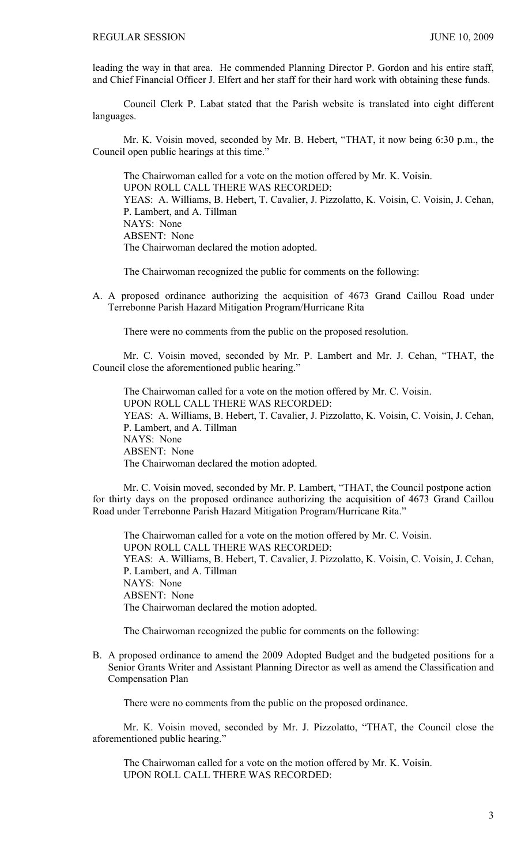leading the way in that area. He commended Planning Director P. Gordon and his entire staff, and Chief Financial Officer J. Elfert and her staff for their hard work with obtaining these funds.

 Council Clerk P. Labat stated that the Parish website is translated into eight different languages.

 Mr. K. Voisin moved, seconded by Mr. B. Hebert, "THAT, it now being 6:30 p.m., the Council open public hearings at this time."

 The Chairwoman called for a vote on the motion offered by Mr. K. Voisin. UPON ROLL CALL THERE WAS RECORDED: YEAS: A. Williams, B. Hebert, T. Cavalier, J. Pizzolatto, K. Voisin, C. Voisin, J. Cehan, P. Lambert, and A. Tillman NAYS: None ABSENT: None The Chairwoman declared the motion adopted.

The Chairwoman recognized the public for comments on the following:

A. A proposed ordinance authorizing the acquisition of 4673 Grand Caillou Road under Terrebonne Parish Hazard Mitigation Program/Hurricane Rita

There were no comments from the public on the proposed resolution.

 Mr. C. Voisin moved, seconded by Mr. P. Lambert and Mr. J. Cehan, "THAT, the Council close the aforementioned public hearing."

 The Chairwoman called for a vote on the motion offered by Mr. C. Voisin. UPON ROLL CALL THERE WAS RECORDED: YEAS: A. Williams, B. Hebert, T. Cavalier, J. Pizzolatto, K. Voisin, C. Voisin, J. Cehan, P. Lambert, and A. Tillman NAYS: None ABSENT: None The Chairwoman declared the motion adopted.

Mr. C. Voisin moved, seconded by Mr. P. Lambert, "THAT, the Council postpone action for thirty days on the proposed ordinance authorizing the acquisition of 4673 Grand Caillou Road under Terrebonne Parish Hazard Mitigation Program/Hurricane Rita."

 The Chairwoman called for a vote on the motion offered by Mr. C. Voisin. UPON ROLL CALL THERE WAS RECORDED: YEAS: A. Williams, B. Hebert, T. Cavalier, J. Pizzolatto, K. Voisin, C. Voisin, J. Cehan, P. Lambert, and A. Tillman NAYS: None ABSENT: None The Chairwoman declared the motion adopted.

The Chairwoman recognized the public for comments on the following:

B. A proposed ordinance to amend the 2009 Adopted Budget and the budgeted positions for a Senior Grants Writer and Assistant Planning Director as well as amend the Classification and Compensation Plan

There were no comments from the public on the proposed ordinance.

 Mr. K. Voisin moved, seconded by Mr. J. Pizzolatto, "THAT, the Council close the aforementioned public hearing."

 The Chairwoman called for a vote on the motion offered by Mr. K. Voisin. UPON ROLL CALL THERE WAS RECORDED: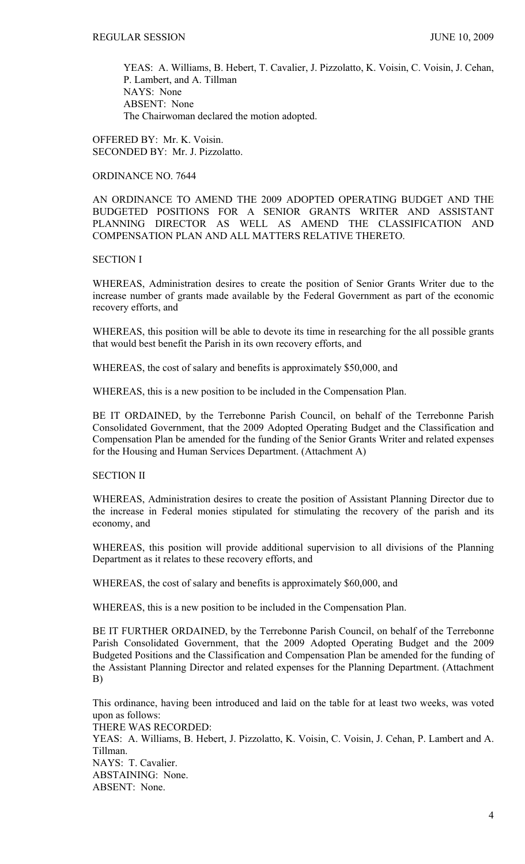YEAS: A. Williams, B. Hebert, T. Cavalier, J. Pizzolatto, K. Voisin, C. Voisin, J. Cehan, P. Lambert, and A. Tillman NAYS: None ABSENT: None The Chairwoman declared the motion adopted.

OFFERED BY: Mr. K. Voisin. SECONDED BY: Mr. J. Pizzolatto.

# ORDINANCE NO. 7644

AN ORDINANCE TO AMEND THE 2009 ADOPTED OPERATING BUDGET AND THE BUDGETED POSITIONS FOR A SENIOR GRANTS WRITER AND ASSISTANT PLANNING DIRECTOR AS WELL AS AMEND THE CLASSIFICATION AND COMPENSATION PLAN AND ALL MATTERS RELATIVE THERETO.

# SECTION I

WHEREAS, Administration desires to create the position of Senior Grants Writer due to the increase number of grants made available by the Federal Government as part of the economic recovery efforts, and

WHEREAS, this position will be able to devote its time in researching for the all possible grants that would best benefit the Parish in its own recovery efforts, and

WHEREAS, the cost of salary and benefits is approximately \$50,000, and

WHEREAS, this is a new position to be included in the Compensation Plan.

BE IT ORDAINED, by the Terrebonne Parish Council, on behalf of the Terrebonne Parish Consolidated Government, that the 2009 Adopted Operating Budget and the Classification and Compensation Plan be amended for the funding of the Senior Grants Writer and related expenses for the Housing and Human Services Department. (Attachment A)

# SECTION II

WHEREAS, Administration desires to create the position of Assistant Planning Director due to the increase in Federal monies stipulated for stimulating the recovery of the parish and its economy, and

WHEREAS, this position will provide additional supervision to all divisions of the Planning Department as it relates to these recovery efforts, and

WHEREAS, the cost of salary and benefits is approximately \$60,000, and

WHEREAS, this is a new position to be included in the Compensation Plan.

BE IT FURTHER ORDAINED, by the Terrebonne Parish Council, on behalf of the Terrebonne Parish Consolidated Government, that the 2009 Adopted Operating Budget and the 2009 Budgeted Positions and the Classification and Compensation Plan be amended for the funding of the Assistant Planning Director and related expenses for the Planning Department. (Attachment B)

This ordinance, having been introduced and laid on the table for at least two weeks, was voted upon as follows: THERE WAS RECORDED: YEAS: A. Williams, B. Hebert, J. Pizzolatto, K. Voisin, C. Voisin, J. Cehan, P. Lambert and A. Tillman. NAYS: T. Cavalier. ABSTAINING: None. ABSENT: None.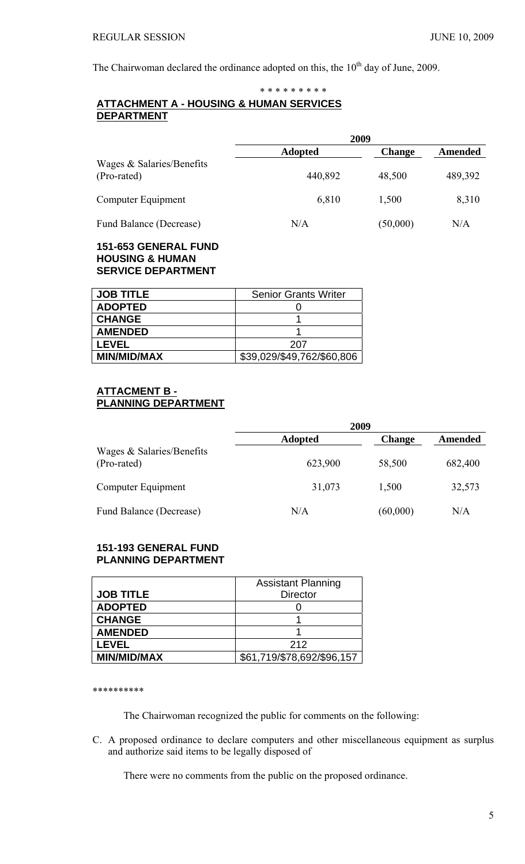The Chairwoman declared the ordinance adopted on this, the  $10<sup>th</sup>$  day of June, 2009.

# \* \* \* \* \* \* \* \* \* **ATTACHMENT A - HOUSING & HUMAN SERVICES DEPARTMENT**

|                                          | 2009           |               |                |
|------------------------------------------|----------------|---------------|----------------|
|                                          | <b>Adopted</b> | <b>Change</b> | <b>Amended</b> |
| Wages & Salaries/Benefits<br>(Pro-rated) | 440,892        | 48,500        | 489,392        |
| Computer Equipment                       | 6,810          | 1,500         | 8,310          |
| Fund Balance (Decrease)                  | N/A            | (50,000)      | N/A            |

# **151-653 GENERAL FUND HOUSING & HUMAN SERVICE DEPARTMENT**

| <b>JOB TITLE</b>   | <b>Senior Grants Writer</b> |
|--------------------|-----------------------------|
| <b>ADOPTED</b>     |                             |
| <b>CHANGE</b>      |                             |
| <b>AMENDED</b>     |                             |
| <b>LEVEL</b>       | 207                         |
| <b>MIN/MID/MAX</b> | \$39,029/\$49,762/\$60,806  |

# **ATTACMENT B - PLANNING DEPARTMENT**

|                                            | 2009           |               |         |
|--------------------------------------------|----------------|---------------|---------|
|                                            | <b>Adopted</b> | <b>Change</b> | Amended |
| Wages $& Salaries/Benefits$<br>(Pro-rated) | 623,900        | 58,500        | 682,400 |
| Computer Equipment                         | 31,073         | 1,500         | 32,573  |
| Fund Balance (Decrease)                    | N/A            | (60,000)      | N/A     |

# **151-193 GENERAL FUND PLANNING DEPARTMENT**

|                    | <b>Assistant Planning</b>  |
|--------------------|----------------------------|
| <b>JOB TITLE</b>   | <b>Director</b>            |
| <b>ADOPTED</b>     |                            |
| <b>CHANGE</b>      |                            |
| <b>AMENDED</b>     |                            |
| <b>LEVEL</b>       | 212                        |
| <b>MIN/MID/MAX</b> | \$61,719/\$78,692/\$96,157 |

\*\*\*\*\*\*\*\*\*\*

The Chairwoman recognized the public for comments on the following:

C. A proposed ordinance to declare computers and other miscellaneous equipment as surplus and authorize said items to be legally disposed of

There were no comments from the public on the proposed ordinance.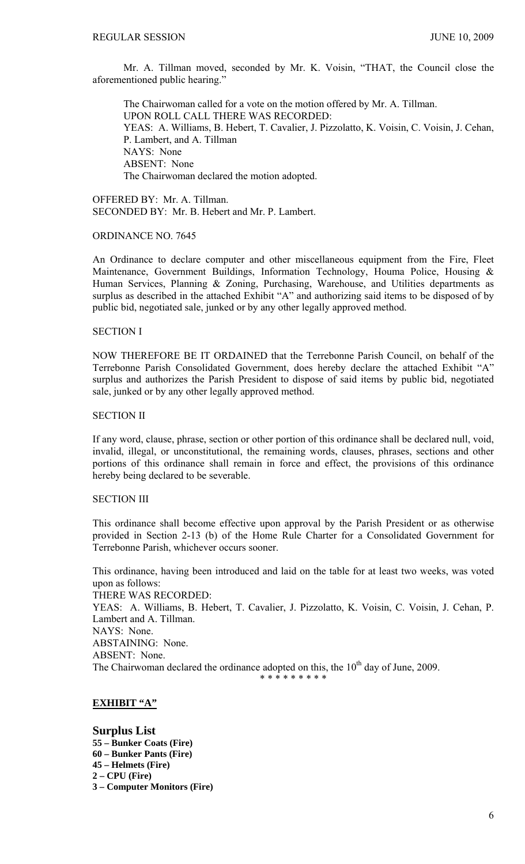Mr. A. Tillman moved, seconded by Mr. K. Voisin, "THAT, the Council close the aforementioned public hearing."

 The Chairwoman called for a vote on the motion offered by Mr. A. Tillman. UPON ROLL CALL THERE WAS RECORDED: YEAS: A. Williams, B. Hebert, T. Cavalier, J. Pizzolatto, K. Voisin, C. Voisin, J. Cehan, P. Lambert, and A. Tillman NAYS: None ABSENT: None The Chairwoman declared the motion adopted.

OFFERED BY: Mr. A. Tillman. SECONDED BY: Mr. B. Hebert and Mr. P. Lambert.

# ORDINANCE NO. 7645

An Ordinance to declare computer and other miscellaneous equipment from the Fire, Fleet Maintenance, Government Buildings, Information Technology, Houma Police, Housing & Human Services, Planning & Zoning, Purchasing, Warehouse, and Utilities departments as surplus as described in the attached Exhibit "A" and authorizing said items to be disposed of by public bid, negotiated sale, junked or by any other legally approved method.

### SECTION I

NOW THEREFORE BE IT ORDAINED that the Terrebonne Parish Council, on behalf of the Terrebonne Parish Consolidated Government, does hereby declare the attached Exhibit "A" surplus and authorizes the Parish President to dispose of said items by public bid, negotiated sale, junked or by any other legally approved method.

# SECTION II

If any word, clause, phrase, section or other portion of this ordinance shall be declared null, void, invalid, illegal, or unconstitutional, the remaining words, clauses, phrases, sections and other portions of this ordinance shall remain in force and effect, the provisions of this ordinance hereby being declared to be severable.

### SECTION III

This ordinance shall become effective upon approval by the Parish President or as otherwise provided in Section 2-13 (b) of the Home Rule Charter for a Consolidated Government for Terrebonne Parish, whichever occurs sooner.

This ordinance, having been introduced and laid on the table for at least two weeks, was voted upon as follows: THERE WAS RECORDED:

YEAS: A. Williams, B. Hebert, T. Cavalier, J. Pizzolatto, K. Voisin, C. Voisin, J. Cehan, P. Lambert and A. Tillman.

NAYS: None.

ABSTAINING: None.

ABSENT: None.

The Chairwoman declared the ordinance adopted on this, the 10<sup>th</sup> day of June, 2009.

# \* \* \* \* \* \* \* \* \*

# **EXHIBIT "A"**

**Surplus List 55 – Bunker Coats (Fire) 60 – Bunker Pants (Fire) 45 – Helmets (Fire) 2 – CPU (Fire) 3 – Computer Monitors (Fire)**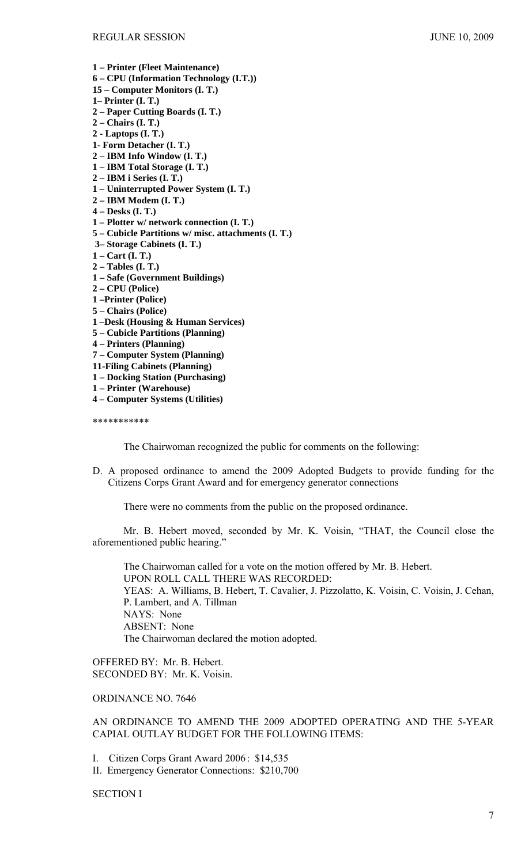- **1 Printer (Fleet Maintenance)**
- **6 CPU (Information Technology (I.T.))**
- **15 Computer Monitors (I. T.)**
- **1– Printer (I. T.)**
- **2 Paper Cutting Boards (I. T.)**
- **2 Chairs (I. T.)**
- **2 Laptops (I. T.)**
- **1- Form Detacher (I. T.)**
- **2 IBM Info Window (I. T.)**
- **1 IBM Total Storage (I. T.)**
- **2 IBM i Series (I. T.)**
- **1 Uninterrupted Power System (I. T.)**
- **2 IBM Modem (I. T.)**
- **4 Desks (I. T.)**
- **1 Plotter w/ network connection (I. T.)**
- **5 Cubicle Partitions w/ misc. attachments (I. T.)**
- **3– Storage Cabinets (I. T.)**
- **1 Cart (I. T.)**
- **2 Tables (I. T.)**
- **1 Safe (Government Buildings)**
- **2 CPU (Police)**
- **1 –Printer (Police)**
- **5 Chairs (Police)**
- **1 –Desk (Housing & Human Services)**
- **5 Cubicle Partitions (Planning)**
- **4 Printers (Planning)**
- **7 Computer System (Planning)**
- **11-Filing Cabinets (Planning)**
- **1 Docking Station (Purchasing)**
- **1 Printer (Warehouse)**
- **4 Computer Systems (Utilities)**

\*\*\*\*\*\*\*\*\*\*\*

The Chairwoman recognized the public for comments on the following:

D. A proposed ordinance to amend the 2009 Adopted Budgets to provide funding for the Citizens Corps Grant Award and for emergency generator connections

There were no comments from the public on the proposed ordinance.

 Mr. B. Hebert moved, seconded by Mr. K. Voisin, "THAT, the Council close the aforementioned public hearing."

 The Chairwoman called for a vote on the motion offered by Mr. B. Hebert. UPON ROLL CALL THERE WAS RECORDED: YEAS: A. Williams, B. Hebert, T. Cavalier, J. Pizzolatto, K. Voisin, C. Voisin, J. Cehan, P. Lambert, and A. Tillman NAYS: None ABSENT: None The Chairwoman declared the motion adopted.

OFFERED BY: Mr. B. Hebert. SECONDED BY: Mr. K. Voisin.

# ORDINANCE NO. 7646

AN ORDINANCE TO AMEND THE 2009 ADOPTED OPERATING AND THE 5-YEAR CAPIAL OUTLAY BUDGET FOR THE FOLLOWING ITEMS:

I. Citizen Corps Grant Award 2006 : \$14,535

II. Emergency Generator Connections: \$210,700

#### SECTION I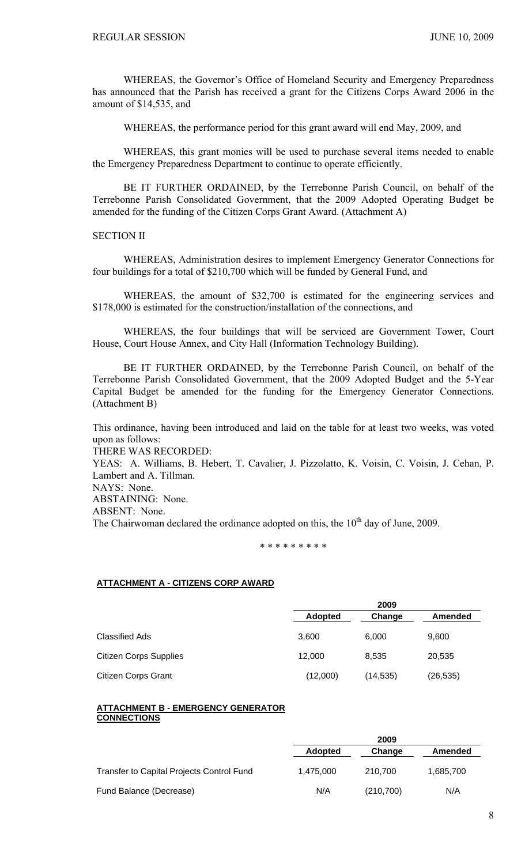WHEREAS, the Governor's Office of Homeland Security and Emergency Preparedness has announced that the Parish has received a grant for the Citizens Corps Award 2006 in the amount of \$14,535, and

WHEREAS, the performance period for this grant award will end May, 2009, and

WHEREAS, this grant monies will be used to purchase several items needed to enable the Emergency Preparedness Department to continue to operate efficiently.

 BE IT FURTHER ORDAINED, by the Terrebonne Parish Council, on behalf of the Terrebonne Parish Consolidated Government, that the 2009 Adopted Operating Budget be amended for the funding of the Citizen Corps Grant Award. (Attachment A)

### SECTION II

 WHEREAS, Administration desires to implement Emergency Generator Connections for four buildings for a total of \$210,700 which will be funded by General Fund, and

 WHEREAS, the amount of \$32,700 is estimated for the engineering services and \$178,000 is estimated for the construction/installation of the connections, and

WHEREAS, the four buildings that will be serviced are Government Tower, Court House, Court House Annex, and City Hall (Information Technology Building).

 BE IT FURTHER ORDAINED, by the Terrebonne Parish Council, on behalf of the Terrebonne Parish Consolidated Government, that the 2009 Adopted Budget and the 5-Year Capital Budget be amended for the funding for the Emergency Generator Connections. (Attachment B)

This ordinance, having been introduced and laid on the table for at least two weeks, was voted upon as follows:

THERE WAS RECORDED:

YEAS: A. Williams, B. Hebert, T. Cavalier, J. Pizzolatto, K. Voisin, C. Voisin, J. Cehan, P. Lambert and A. Tillman.

NAYS: None.

ABSTAINING: None. ABSENT: None. The Chairwoman declared the ordinance adopted on this, the  $10<sup>th</sup>$  day of June, 2009.

#### \* \* \* \* \* \* \* \* \*

#### **ATTACHMENT A - CITIZENS CORP AWARD**

|                               |                | 2009      |                |
|-------------------------------|----------------|-----------|----------------|
|                               | <b>Adopted</b> | Change    | <b>Amended</b> |
| Classified Ads                | 3,600          | 6,000     | 9,600          |
| <b>Citizen Corps Supplies</b> | 12,000         | 8.535     | 20,535         |
| <b>Citizen Corps Grant</b>    | (12,000)       | (14, 535) | (26, 535)      |

#### **ATTACHMENT B - EMERGENCY GENERATOR CONNECTIONS**

|                                           |                | ----       |           |
|-------------------------------------------|----------------|------------|-----------|
|                                           | <b>Adopted</b> | Change     | Amended   |
| Transfer to Capital Projects Control Fund | 1.475.000      | 210.700    | 1,685,700 |
| Fund Balance (Decrease)                   | N/A            | (210, 700) | N/A       |

**2009**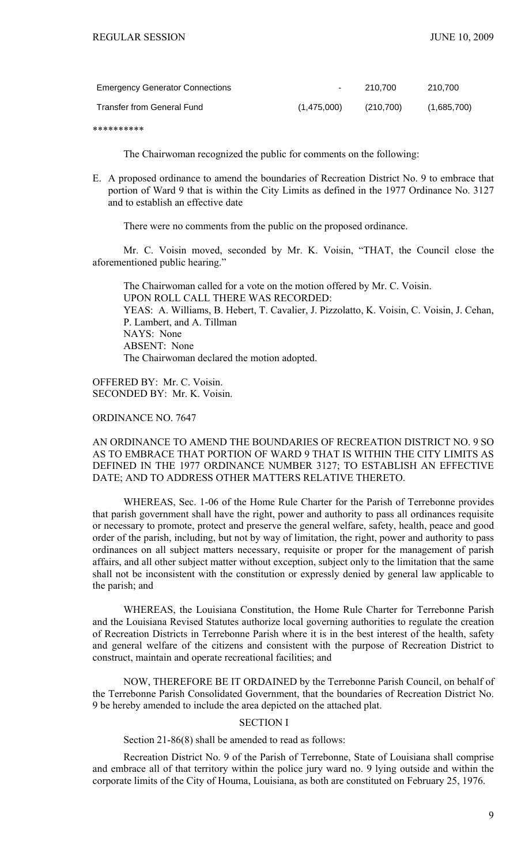| <b>Emergency Generator Connections</b> | $\sim$      | 210.700   | 210.700     |
|----------------------------------------|-------------|-----------|-------------|
| Transfer from General Fund             | (1,475,000) | (210.700) | (1,685,700) |

\*\*\*\*\*\*\*\*\*\*

The Chairwoman recognized the public for comments on the following:

E. A proposed ordinance to amend the boundaries of Recreation District No. 9 to embrace that portion of Ward 9 that is within the City Limits as defined in the 1977 Ordinance No. 3127 and to establish an effective date

There were no comments from the public on the proposed ordinance.

 Mr. C. Voisin moved, seconded by Mr. K. Voisin, "THAT, the Council close the aforementioned public hearing."

 The Chairwoman called for a vote on the motion offered by Mr. C. Voisin. UPON ROLL CALL THERE WAS RECORDED: YEAS: A. Williams, B. Hebert, T. Cavalier, J. Pizzolatto, K. Voisin, C. Voisin, J. Cehan, P. Lambert, and A. Tillman NAYS: None ABSENT: None The Chairwoman declared the motion adopted.

OFFERED BY: Mr. C. Voisin. SECONDED BY: Mr. K. Voisin.

# ORDINANCE NO. 7647

# AN ORDINANCE TO AMEND THE BOUNDARIES OF RECREATION DISTRICT NO. 9 SO AS TO EMBRACE THAT PORTION OF WARD 9 THAT IS WITHIN THE CITY LIMITS AS DEFINED IN THE 1977 ORDINANCE NUMBER 3127; TO ESTABLISH AN EFFECTIVE DATE; AND TO ADDRESS OTHER MATTERS RELATIVE THERETO.

WHEREAS, Sec. 1-06 of the Home Rule Charter for the Parish of Terrebonne provides that parish government shall have the right, power and authority to pass all ordinances requisite or necessary to promote, protect and preserve the general welfare, safety, health, peace and good order of the parish, including, but not by way of limitation, the right, power and authority to pass ordinances on all subject matters necessary, requisite or proper for the management of parish affairs, and all other subject matter without exception, subject only to the limitation that the same shall not be inconsistent with the constitution or expressly denied by general law applicable to the parish; and

WHEREAS, the Louisiana Constitution, the Home Rule Charter for Terrebonne Parish and the Louisiana Revised Statutes authorize local governing authorities to regulate the creation of Recreation Districts in Terrebonne Parish where it is in the best interest of the health, safety and general welfare of the citizens and consistent with the purpose of Recreation District to construct, maintain and operate recreational facilities; and

NOW, THEREFORE BE IT ORDAINED by the Terrebonne Parish Council, on behalf of the Terrebonne Parish Consolidated Government, that the boundaries of Recreation District No. 9 be hereby amended to include the area depicted on the attached plat.

# SECTION I

Section 21-86(8) shall be amended to read as follows:

Recreation District No. 9 of the Parish of Terrebonne, State of Louisiana shall comprise and embrace all of that territory within the police jury ward no. 9 lying outside and within the corporate limits of the City of Houma, Louisiana, as both are constituted on February 25, 1976.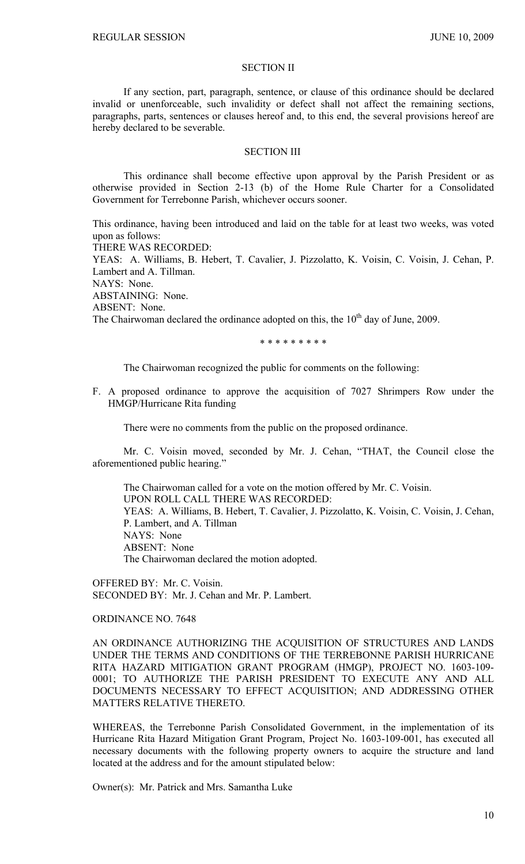### SECTION II

If any section, part, paragraph, sentence, or clause of this ordinance should be declared invalid or unenforceable, such invalidity or defect shall not affect the remaining sections, paragraphs, parts, sentences or clauses hereof and, to this end, the several provisions hereof are hereby declared to be severable.

#### SECTION III

This ordinance shall become effective upon approval by the Parish President or as otherwise provided in Section 2-13 (b) of the Home Rule Charter for a Consolidated Government for Terrebonne Parish, whichever occurs sooner.

This ordinance, having been introduced and laid on the table for at least two weeks, was voted upon as follows:

THERE WAS RECORDED:

YEAS: A. Williams, B. Hebert, T. Cavalier, J. Pizzolatto, K. Voisin, C. Voisin, J. Cehan, P. Lambert and A. Tillman.

NAYS: None.

ABSTAINING: None.

ABSENT: None.

The Chairwoman declared the ordinance adopted on this, the 10<sup>th</sup> day of June, 2009.

\* \* \* \* \* \* \* \* \*

The Chairwoman recognized the public for comments on the following:

F. A proposed ordinance to approve the acquisition of 7027 Shrimpers Row under the HMGP/Hurricane Rita funding

There were no comments from the public on the proposed ordinance.

 Mr. C. Voisin moved, seconded by Mr. J. Cehan, "THAT, the Council close the aforementioned public hearing."

 The Chairwoman called for a vote on the motion offered by Mr. C. Voisin. UPON ROLL CALL THERE WAS RECORDED: YEAS: A. Williams, B. Hebert, T. Cavalier, J. Pizzolatto, K. Voisin, C. Voisin, J. Cehan, P. Lambert, and A. Tillman NAYS: None ABSENT: None The Chairwoman declared the motion adopted.

OFFERED BY: Mr. C. Voisin. SECONDED BY: Mr. J. Cehan and Mr. P. Lambert.

ORDINANCE NO. 7648

AN ORDINANCE AUTHORIZING THE ACOUISITION OF STRUCTURES AND LANDS UNDER THE TERMS AND CONDITIONS OF THE TERREBONNE PARISH HURRICANE RITA HAZARD MITIGATION GRANT PROGRAM (HMGP), PROJECT NO. 1603-109- 0001; TO AUTHORIZE THE PARISH PRESIDENT TO EXECUTE ANY AND ALL DOCUMENTS NECESSARY TO EFFECT ACQUISITION; AND ADDRESSING OTHER MATTERS RELATIVE THERETO.

WHEREAS, the Terrebonne Parish Consolidated Government, in the implementation of its Hurricane Rita Hazard Mitigation Grant Program, Project No. 1603-109-001, has executed all necessary documents with the following property owners to acquire the structure and land located at the address and for the amount stipulated below:

Owner(s): Mr. Patrick and Mrs. Samantha Luke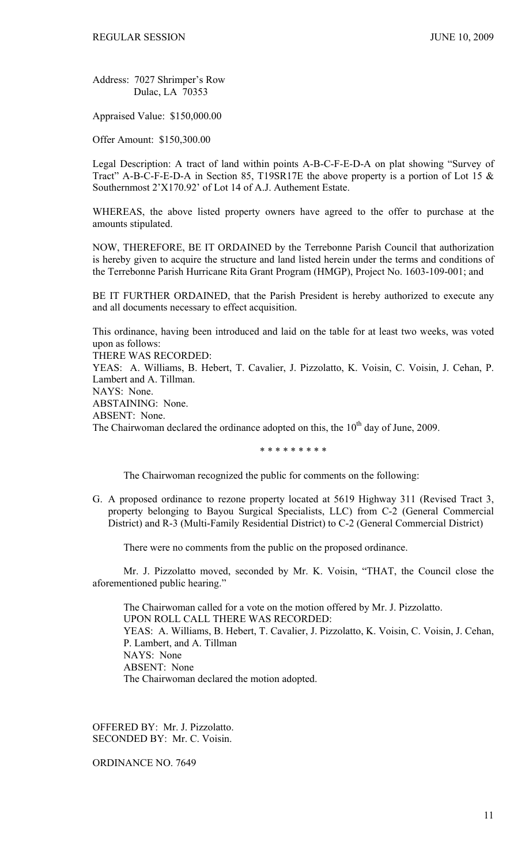Address: 7027 Shrimper's Row Dulac, LA 70353

Appraised Value: \$150,000.00

Offer Amount: \$150,300.00

Legal Description: A tract of land within points A-B-C-F-E-D-A on plat showing "Survey of Tract" A-B-C-F-E-D-A in Section 85, T19SR17E the above property is a portion of Lot 15 & Southernmost 2'X170.92' of Lot 14 of A.J. Authement Estate.

WHEREAS, the above listed property owners have agreed to the offer to purchase at the amounts stipulated.

NOW, THEREFORE, BE IT ORDAINED by the Terrebonne Parish Council that authorization is hereby given to acquire the structure and land listed herein under the terms and conditions of the Terrebonne Parish Hurricane Rita Grant Program (HMGP), Project No. 1603-109-001; and

BE IT FURTHER ORDAINED, that the Parish President is hereby authorized to execute any and all documents necessary to effect acquisition.

This ordinance, having been introduced and laid on the table for at least two weeks, was voted upon as follows:

THERE WAS RECORDED:

YEAS: A. Williams, B. Hebert, T. Cavalier, J. Pizzolatto, K. Voisin, C. Voisin, J. Cehan, P. Lambert and A. Tillman. NAYS: None.

ABSTAINING: None. ABSENT: None. The Chairwoman declared the ordinance adopted on this, the  $10<sup>th</sup>$  day of June, 2009.

\* \* \* \* \* \* \* \* \*

The Chairwoman recognized the public for comments on the following:

G. A proposed ordinance to rezone property located at 5619 Highway 311 (Revised Tract 3, property belonging to Bayou Surgical Specialists, LLC) from C-2 (General Commercial District) and R-3 (Multi-Family Residential District) to C-2 (General Commercial District)

There were no comments from the public on the proposed ordinance.

 Mr. J. Pizzolatto moved, seconded by Mr. K. Voisin, "THAT, the Council close the aforementioned public hearing."

 The Chairwoman called for a vote on the motion offered by Mr. J. Pizzolatto. UPON ROLL CALL THERE WAS RECORDED: YEAS: A. Williams, B. Hebert, T. Cavalier, J. Pizzolatto, K. Voisin, C. Voisin, J. Cehan, P. Lambert, and A. Tillman NAYS: None ABSENT: None The Chairwoman declared the motion adopted.

OFFERED BY: Mr. J. Pizzolatto. SECONDED BY: Mr. C. Voisin.

ORDINANCE NO. 7649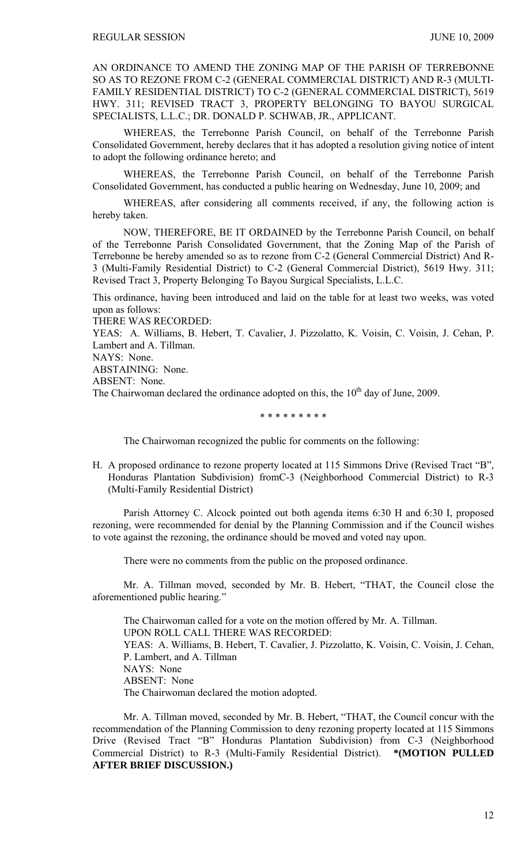AN ORDINANCE TO AMEND THE ZONING MAP OF THE PARISH OF TERREBONNE SO AS TO REZONE FROM C-2 (GENERAL COMMERCIAL DISTRICT) AND R-3 (MULTI-FAMILY RESIDENTIAL DISTRICT) TO C-2 (GENERAL COMMERCIAL DISTRICT), 5619 HWY. 311; REVISED TRACT 3, PROPERTY BELONGING TO BAYOU SURGICAL SPECIALISTS, L.L.C.; DR. DONALD P. SCHWAB, JR., APPLICANT.

WHEREAS, the Terrebonne Parish Council, on behalf of the Terrebonne Parish Consolidated Government, hereby declares that it has adopted a resolution giving notice of intent to adopt the following ordinance hereto; and

WHEREAS, the Terrebonne Parish Council, on behalf of the Terrebonne Parish Consolidated Government, has conducted a public hearing on Wednesday, June 10, 2009; and

WHEREAS, after considering all comments received, if any, the following action is hereby taken.

NOW, THEREFORE, BE IT ORDAINED by the Terrebonne Parish Council, on behalf of the Terrebonne Parish Consolidated Government, that the Zoning Map of the Parish of Terrebonne be hereby amended so as to rezone from C-2 (General Commercial District) And R-3 (Multi-Family Residential District) to C-2 (General Commercial District), 5619 Hwy. 311; Revised Tract 3, Property Belonging To Bayou Surgical Specialists, L.L.C.

This ordinance, having been introduced and laid on the table for at least two weeks, was voted upon as follows:

THERE WAS RECORDED:

YEAS: A. Williams, B. Hebert, T. Cavalier, J. Pizzolatto, K. Voisin, C. Voisin, J. Cehan, P. Lambert and A. Tillman.

NAYS: None.

ABSTAINING: None. ABSENT: None.

The Chairwoman declared the ordinance adopted on this, the  $10<sup>th</sup>$  day of June, 2009.

\* \* \* \* \* \* \* \* \*

The Chairwoman recognized the public for comments on the following:

H. A proposed ordinance to rezone property located at 115 Simmons Drive (Revised Tract "B", Honduras Plantation Subdivision) fromC-3 (Neighborhood Commercial District) to R-3 (Multi-Family Residential District)

 Parish Attorney C. Alcock pointed out both agenda items 6:30 H and 6:30 I, proposed rezoning, were recommended for denial by the Planning Commission and if the Council wishes to vote against the rezoning, the ordinance should be moved and voted nay upon.

There were no comments from the public on the proposed ordinance.

 Mr. A. Tillman moved, seconded by Mr. B. Hebert, "THAT, the Council close the aforementioned public hearing."

 The Chairwoman called for a vote on the motion offered by Mr. A. Tillman. UPON ROLL CALL THERE WAS RECORDED: YEAS: A. Williams, B. Hebert, T. Cavalier, J. Pizzolatto, K. Voisin, C. Voisin, J. Cehan, P. Lambert, and A. Tillman NAYS: None ABSENT: None The Chairwoman declared the motion adopted.

 Mr. A. Tillman moved, seconded by Mr. B. Hebert, "THAT, the Council concur with the recommendation of the Planning Commission to deny rezoning property located at 115 Simmons Drive (Revised Tract "B" Honduras Plantation Subdivision) from C-3 (Neighborhood Commercial District) to R-3 (Multi-Family Residential District). **\*(MOTION PULLED AFTER BRIEF DISCUSSION.)**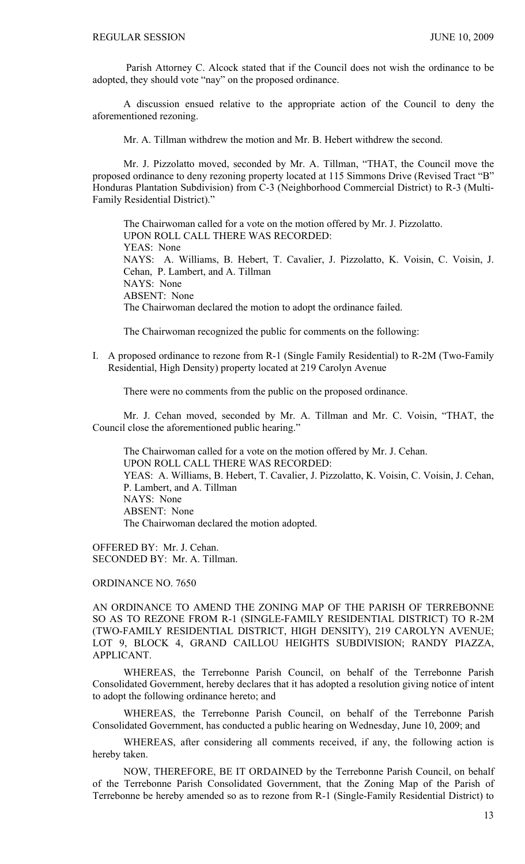Parish Attorney C. Alcock stated that if the Council does not wish the ordinance to be adopted, they should vote "nay" on the proposed ordinance.

 A discussion ensued relative to the appropriate action of the Council to deny the aforementioned rezoning.

Mr. A. Tillman withdrew the motion and Mr. B. Hebert withdrew the second.

 Mr. J. Pizzolatto moved, seconded by Mr. A. Tillman, "THAT, the Council move the proposed ordinance to deny rezoning property located at 115 Simmons Drive (Revised Tract "B" Honduras Plantation Subdivision) from C-3 (Neighborhood Commercial District) to R-3 (Multi-Family Residential District)."

 The Chairwoman called for a vote on the motion offered by Mr. J. Pizzolatto. UPON ROLL CALL THERE WAS RECORDED: YEAS: None NAYS: A. Williams, B. Hebert, T. Cavalier, J. Pizzolatto, K. Voisin, C. Voisin, J. Cehan, P. Lambert, and A. Tillman NAYS: None ABSENT: None The Chairwoman declared the motion to adopt the ordinance failed.

The Chairwoman recognized the public for comments on the following:

I. A proposed ordinance to rezone from R-1 (Single Family Residential) to R-2M (Two-Family Residential, High Density) property located at 219 Carolyn Avenue

There were no comments from the public on the proposed ordinance.

 Mr. J. Cehan moved, seconded by Mr. A. Tillman and Mr. C. Voisin, "THAT, the Council close the aforementioned public hearing."

 The Chairwoman called for a vote on the motion offered by Mr. J. Cehan. UPON ROLL CALL THERE WAS RECORDED: YEAS: A. Williams, B. Hebert, T. Cavalier, J. Pizzolatto, K. Voisin, C. Voisin, J. Cehan, P. Lambert, and A. Tillman NAYS: None ABSENT: None The Chairwoman declared the motion adopted.

OFFERED BY: Mr. J. Cehan. SECONDED BY: Mr. A. Tillman.

ORDINANCE NO. 7650

AN ORDINANCE TO AMEND THE ZONING MAP OF THE PARISH OF TERREBONNE SO AS TO REZONE FROM R-1 (SINGLE-FAMILY RESIDENTIAL DISTRICT) TO R-2M (TWO-FAMILY RESIDENTIAL DISTRICT, HIGH DENSITY), 219 CAROLYN AVENUE; LOT 9, BLOCK 4, GRAND CAILLOU HEIGHTS SUBDIVISION; RANDY PIAZZA, APPLICANT.

WHEREAS, the Terrebonne Parish Council, on behalf of the Terrebonne Parish Consolidated Government, hereby declares that it has adopted a resolution giving notice of intent to adopt the following ordinance hereto; and

WHEREAS, the Terrebonne Parish Council, on behalf of the Terrebonne Parish Consolidated Government, has conducted a public hearing on Wednesday, June 10, 2009; and

WHEREAS, after considering all comments received, if any, the following action is hereby taken.

NOW, THEREFORE, BE IT ORDAINED by the Terrebonne Parish Council, on behalf of the Terrebonne Parish Consolidated Government, that the Zoning Map of the Parish of Terrebonne be hereby amended so as to rezone from R-1 (Single-Family Residential District) to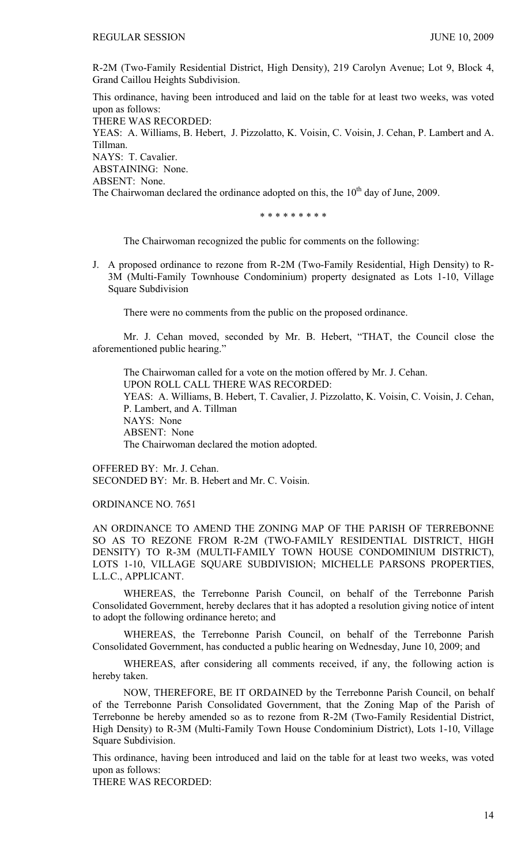R-2M (Two-Family Residential District, High Density), 219 Carolyn Avenue; Lot 9, Block 4, Grand Caillou Heights Subdivision.

This ordinance, having been introduced and laid on the table for at least two weeks, was voted upon as follows:

THERE WAS RECORDED:

YEAS: A. Williams, B. Hebert, J. Pizzolatto, K. Voisin, C. Voisin, J. Cehan, P. Lambert and A. Tillman. NAYS: T. Cavalier.

ABSTAINING: None.

ABSENT: None.

The Chairwoman declared the ordinance adopted on this, the  $10<sup>th</sup>$  day of June, 2009.

\* \* \* \* \* \* \* \* \*

The Chairwoman recognized the public for comments on the following:

J. A proposed ordinance to rezone from R-2M (Two-Family Residential, High Density) to R-3M (Multi-Family Townhouse Condominium) property designated as Lots 1-10, Village Square Subdivision

There were no comments from the public on the proposed ordinance.

 Mr. J. Cehan moved, seconded by Mr. B. Hebert, "THAT, the Council close the aforementioned public hearing."

 The Chairwoman called for a vote on the motion offered by Mr. J. Cehan. UPON ROLL CALL THERE WAS RECORDED: YEAS: A. Williams, B. Hebert, T. Cavalier, J. Pizzolatto, K. Voisin, C. Voisin, J. Cehan, P. Lambert, and A. Tillman NAYS: None ABSENT: None The Chairwoman declared the motion adopted.

OFFERED BY: Mr. J. Cehan. SECONDED BY: Mr. B. Hebert and Mr. C. Voisin.

ORDINANCE NO. 7651

AN ORDINANCE TO AMEND THE ZONING MAP OF THE PARISH OF TERREBONNE SO AS TO REZONE FROM R-2M (TWO-FAMILY RESIDENTIAL DISTRICT, HIGH DENSITY) TO R-3M (MULTI-FAMILY TOWN HOUSE CONDOMINIUM DISTRICT), LOTS 1-10, VILLAGE SQUARE SUBDIVISION; MICHELLE PARSONS PROPERTIES, L.L.C., APPLICANT.

WHEREAS, the Terrebonne Parish Council, on behalf of the Terrebonne Parish Consolidated Government, hereby declares that it has adopted a resolution giving notice of intent to adopt the following ordinance hereto; and

WHEREAS, the Terrebonne Parish Council, on behalf of the Terrebonne Parish Consolidated Government, has conducted a public hearing on Wednesday, June 10, 2009; and

WHEREAS, after considering all comments received, if any, the following action is hereby taken.

NOW, THEREFORE, BE IT ORDAINED by the Terrebonne Parish Council, on behalf of the Terrebonne Parish Consolidated Government, that the Zoning Map of the Parish of Terrebonne be hereby amended so as to rezone from R-2M (Two-Family Residential District, High Density) to R-3M (Multi-Family Town House Condominium District), Lots 1-10, Village Square Subdivision.

This ordinance, having been introduced and laid on the table for at least two weeks, was voted upon as follows:

THERE WAS RECORDED: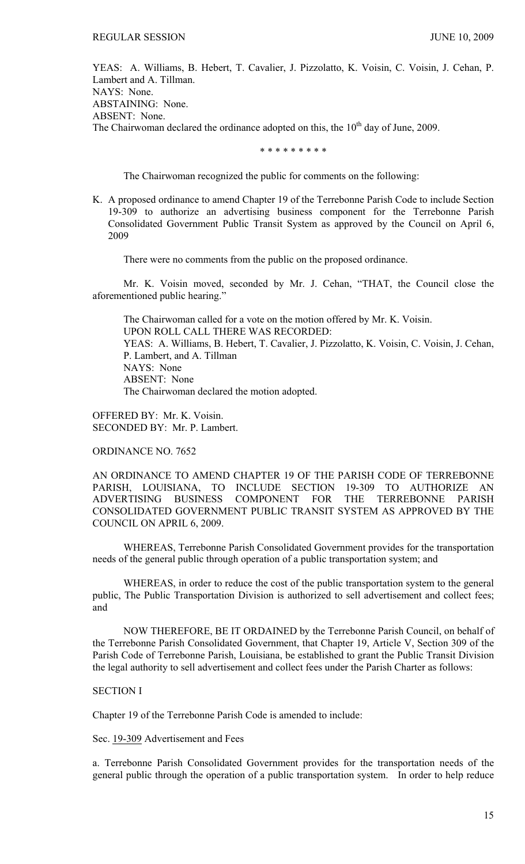YEAS: A. Williams, B. Hebert, T. Cavalier, J. Pizzolatto, K. Voisin, C. Voisin, J. Cehan, P. Lambert and A. Tillman. NAYS: None. ABSTAINING: None. ABSENT: None. The Chairwoman declared the ordinance adopted on this, the  $10<sup>th</sup>$  day of June, 2009.

\* \* \* \* \* \* \* \* \*

The Chairwoman recognized the public for comments on the following:

K. A proposed ordinance to amend Chapter 19 of the Terrebonne Parish Code to include Section 19-309 to authorize an advertising business component for the Terrebonne Parish Consolidated Government Public Transit System as approved by the Council on April 6, 2009

There were no comments from the public on the proposed ordinance.

 Mr. K. Voisin moved, seconded by Mr. J. Cehan, "THAT, the Council close the aforementioned public hearing."

 The Chairwoman called for a vote on the motion offered by Mr. K. Voisin. UPON ROLL CALL THERE WAS RECORDED: YEAS: A. Williams, B. Hebert, T. Cavalier, J. Pizzolatto, K. Voisin, C. Voisin, J. Cehan, P. Lambert, and A. Tillman NAYS: None ABSENT: None The Chairwoman declared the motion adopted.

OFFERED BY: Mr. K. Voisin. SECONDED BY: Mr. P. Lambert.

ORDINANCE NO. 7652

AN ORDINANCE TO AMEND CHAPTER 19 OF THE PARISH CODE OF TERREBONNE PARISH, LOUISIANA, TO INCLUDE SECTION 19-309 TO AUTHORIZE AN ADVERTISING BUSINESS COMPONENT FOR THE TERREBONNE PARISH CONSOLIDATED GOVERNMENT PUBLIC TRANSIT SYSTEM AS APPROVED BY THE COUNCIL ON APRIL 6, 2009.

 WHEREAS, Terrebonne Parish Consolidated Government provides for the transportation needs of the general public through operation of a public transportation system; and

 WHEREAS, in order to reduce the cost of the public transportation system to the general public, The Public Transportation Division is authorized to sell advertisement and collect fees; and

 NOW THEREFORE, BE IT ORDAINED by the Terrebonne Parish Council, on behalf of the Terrebonne Parish Consolidated Government, that Chapter 19, Article V, Section 309 of the Parish Code of Terrebonne Parish, Louisiana, be established to grant the Public Transit Division the legal authority to sell advertisement and collect fees under the Parish Charter as follows:

## SECTION I

Chapter 19 of the Terrebonne Parish Code is amended to include:

Sec. 19-309 Advertisement and Fees

a. Terrebonne Parish Consolidated Government provides for the transportation needs of the general public through the operation of a public transportation system. In order to help reduce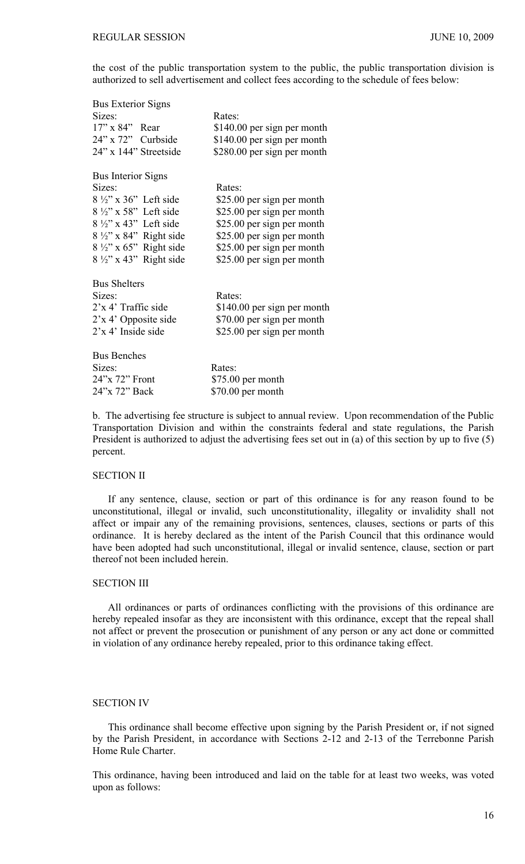the cost of the public transportation system to the public, the public transportation division is authorized to sell advertisement and collect fees according to the schedule of fees below:

| <b>Bus Exterior Signs</b>         |                             |
|-----------------------------------|-----------------------------|
| Sizes:                            | Rates:                      |
| $17"$ x $84"$ Rear                | \$140.00 per sign per month |
| 24" x 72" Curbside                | \$140.00 per sign per month |
| 24" x 144" Streetside             | \$280.00 per sign per month |
| <b>Bus Interior Signs</b>         |                             |
| Sizes:                            | Rates:                      |
| $8\frac{1}{2}$ " x 36" Left side  | \$25.00 per sign per month  |
| $8\frac{1}{2}$ " x 58" Left side  | \$25.00 per sign per month  |
| $8\frac{1}{2}$ " x 43" Left side  | \$25.00 per sign per month  |
| $8\frac{1}{2}$ " x 84" Right side | \$25.00 per sign per month  |
| $8\frac{1}{2}$ " x 65" Right side | \$25.00 per sign per month  |
| $8\frac{1}{2}$ " x 43" Right side | \$25.00 per sign per month  |
| <b>Bus Shelters</b>               |                             |
| Sizes:                            | Rates:                      |
| $2x 4$ Traffic side               | \$140.00 per sign per month |
| $2x 4'$ Opposite side             | \$70.00 per sign per month  |
| 2'x 4' Inside side                | \$25.00 per sign per month  |
| <b>Bus Benches</b>                |                             |
| Sizes:                            | Rates:                      |
| 24"x 72" Front                    | \$75.00 per month           |
| 24"x 72" Back                     | \$70.00 per month           |

b. The advertising fee structure is subject to annual review. Upon recommendation of the Public Transportation Division and within the constraints federal and state regulations, the Parish President is authorized to adjust the advertising fees set out in (a) of this section by up to five (5) percent.

# SECTION II

 If any sentence, clause, section or part of this ordinance is for any reason found to be unconstitutional, illegal or invalid, such unconstitutionality, illegality or invalidity shall not affect or impair any of the remaining provisions, sentences, clauses, sections or parts of this ordinance. It is hereby declared as the intent of the Parish Council that this ordinance would have been adopted had such unconstitutional, illegal or invalid sentence, clause, section or part thereof not been included herein.

# SECTION III

 All ordinances or parts of ordinances conflicting with the provisions of this ordinance are hereby repealed insofar as they are inconsistent with this ordinance, except that the repeal shall not affect or prevent the prosecution or punishment of any person or any act done or committed in violation of any ordinance hereby repealed, prior to this ordinance taking effect.

## SECTION IV

 This ordinance shall become effective upon signing by the Parish President or, if not signed by the Parish President, in accordance with Sections 2-12 and 2-13 of the Terrebonne Parish Home Rule Charter.

This ordinance, having been introduced and laid on the table for at least two weeks, was voted upon as follows: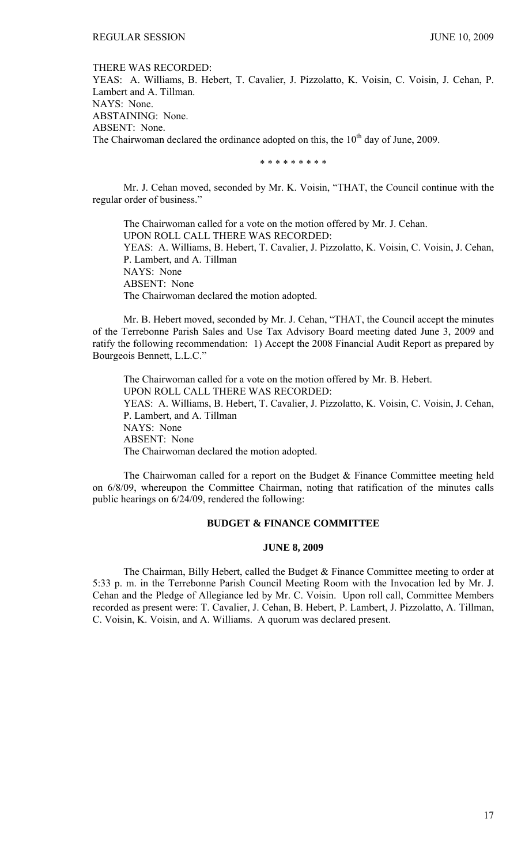#### THERE WAS RECORDED:

YEAS: A. Williams, B. Hebert, T. Cavalier, J. Pizzolatto, K. Voisin, C. Voisin, J. Cehan, P. Lambert and A. Tillman. NAYS: None. ABSTAINING: None. ABSENT: None. The Chairwoman declared the ordinance adopted on this, the  $10<sup>th</sup>$  day of June, 2009.

\* \* \* \* \* \* \* \* \*

Mr. J. Cehan moved, seconded by Mr. K. Voisin, "THAT, the Council continue with the regular order of business."

 The Chairwoman called for a vote on the motion offered by Mr. J. Cehan. UPON ROLL CALL THERE WAS RECORDED: YEAS: A. Williams, B. Hebert, T. Cavalier, J. Pizzolatto, K. Voisin, C. Voisin, J. Cehan, P. Lambert, and A. Tillman NAYS: None ABSENT: None The Chairwoman declared the motion adopted.

 Mr. B. Hebert moved, seconded by Mr. J. Cehan, "THAT, the Council accept the minutes of the Terrebonne Parish Sales and Use Tax Advisory Board meeting dated June 3, 2009 and ratify the following recommendation: 1) Accept the 2008 Financial Audit Report as prepared by Bourgeois Bennett, L.L.C."

 The Chairwoman called for a vote on the motion offered by Mr. B. Hebert. UPON ROLL CALL THERE WAS RECORDED: YEAS: A. Williams, B. Hebert, T. Cavalier, J. Pizzolatto, K. Voisin, C. Voisin, J. Cehan, P. Lambert, and A. Tillman NAYS: None ABSENT: None The Chairwoman declared the motion adopted.

 The Chairwoman called for a report on the Budget & Finance Committee meeting held on 6/8/09, whereupon the Committee Chairman, noting that ratification of the minutes calls public hearings on 6/24/09, rendered the following:

# **BUDGET & FINANCE COMMITTEE**

### **JUNE 8, 2009**

 The Chairman, Billy Hebert, called the Budget & Finance Committee meeting to order at 5:33 p. m. in the Terrebonne Parish Council Meeting Room with the Invocation led by Mr. J. Cehan and the Pledge of Allegiance led by Mr. C. Voisin. Upon roll call, Committee Members recorded as present were: T. Cavalier, J. Cehan, B. Hebert, P. Lambert, J. Pizzolatto, A. Tillman, C. Voisin, K. Voisin, and A. Williams. A quorum was declared present.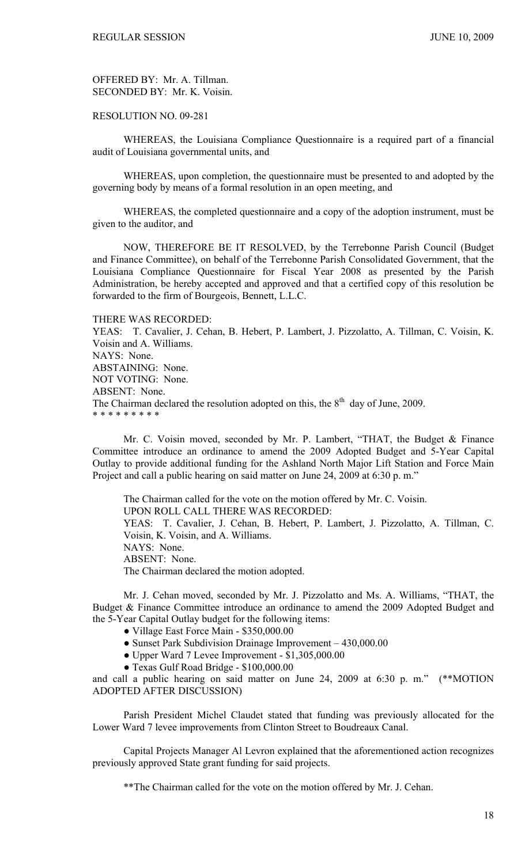OFFERED BY: Mr. A. Tillman. SECONDED BY: Mr. K. Voisin.

RESOLUTION NO. 09-281

 WHEREAS, the Louisiana Compliance Questionnaire is a required part of a financial audit of Louisiana governmental units, and

 WHEREAS, upon completion, the questionnaire must be presented to and adopted by the governing body by means of a formal resolution in an open meeting, and

 WHEREAS, the completed questionnaire and a copy of the adoption instrument, must be given to the auditor, and

 NOW, THEREFORE BE IT RESOLVED, by the Terrebonne Parish Council (Budget and Finance Committee), on behalf of the Terrebonne Parish Consolidated Government, that the Louisiana Compliance Questionnaire for Fiscal Year 2008 as presented by the Parish Administration, be hereby accepted and approved and that a certified copy of this resolution be forwarded to the firm of Bourgeois, Bennett, L.L.C.

THERE WAS RECORDED:

YEAS: T. Cavalier, J. Cehan, B. Hebert, P. Lambert, J. Pizzolatto, A. Tillman, C. Voisin, K. Voisin and A. Williams. NAYS: None. ABSTAINING: None. NOT VOTING: None. ABSENT: None. The Chairman declared the resolution adopted on this, the  $8<sup>th</sup>$  day of June, 2009. \* \* \* \* \* \* \* \* \*

 Mr. C. Voisin moved, seconded by Mr. P. Lambert, "THAT, the Budget & Finance Committee introduce an ordinance to amend the 2009 Adopted Budget and 5-Year Capital Outlay to provide additional funding for the Ashland North Major Lift Station and Force Main Project and call a public hearing on said matter on June 24, 2009 at 6:30 p.m."

 The Chairman called for the vote on the motion offered by Mr. C. Voisin. UPON ROLL CALL THERE WAS RECORDED: YEAS: T. Cavalier, J. Cehan, B. Hebert, P. Lambert, J. Pizzolatto, A. Tillman, C. Voisin, K. Voisin, and A. Williams. NAYS: None. ABSENT: None. The Chairman declared the motion adopted.

 Mr. J. Cehan moved, seconded by Mr. J. Pizzolatto and Ms. A. Williams, "THAT, the Budget & Finance Committee introduce an ordinance to amend the 2009 Adopted Budget and the 5-Year Capital Outlay budget for the following items:

- Village East Force Main \$350,000.00
- Sunset Park Subdivision Drainage Improvement 430,000.00
- Upper Ward 7 Levee Improvement \$1,305,000.00
- Texas Gulf Road Bridge \$100,000.00

and call a public hearing on said matter on June 24, 2009 at 6:30 p. m." (\*\*MOTION ADOPTED AFTER DISCUSSION)

 Parish President Michel Claudet stated that funding was previously allocated for the Lower Ward 7 levee improvements from Clinton Street to Boudreaux Canal.

 Capital Projects Manager Al Levron explained that the aforementioned action recognizes previously approved State grant funding for said projects.

\*\*The Chairman called for the vote on the motion offered by Mr. J. Cehan.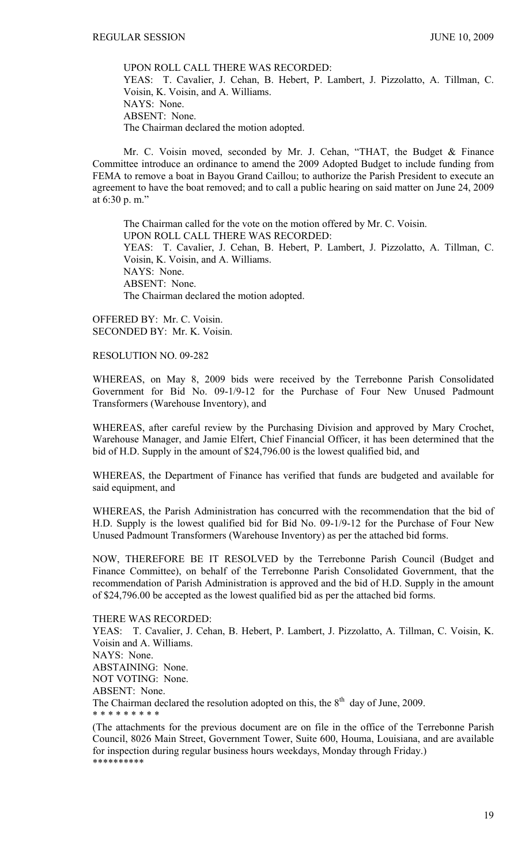UPON ROLL CALL THERE WAS RECORDED: YEAS: T. Cavalier, J. Cehan, B. Hebert, P. Lambert, J. Pizzolatto, A. Tillman, C. Voisin, K. Voisin, and A. Williams. NAYS: None. ABSENT: None. The Chairman declared the motion adopted.

 Mr. C. Voisin moved, seconded by Mr. J. Cehan, "THAT, the Budget & Finance Committee introduce an ordinance to amend the 2009 Adopted Budget to include funding from FEMA to remove a boat in Bayou Grand Caillou; to authorize the Parish President to execute an agreement to have the boat removed; and to call a public hearing on said matter on June 24, 2009 at 6:30 p. m."

The Chairman called for the vote on the motion offered by Mr. C. Voisin. UPON ROLL CALL THERE WAS RECORDED: YEAS: T. Cavalier, J. Cehan, B. Hebert, P. Lambert, J. Pizzolatto, A. Tillman, C. Voisin, K. Voisin, and A. Williams. NAYS: None. ABSENT: None. The Chairman declared the motion adopted.

OFFERED BY: Mr. C. Voisin. SECONDED BY: Mr. K. Voisin.

# RESOLUTION NO. 09-282

WHEREAS, on May 8, 2009 bids were received by the Terrebonne Parish Consolidated Government for Bid No. 09-1/9-12 for the Purchase of Four New Unused Padmount Transformers (Warehouse Inventory), and

WHEREAS, after careful review by the Purchasing Division and approved by Mary Crochet, Warehouse Manager, and Jamie Elfert, Chief Financial Officer, it has been determined that the bid of H.D. Supply in the amount of \$24,796.00 is the lowest qualified bid, and

WHEREAS, the Department of Finance has verified that funds are budgeted and available for said equipment, and

WHEREAS, the Parish Administration has concurred with the recommendation that the bid of H.D. Supply is the lowest qualified bid for Bid No. 09-1/9-12 for the Purchase of Four New Unused Padmount Transformers (Warehouse Inventory) as per the attached bid forms.

NOW, THEREFORE BE IT RESOLVED by the Terrebonne Parish Council (Budget and Finance Committee), on behalf of the Terrebonne Parish Consolidated Government, that the recommendation of Parish Administration is approved and the bid of H.D. Supply in the amount of \$24,796.00 be accepted as the lowest qualified bid as per the attached bid forms.

#### THERE WAS RECORDED:

YEAS: T. Cavalier, J. Cehan, B. Hebert, P. Lambert, J. Pizzolatto, A. Tillman, C. Voisin, K. Voisin and A. Williams. NAYS: None. ABSTAINING: None. NOT VOTING: None. ABSENT: None. The Chairman declared the resolution adopted on this, the  $8<sup>th</sup>$  day of June, 2009. \* \* \* \* \* \* \* \* \*

(The attachments for the previous document are on file in the office of the Terrebonne Parish Council, 8026 Main Street, Government Tower, Suite 600, Houma, Louisiana, and are available for inspection during regular business hours weekdays, Monday through Friday.) \*\*\*\*\*\*\*\*\*\*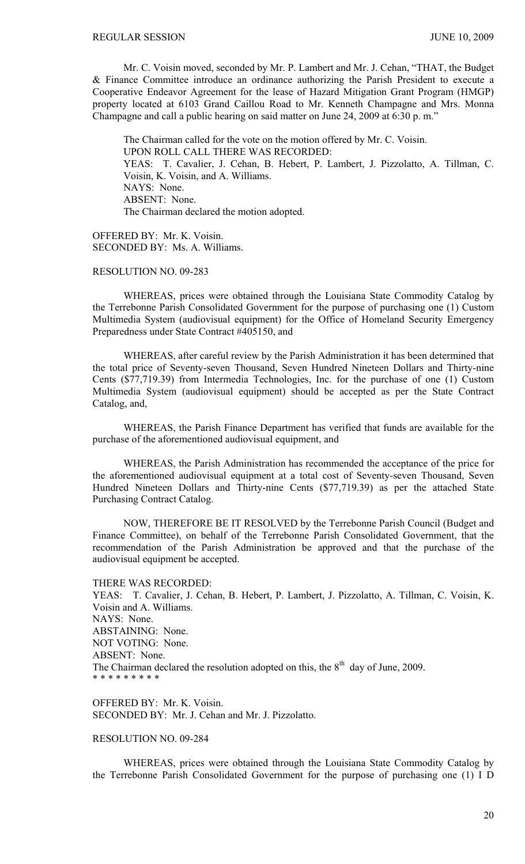Mr. C. Voisin moved, seconded by Mr. P. Lambert and Mr. J. Cehan, "THAT, the Budget & Finance Committee introduce an ordinance authorizing the Parish President to execute a Cooperative Endeavor Agreement for the lease of Hazard Mitigation Grant Program (HMGP) property located at 6103 Grand Caillou Road to Mr. Kenneth Champagne and Mrs. Monna Champagne and call a public hearing on said matter on June 24, 2009 at 6:30 p. m."

The Chairman called for the vote on the motion offered by Mr. C. Voisin. UPON ROLL CALL THERE WAS RECORDED: YEAS: T. Cavalier, J. Cehan, B. Hebert, P. Lambert, J. Pizzolatto, A. Tillman, C. Voisin, K. Voisin, and A. Williams. NAYS: None. ABSENT: None. The Chairman declared the motion adopted.

OFFERED BY: Mr. K. Voisin. SECONDED BY: Ms. A. Williams.

# RESOLUTION NO. 09-283

 WHEREAS, prices were obtained through the Louisiana State Commodity Catalog by the Terrebonne Parish Consolidated Government for the purpose of purchasing one (1) Custom Multimedia System (audiovisual equipment) for the Office of Homeland Security Emergency Preparedness under State Contract #405150, and

 WHEREAS, after careful review by the Parish Administration it has been determined that the total price of Seventy-seven Thousand, Seven Hundred Nineteen Dollars and Thirty-nine Cents (\$77,719.39) from Intermedia Technologies, Inc. for the purchase of one (1) Custom Multimedia System (audiovisual equipment) should be accepted as per the State Contract Catalog, and,

 WHEREAS, the Parish Finance Department has verified that funds are available for the purchase of the aforementioned audiovisual equipment, and

 WHEREAS, the Parish Administration has recommended the acceptance of the price for the aforementioned audiovisual equipment at a total cost of Seventy-seven Thousand, Seven Hundred Nineteen Dollars and Thirty-nine Cents (\$77,719.39) as per the attached State Purchasing Contract Catalog.

 NOW, THEREFORE BE IT RESOLVED by the Terrebonne Parish Council (Budget and Finance Committee), on behalf of the Terrebonne Parish Consolidated Government, that the recommendation of the Parish Administration be approved and that the purchase of the audiovisual equipment be accepted.

THERE WAS RECORDED: YEAS: T. Cavalier, J. Cehan, B. Hebert, P. Lambert, J. Pizzolatto, A. Tillman, C. Voisin, K. Voisin and A. Williams. NAYS: None. ABSTAINING: None. NOT VOTING: None. ABSENT: None. The Chairman declared the resolution adopted on this, the  $8<sup>th</sup>$  day of June, 2009. \* \* \* \* \* \* \* \* \*

OFFERED BY: Mr. K. Voisin. SECONDED BY: Mr. J. Cehan and Mr. J. Pizzolatto.

# RESOLUTION NO. 09-284

 WHEREAS, prices were obtained through the Louisiana State Commodity Catalog by the Terrebonne Parish Consolidated Government for the purpose of purchasing one (1) I D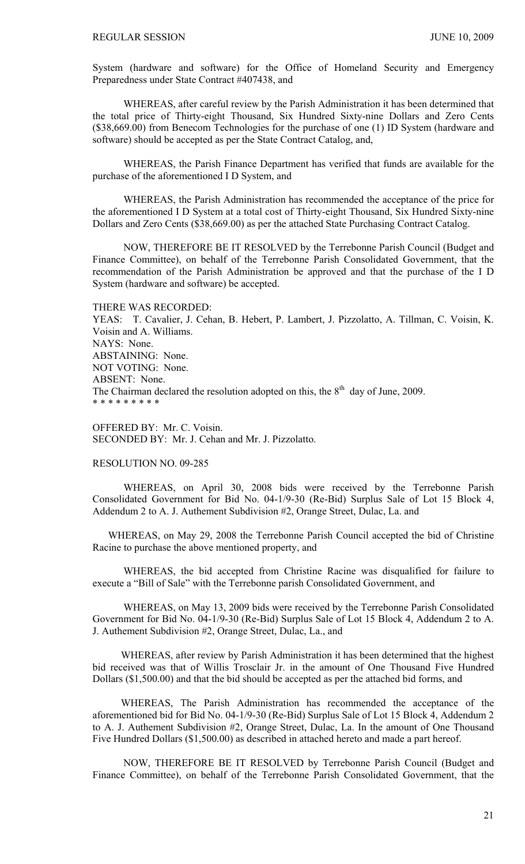System (hardware and software) for the Office of Homeland Security and Emergency Preparedness under State Contract #407438, and

 WHEREAS, after careful review by the Parish Administration it has been determined that the total price of Thirty-eight Thousand, Six Hundred Sixty-nine Dollars and Zero Cents (\$38,669.00) from Benecom Technologies for the purchase of one (1) ID System (hardware and software) should be accepted as per the State Contract Catalog, and,

 WHEREAS, the Parish Finance Department has verified that funds are available for the purchase of the aforementioned I D System, and

 WHEREAS, the Parish Administration has recommended the acceptance of the price for the aforementioned I D System at a total cost of Thirty-eight Thousand, Six Hundred Sixty-nine Dollars and Zero Cents (\$38,669.00) as per the attached State Purchasing Contract Catalog.

 NOW, THEREFORE BE IT RESOLVED by the Terrebonne Parish Council (Budget and Finance Committee), on behalf of the Terrebonne Parish Consolidated Government, that the recommendation of the Parish Administration be approved and that the purchase of the I D System (hardware and software) be accepted.

THERE WAS RECORDED: YEAS: T. Cavalier, J. Cehan, B. Hebert, P. Lambert, J. Pizzolatto, A. Tillman, C. Voisin, K. Voisin and A. Williams. NAYS: None. ABSTAINING: None. NOT VOTING: None. ABSENT: None. The Chairman declared the resolution adopted on this, the  $8<sup>th</sup>$  day of June, 2009. \* \* \* \* \* \* \* \* \*

OFFERED BY: Mr. C. Voisin. SECONDED BY: Mr. J. Cehan and Mr. J. Pizzolatto.

### RESOLUTION NO. 09-285

 WHEREAS, on April 30, 2008 bids were received by the Terrebonne Parish Consolidated Government for Bid No. 04-1/9-30 (Re-Bid) Surplus Sale of Lot 15 Block 4, Addendum 2 to A. J. Authement Subdivision #2, Orange Street, Dulac, La. and

 WHEREAS, on May 29, 2008 the Terrebonne Parish Council accepted the bid of Christine Racine to purchase the above mentioned property, and

 WHEREAS, the bid accepted from Christine Racine was disqualified for failure to execute a "Bill of Sale" with the Terrebonne parish Consolidated Government, and

 WHEREAS, on May 13, 2009 bids were received by the Terrebonne Parish Consolidated Government for Bid No. 04-1/9-30 (Re-Bid) Surplus Sale of Lot 15 Block 4, Addendum 2 to A. J. Authement Subdivision #2, Orange Street, Dulac, La., and

 WHEREAS, after review by Parish Administration it has been determined that the highest bid received was that of Willis Trosclair Jr. in the amount of One Thousand Five Hundred Dollars (\$1,500.00) and that the bid should be accepted as per the attached bid forms, and

 WHEREAS, The Parish Administration has recommended the acceptance of the aforementioned bid for Bid No. 04-1/9-30 (Re-Bid) Surplus Sale of Lot 15 Block 4, Addendum 2 to A. J. Authement Subdivision #2, Orange Street, Dulac, La. In the amount of One Thousand Five Hundred Dollars (\$1,500.00) as described in attached hereto and made a part hereof.

NOW, THEREFORE BE IT RESOLVED by Terrebonne Parish Council (Budget and Finance Committee), on behalf of the Terrebonne Parish Consolidated Government, that the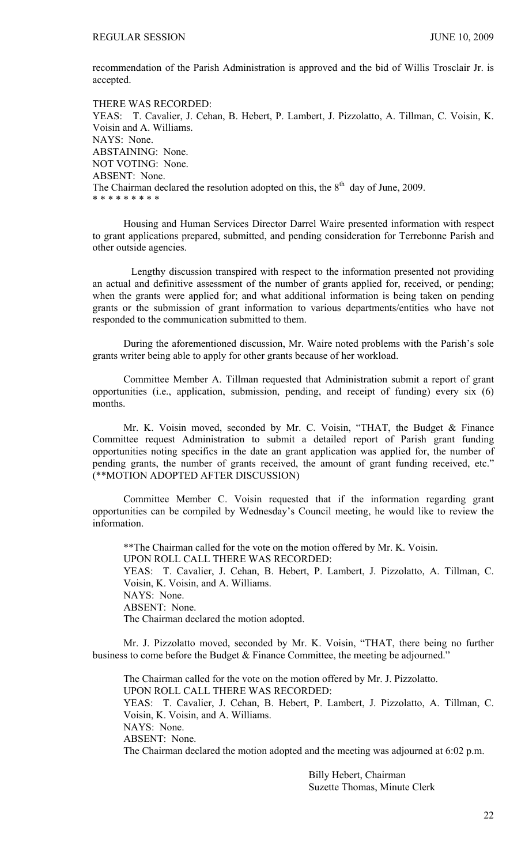recommendation of the Parish Administration is approved and the bid of Willis Trosclair Jr. is accepted.

THERE WAS RECORDED: YEAS: T. Cavalier, J. Cehan, B. Hebert, P. Lambert, J. Pizzolatto, A. Tillman, C. Voisin, K. Voisin and A. Williams. NAYS: None. ABSTAINING: None. NOT VOTING: None. ABSENT: None. The Chairman declared the resolution adopted on this, the  $8<sup>th</sup>$  day of June, 2009. \* \* \* \* \* \* \* \* \*

 Housing and Human Services Director Darrel Waire presented information with respect to grant applications prepared, submitted, and pending consideration for Terrebonne Parish and other outside agencies.

 Lengthy discussion transpired with respect to the information presented not providing an actual and definitive assessment of the number of grants applied for, received, or pending; when the grants were applied for; and what additional information is being taken on pending grants or the submission of grant information to various departments/entities who have not responded to the communication submitted to them.

During the aforementioned discussion, Mr. Waire noted problems with the Parish's sole grants writer being able to apply for other grants because of her workload.

Committee Member A. Tillman requested that Administration submit a report of grant opportunities (i.e., application, submission, pending, and receipt of funding) every six (6) months.

Mr. K. Voisin moved, seconded by Mr. C. Voisin, "THAT, the Budget & Finance Committee request Administration to submit a detailed report of Parish grant funding opportunities noting specifics in the date an grant application was applied for, the number of pending grants, the number of grants received, the amount of grant funding received, etc." (\*\*MOTION ADOPTED AFTER DISCUSSION)

Committee Member C. Voisin requested that if the information regarding grant opportunities can be compiled by Wednesday's Council meeting, he would like to review the information.

\*\*The Chairman called for the vote on the motion offered by Mr. K. Voisin. UPON ROLL CALL THERE WAS RECORDED: YEAS: T. Cavalier, J. Cehan, B. Hebert, P. Lambert, J. Pizzolatto, A. Tillman, C. Voisin, K. Voisin, and A. Williams. NAYS: None. ABSENT: None. The Chairman declared the motion adopted.

 Mr. J. Pizzolatto moved, seconded by Mr. K. Voisin, "THAT, there being no further business to come before the Budget & Finance Committee, the meeting be adjourned."

 The Chairman called for the vote on the motion offered by Mr. J. Pizzolatto. UPON ROLL CALL THERE WAS RECORDED: YEAS: T. Cavalier, J. Cehan, B. Hebert, P. Lambert, J. Pizzolatto, A. Tillman, C. Voisin, K. Voisin, and A. Williams. NAYS: None. ABSENT: None. The Chairman declared the motion adopted and the meeting was adjourned at 6:02 p.m.

> Billy Hebert, Chairman Suzette Thomas, Minute Clerk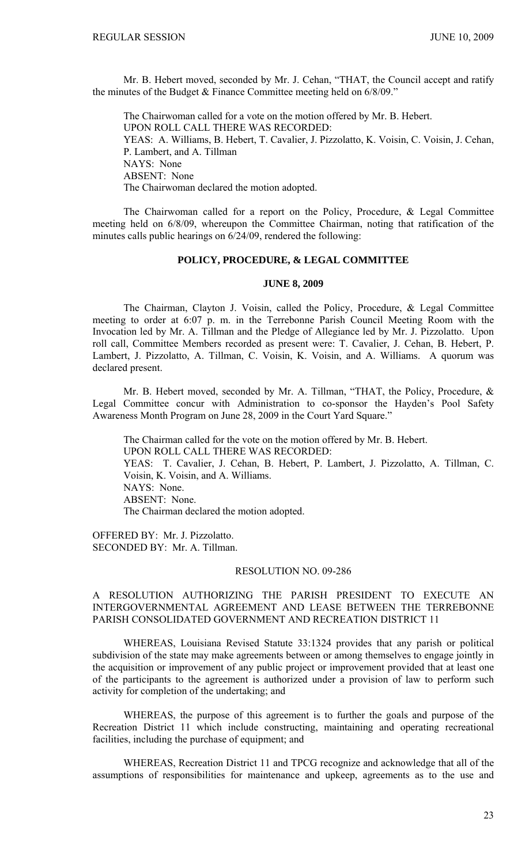Mr. B. Hebert moved, seconded by Mr. J. Cehan, "THAT, the Council accept and ratify the minutes of the Budget & Finance Committee meeting held on 6/8/09."

 The Chairwoman called for a vote on the motion offered by Mr. B. Hebert. UPON ROLL CALL THERE WAS RECORDED: YEAS: A. Williams, B. Hebert, T. Cavalier, J. Pizzolatto, K. Voisin, C. Voisin, J. Cehan, P. Lambert, and A. Tillman NAYS: None ABSENT: None The Chairwoman declared the motion adopted.

 The Chairwoman called for a report on the Policy, Procedure, & Legal Committee meeting held on 6/8/09, whereupon the Committee Chairman, noting that ratification of the minutes calls public hearings on 6/24/09, rendered the following:

# **POLICY, PROCEDURE, & LEGAL COMMITTEE**

#### **JUNE 8, 2009**

 The Chairman, Clayton J. Voisin, called the Policy, Procedure, & Legal Committee meeting to order at 6:07 p. m. in the Terrebonne Parish Council Meeting Room with the Invocation led by Mr. A. Tillman and the Pledge of Allegiance led by Mr. J. Pizzolatto. Upon roll call, Committee Members recorded as present were: T. Cavalier, J. Cehan, B. Hebert, P. Lambert, J. Pizzolatto, A. Tillman, C. Voisin, K. Voisin, and A. Williams. A quorum was declared present.

 Mr. B. Hebert moved, seconded by Mr. A. Tillman, "THAT, the Policy, Procedure, & Legal Committee concur with Administration to co-sponsor the Hayden's Pool Safety Awareness Month Program on June 28, 2009 in the Court Yard Square."

 The Chairman called for the vote on the motion offered by Mr. B. Hebert. UPON ROLL CALL THERE WAS RECORDED: YEAS: T. Cavalier, J. Cehan, B. Hebert, P. Lambert, J. Pizzolatto, A. Tillman, C. Voisin, K. Voisin, and A. Williams. NAYS: None. ABSENT: None. The Chairman declared the motion adopted.

OFFERED BY: Mr. J. Pizzolatto. SECONDED BY: Mr. A. Tillman.

#### RESOLUTION NO. 09-286

# A RESOLUTION AUTHORIZING THE PARISH PRESIDENT TO EXECUTE AN INTERGOVERNMENTAL AGREEMENT AND LEASE BETWEEN THE TERREBONNE PARISH CONSOLIDATED GOVERNMENT AND RECREATION DISTRICT 11

WHEREAS, Louisiana Revised Statute 33:1324 provides that any parish or political subdivision of the state may make agreements between or among themselves to engage jointly in the acquisition or improvement of any public project or improvement provided that at least one of the participants to the agreement is authorized under a provision of law to perform such activity for completion of the undertaking; and

 WHEREAS, the purpose of this agreement is to further the goals and purpose of the Recreation District 11 which include constructing, maintaining and operating recreational facilities, including the purchase of equipment; and

WHEREAS, Recreation District 11 and TPCG recognize and acknowledge that all of the assumptions of responsibilities for maintenance and upkeep, agreements as to the use and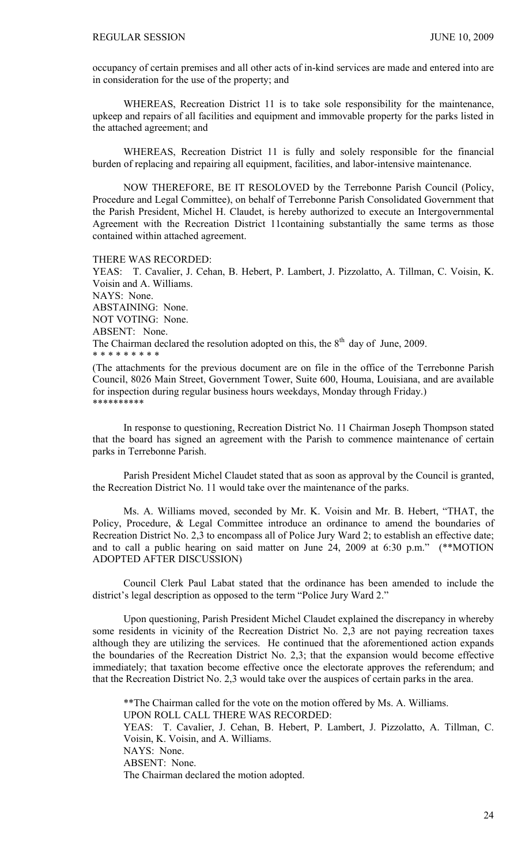occupancy of certain premises and all other acts of in-kind services are made and entered into are in consideration for the use of the property; and

 WHEREAS, Recreation District 11 is to take sole responsibility for the maintenance, upkeep and repairs of all facilities and equipment and immovable property for the parks listed in the attached agreement; and

 WHEREAS, Recreation District 11 is fully and solely responsible for the financial burden of replacing and repairing all equipment, facilities, and labor-intensive maintenance.

NOW THEREFORE, BE IT RESOLOVED by the Terrebonne Parish Council (Policy, Procedure and Legal Committee), on behalf of Terrebonne Parish Consolidated Government that the Parish President, Michel H. Claudet, is hereby authorized to execute an Intergovernmental Agreement with the Recreation District 11containing substantially the same terms as those contained within attached agreement.

THERE WAS RECORDED:

YEAS: T. Cavalier, J. Cehan, B. Hebert, P. Lambert, J. Pizzolatto, A. Tillman, C. Voisin, K. Voisin and A. Williams. NAYS: None. ABSTAINING: None. NOT VOTING: None. ABSENT: None. The Chairman declared the resolution adopted on this, the  $8<sup>th</sup>$  day of June, 2009. \* \* \* \* \* \* \* \* \*

(The attachments for the previous document are on file in the office of the Terrebonne Parish Council, 8026 Main Street, Government Tower, Suite 600, Houma, Louisiana, and are available for inspection during regular business hours weekdays, Monday through Friday.) \*\*\*\*\*\*\*\*\*\*

In response to questioning, Recreation District No. 11 Chairman Joseph Thompson stated that the board has signed an agreement with the Parish to commence maintenance of certain parks in Terrebonne Parish.

Parish President Michel Claudet stated that as soon as approval by the Council is granted, the Recreation District No. 11 would take over the maintenance of the parks.

 Ms. A. Williams moved, seconded by Mr. K. Voisin and Mr. B. Hebert, "THAT, the Policy, Procedure, & Legal Committee introduce an ordinance to amend the boundaries of Recreation District No. 2,3 to encompass all of Police Jury Ward 2; to establish an effective date; and to call a public hearing on said matter on June 24, 2009 at 6:30 p.m." (\*\*MOTION ADOPTED AFTER DISCUSSION)

 Council Clerk Paul Labat stated that the ordinance has been amended to include the district's legal description as opposed to the term "Police Jury Ward 2."

 Upon questioning, Parish President Michel Claudet explained the discrepancy in whereby some residents in vicinity of the Recreation District No. 2,3 are not paying recreation taxes although they are utilizing the services. He continued that the aforementioned action expands the boundaries of the Recreation District No. 2,3; that the expansion would become effective immediately; that taxation become effective once the electorate approves the referendum; and that the Recreation District No. 2,3 would take over the auspices of certain parks in the area.

 \*\*The Chairman called for the vote on the motion offered by Ms. A. Williams. UPON ROLL CALL THERE WAS RECORDED: YEAS: T. Cavalier, J. Cehan, B. Hebert, P. Lambert, J. Pizzolatto, A. Tillman, C. Voisin, K. Voisin, and A. Williams. NAYS: None. ABSENT: None. The Chairman declared the motion adopted.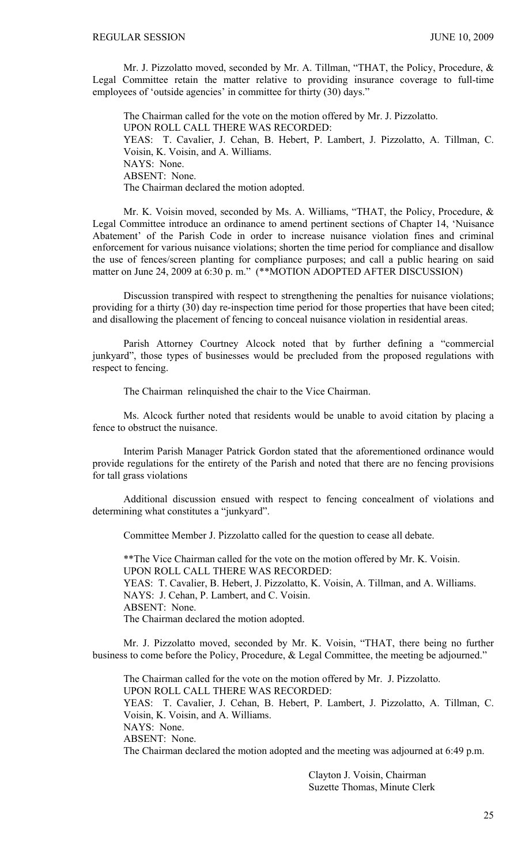Mr. J. Pizzolatto moved, seconded by Mr. A. Tillman, "THAT, the Policy, Procedure, & Legal Committee retain the matter relative to providing insurance coverage to full-time employees of 'outside agencies' in committee for thirty (30) days."

 The Chairman called for the vote on the motion offered by Mr. J. Pizzolatto. UPON ROLL CALL THERE WAS RECORDED: YEAS: T. Cavalier, J. Cehan, B. Hebert, P. Lambert, J. Pizzolatto, A. Tillman, C. Voisin, K. Voisin, and A. Williams. NAYS: None. ABSENT: None. The Chairman declared the motion adopted.

 Mr. K. Voisin moved, seconded by Ms. A. Williams, "THAT, the Policy, Procedure, & Legal Committee introduce an ordinance to amend pertinent sections of Chapter 14, 'Nuisance Abatement' of the Parish Code in order to increase nuisance violation fines and criminal enforcement for various nuisance violations; shorten the time period for compliance and disallow the use of fences/screen planting for compliance purposes; and call a public hearing on said matter on June 24, 2009 at 6:30 p.m." (\*\*MOTION ADOPTED AFTER DISCUSSION)

 Discussion transpired with respect to strengthening the penalties for nuisance violations; providing for a thirty (30) day re-inspection time period for those properties that have been cited; and disallowing the placement of fencing to conceal nuisance violation in residential areas.

 Parish Attorney Courtney Alcock noted that by further defining a "commercial junkyard", those types of businesses would be precluded from the proposed regulations with respect to fencing.

The Chairman relinquished the chair to the Vice Chairman.

 Ms. Alcock further noted that residents would be unable to avoid citation by placing a fence to obstruct the nuisance.

 Interim Parish Manager Patrick Gordon stated that the aforementioned ordinance would provide regulations for the entirety of the Parish and noted that there are no fencing provisions for tall grass violations

 Additional discussion ensued with respect to fencing concealment of violations and determining what constitutes a "junkyard".

Committee Member J. Pizzolatto called for the question to cease all debate.

\*\*The Vice Chairman called for the vote on the motion offered by Mr. K. Voisin. UPON ROLL CALL THERE WAS RECORDED: YEAS: T. Cavalier, B. Hebert, J. Pizzolatto, K. Voisin, A. Tillman, and A. Williams. NAYS: J. Cehan, P. Lambert, and C. Voisin.

ABSENT: None.

The Chairman declared the motion adopted.

 Mr. J. Pizzolatto moved, seconded by Mr. K. Voisin, "THAT, there being no further business to come before the Policy, Procedure, & Legal Committee, the meeting be adjourned."

 The Chairman called for the vote on the motion offered by Mr. J. Pizzolatto. UPON ROLL CALL THERE WAS RECORDED: YEAS: T. Cavalier, J. Cehan, B. Hebert, P. Lambert, J. Pizzolatto, A. Tillman, C. Voisin, K. Voisin, and A. Williams. NAYS: None. ABSENT: None. The Chairman declared the motion adopted and the meeting was adjourned at 6:49 p.m.

> Clayton J. Voisin, Chairman Suzette Thomas, Minute Clerk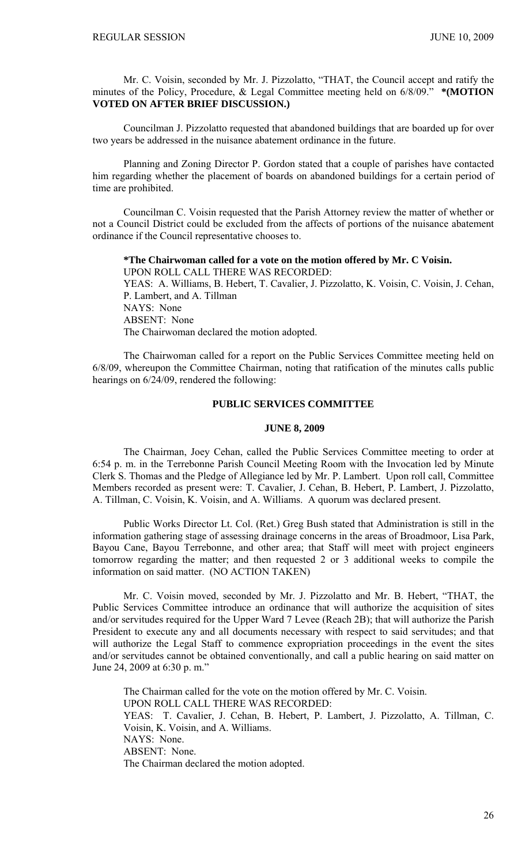Mr. C. Voisin, seconded by Mr. J. Pizzolatto, "THAT, the Council accept and ratify the minutes of the Policy, Procedure, & Legal Committee meeting held on 6/8/09." **\*(MOTION VOTED ON AFTER BRIEF DISCUSSION.)** 

Councilman J. Pizzolatto requested that abandoned buildings that are boarded up for over two years be addressed in the nuisance abatement ordinance in the future.

 Planning and Zoning Director P. Gordon stated that a couple of parishes have contacted him regarding whether the placement of boards on abandoned buildings for a certain period of time are prohibited.

 Councilman C. Voisin requested that the Parish Attorney review the matter of whether or not a Council District could be excluded from the affects of portions of the nuisance abatement ordinance if the Council representative chooses to.

# **\*The Chairwoman called for a vote on the motion offered by Mr. C Voisin.**

UPON ROLL CALL THERE WAS RECORDED: YEAS: A. Williams, B. Hebert, T. Cavalier, J. Pizzolatto, K. Voisin, C. Voisin, J. Cehan, P. Lambert, and A. Tillman NAYS: None ABSENT: None The Chairwoman declared the motion adopted.

 The Chairwoman called for a report on the Public Services Committee meeting held on 6/8/09, whereupon the Committee Chairman, noting that ratification of the minutes calls public hearings on 6/24/09, rendered the following:

# **PUBLIC SERVICES COMMITTEE**

### **JUNE 8, 2009**

 The Chairman, Joey Cehan, called the Public Services Committee meeting to order at 6:54 p. m. in the Terrebonne Parish Council Meeting Room with the Invocation led by Minute Clerk S. Thomas and the Pledge of Allegiance led by Mr. P. Lambert. Upon roll call, Committee Members recorded as present were: T. Cavalier, J. Cehan, B. Hebert, P. Lambert, J. Pizzolatto, A. Tillman, C. Voisin, K. Voisin, and A. Williams. A quorum was declared present.

 Public Works Director Lt. Col. (Ret.) Greg Bush stated that Administration is still in the information gathering stage of assessing drainage concerns in the areas of Broadmoor, Lisa Park, Bayou Cane, Bayou Terrebonne, and other area; that Staff will meet with project engineers tomorrow regarding the matter; and then requested 2 or 3 additional weeks to compile the information on said matter. (NO ACTION TAKEN)

 Mr. C. Voisin moved, seconded by Mr. J. Pizzolatto and Mr. B. Hebert, "THAT, the Public Services Committee introduce an ordinance that will authorize the acquisition of sites and/or servitudes required for the Upper Ward 7 Levee (Reach 2B); that will authorize the Parish President to execute any and all documents necessary with respect to said servitudes; and that will authorize the Legal Staff to commence expropriation proceedings in the event the sites and/or servitudes cannot be obtained conventionally, and call a public hearing on said matter on June 24, 2009 at 6:30 p. m."

 The Chairman called for the vote on the motion offered by Mr. C. Voisin. UPON ROLL CALL THERE WAS RECORDED: YEAS: T. Cavalier, J. Cehan, B. Hebert, P. Lambert, J. Pizzolatto, A. Tillman, C. Voisin, K. Voisin, and A. Williams. NAYS: None. ABSENT: None. The Chairman declared the motion adopted.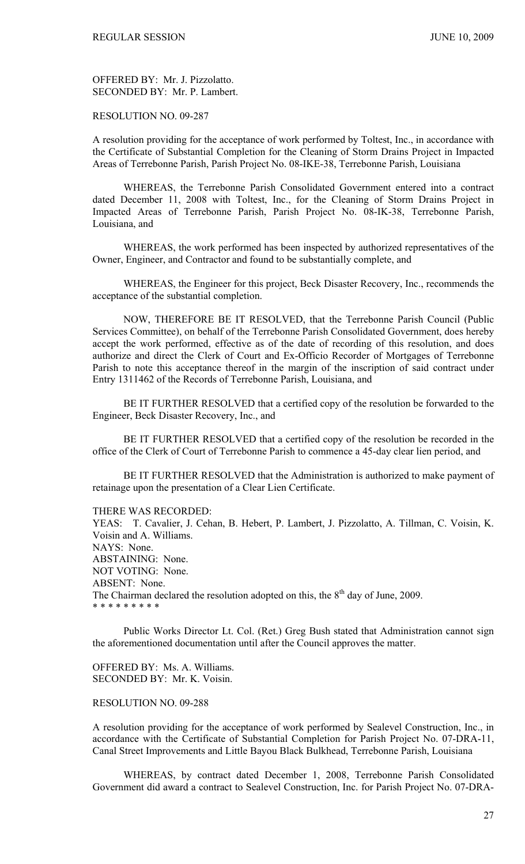OFFERED BY: Mr. J. Pizzolatto. SECONDED BY: Mr. P. Lambert.

### RESOLUTION NO. 09-287

A resolution providing for the acceptance of work performed by Toltest, Inc., in accordance with the Certificate of Substantial Completion for the Cleaning of Storm Drains Project in Impacted Areas of Terrebonne Parish, Parish Project No. 08-IKE-38, Terrebonne Parish, Louisiana

 WHEREAS, the Terrebonne Parish Consolidated Government entered into a contract dated December 11, 2008 with Toltest, Inc., for the Cleaning of Storm Drains Project in Impacted Areas of Terrebonne Parish, Parish Project No. 08-IK-38, Terrebonne Parish, Louisiana, and

 WHEREAS, the work performed has been inspected by authorized representatives of the Owner, Engineer, and Contractor and found to be substantially complete, and

 WHEREAS, the Engineer for this project, Beck Disaster Recovery, Inc., recommends the acceptance of the substantial completion.

 NOW, THEREFORE BE IT RESOLVED, that the Terrebonne Parish Council (Public Services Committee), on behalf of the Terrebonne Parish Consolidated Government, does hereby accept the work performed, effective as of the date of recording of this resolution, and does authorize and direct the Clerk of Court and Ex-Officio Recorder of Mortgages of Terrebonne Parish to note this acceptance thereof in the margin of the inscription of said contract under Entry 1311462 of the Records of Terrebonne Parish, Louisiana, and

 BE IT FURTHER RESOLVED that a certified copy of the resolution be forwarded to the Engineer, Beck Disaster Recovery, Inc., and

 BE IT FURTHER RESOLVED that a certified copy of the resolution be recorded in the office of the Clerk of Court of Terrebonne Parish to commence a 45-day clear lien period, and

 BE IT FURTHER RESOLVED that the Administration is authorized to make payment of retainage upon the presentation of a Clear Lien Certificate.

THERE WAS RECORDED:

YEAS: T. Cavalier, J. Cehan, B. Hebert, P. Lambert, J. Pizzolatto, A. Tillman, C. Voisin, K. Voisin and A. Williams. NAYS: None. ABSTAINING: None. NOT VOTING: None. ABSENT: None. The Chairman declared the resolution adopted on this, the  $8<sup>th</sup>$  day of June, 2009. \* \* \* \* \* \* \* \* \*

 Public Works Director Lt. Col. (Ret.) Greg Bush stated that Administration cannot sign the aforementioned documentation until after the Council approves the matter.

OFFERED BY: Ms. A. Williams. SECONDED BY: Mr. K. Voisin.

### RESOLUTION NO. 09-288

A resolution providing for the acceptance of work performed by Sealevel Construction, Inc., in accordance with the Certificate of Substantial Completion for Parish Project No. 07-DRA-11, Canal Street Improvements and Little Bayou Black Bulkhead, Terrebonne Parish, Louisiana

 WHEREAS, by contract dated December 1, 2008, Terrebonne Parish Consolidated Government did award a contract to Sealevel Construction, Inc. for Parish Project No. 07-DRA-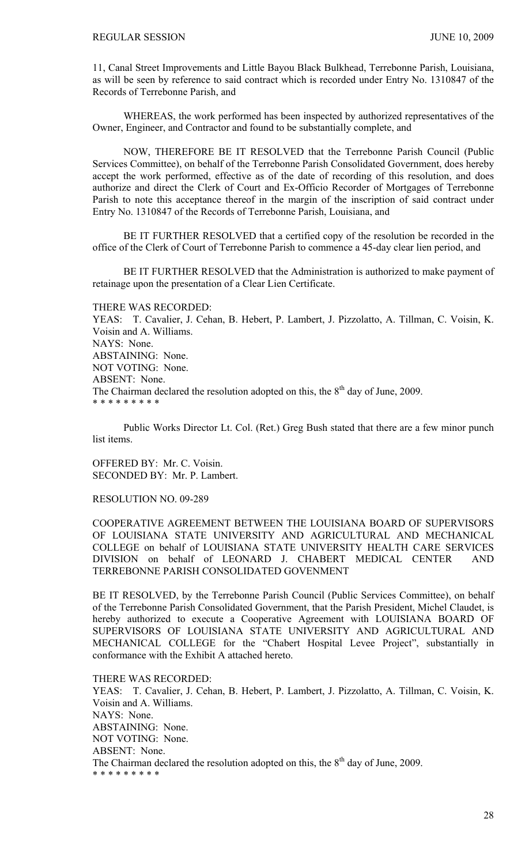11, Canal Street Improvements and Little Bayou Black Bulkhead, Terrebonne Parish, Louisiana, as will be seen by reference to said contract which is recorded under Entry No. 1310847 of the Records of Terrebonne Parish, and

 WHEREAS, the work performed has been inspected by authorized representatives of the Owner, Engineer, and Contractor and found to be substantially complete, and

 NOW, THEREFORE BE IT RESOLVED that the Terrebonne Parish Council (Public Services Committee), on behalf of the Terrebonne Parish Consolidated Government, does hereby accept the work performed, effective as of the date of recording of this resolution, and does authorize and direct the Clerk of Court and Ex-Officio Recorder of Mortgages of Terrebonne Parish to note this acceptance thereof in the margin of the inscription of said contract under Entry No. 1310847 of the Records of Terrebonne Parish, Louisiana, and

 BE IT FURTHER RESOLVED that a certified copy of the resolution be recorded in the office of the Clerk of Court of Terrebonne Parish to commence a 45-day clear lien period, and

 BE IT FURTHER RESOLVED that the Administration is authorized to make payment of retainage upon the presentation of a Clear Lien Certificate.

THERE WAS RECORDED: YEAS: T. Cavalier, J. Cehan, B. Hebert, P. Lambert, J. Pizzolatto, A. Tillman, C. Voisin, K. Voisin and A. Williams. NAYS: None. ABSTAINING: None. NOT VOTING: None. ABSENT: None. The Chairman declared the resolution adopted on this, the  $8<sup>th</sup>$  day of June, 2009. \* \* \* \* \* \* \* \* \*

 Public Works Director Lt. Col. (Ret.) Greg Bush stated that there are a few minor punch list items.

OFFERED BY: Mr. C. Voisin. SECONDED BY: Mr. P. Lambert.

RESOLUTION NO. 09-289

COOPERATIVE AGREEMENT BETWEEN THE LOUISIANA BOARD OF SUPERVISORS OF LOUISIANA STATE UNIVERSITY AND AGRICULTURAL AND MECHANICAL COLLEGE on behalf of LOUISIANA STATE UNIVERSITY HEALTH CARE SERVICES DIVISION on behalf of LEONARD J. CHABERT MEDICAL CENTER AND TERREBONNE PARISH CONSOLIDATED GOVENMENT

BE IT RESOLVED, by the Terrebonne Parish Council (Public Services Committee), on behalf of the Terrebonne Parish Consolidated Government, that the Parish President, Michel Claudet, is hereby authorized to execute a Cooperative Agreement with LOUISIANA BOARD OF SUPERVISORS OF LOUISIANA STATE UNIVERSITY AND AGRICULTURAL AND MECHANICAL COLLEGE for the "Chabert Hospital Levee Project", substantially in conformance with the Exhibit A attached hereto.

THERE WAS RECORDED: YEAS: T. Cavalier, J. Cehan, B. Hebert, P. Lambert, J. Pizzolatto, A. Tillman, C. Voisin, K. Voisin and A. Williams. NAYS: None. ABSTAINING: None. NOT VOTING: None. ABSENT: None. The Chairman declared the resolution adopted on this, the  $8<sup>th</sup>$  day of June, 2009. \* \* \* \* \* \* \* \* \*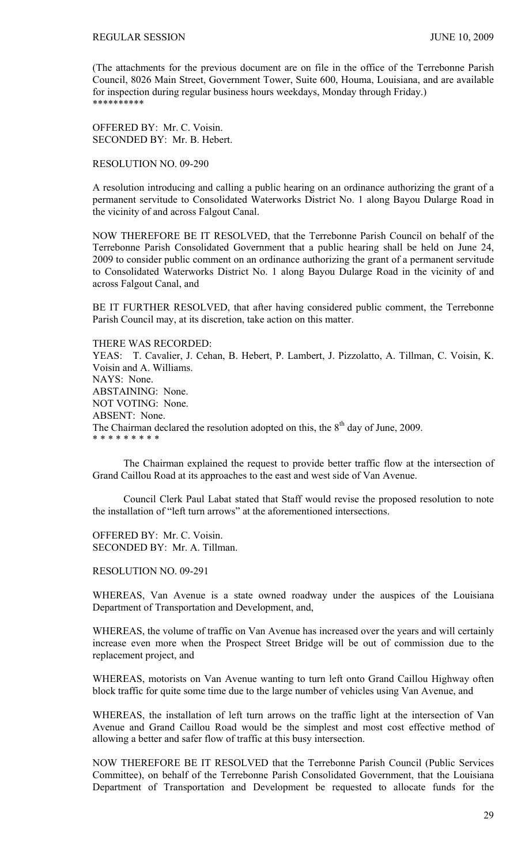(The attachments for the previous document are on file in the office of the Terrebonne Parish Council, 8026 Main Street, Government Tower, Suite 600, Houma, Louisiana, and are available for inspection during regular business hours weekdays, Monday through Friday.) \*\*\*\*\*\*\*\*\*\*

OFFERED BY: Mr. C. Voisin. SECONDED BY: Mr. B. Hebert.

RESOLUTION NO. 09-290

A resolution introducing and calling a public hearing on an ordinance authorizing the grant of a permanent servitude to Consolidated Waterworks District No. 1 along Bayou Dularge Road in the vicinity of and across Falgout Canal.

NOW THEREFORE BE IT RESOLVED, that the Terrebonne Parish Council on behalf of the Terrebonne Parish Consolidated Government that a public hearing shall be held on June 24, 2009 to consider public comment on an ordinance authorizing the grant of a permanent servitude to Consolidated Waterworks District No. 1 along Bayou Dularge Road in the vicinity of and across Falgout Canal, and

BE IT FURTHER RESOLVED, that after having considered public comment, the Terrebonne Parish Council may, at its discretion, take action on this matter.

THERE WAS RECORDED: YEAS: T. Cavalier, J. Cehan, B. Hebert, P. Lambert, J. Pizzolatto, A. Tillman, C. Voisin, K. Voisin and A. Williams. NAYS: None. ABSTAINING: None. NOT VOTING: None. ABSENT: None. The Chairman declared the resolution adopted on this, the  $8<sup>th</sup>$  day of June, 2009. \* \* \* \* \* \* \* \* \*

 The Chairman explained the request to provide better traffic flow at the intersection of Grand Caillou Road at its approaches to the east and west side of Van Avenue.

 Council Clerk Paul Labat stated that Staff would revise the proposed resolution to note the installation of "left turn arrows" at the aforementioned intersections.

OFFERED BY: Mr. C. Voisin. SECONDED BY: Mr. A. Tillman.

RESOLUTION NO. 09-291

WHEREAS, Van Avenue is a state owned roadway under the auspices of the Louisiana Department of Transportation and Development, and,

WHEREAS, the volume of traffic on Van Avenue has increased over the years and will certainly increase even more when the Prospect Street Bridge will be out of commission due to the replacement project, and

WHEREAS, motorists on Van Avenue wanting to turn left onto Grand Caillou Highway often block traffic for quite some time due to the large number of vehicles using Van Avenue, and

WHEREAS, the installation of left turn arrows on the traffic light at the intersection of Van Avenue and Grand Caillou Road would be the simplest and most cost effective method of allowing a better and safer flow of traffic at this busy intersection.

NOW THEREFORE BE IT RESOLVED that the Terrebonne Parish Council (Public Services Committee), on behalf of the Terrebonne Parish Consolidated Government, that the Louisiana Department of Transportation and Development be requested to allocate funds for the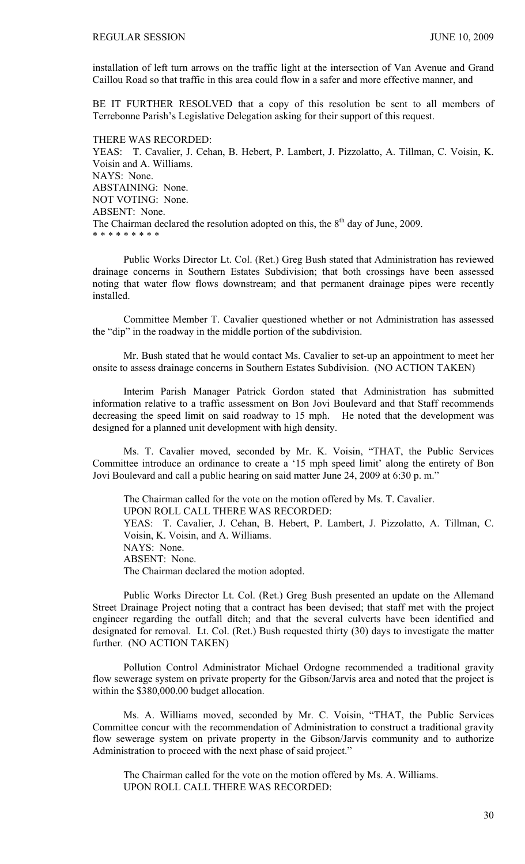installation of left turn arrows on the traffic light at the intersection of Van Avenue and Grand Caillou Road so that traffic in this area could flow in a safer and more effective manner, and

BE IT FURTHER RESOLVED that a copy of this resolution be sent to all members of Terrebonne Parish's Legislative Delegation asking for their support of this request.

THERE WAS RECORDED: YEAS: T. Cavalier, J. Cehan, B. Hebert, P. Lambert, J. Pizzolatto, A. Tillman, C. Voisin, K. Voisin and A. Williams. NAYS: None. ABSTAINING: None. NOT VOTING: None. ABSENT: None. The Chairman declared the resolution adopted on this, the  $8<sup>th</sup>$  day of June, 2009. \* \* \* \* \* \* \* \* \*

 Public Works Director Lt. Col. (Ret.) Greg Bush stated that Administration has reviewed drainage concerns in Southern Estates Subdivision; that both crossings have been assessed noting that water flow flows downstream; and that permanent drainage pipes were recently installed.

 Committee Member T. Cavalier questioned whether or not Administration has assessed the "dip" in the roadway in the middle portion of the subdivision.

 Mr. Bush stated that he would contact Ms. Cavalier to set-up an appointment to meet her onsite to assess drainage concerns in Southern Estates Subdivision. (NO ACTION TAKEN)

 Interim Parish Manager Patrick Gordon stated that Administration has submitted information relative to a traffic assessment on Bon Jovi Boulevard and that Staff recommends decreasing the speed limit on said roadway to 15 mph. He noted that the development was designed for a planned unit development with high density.

Ms. T. Cavalier moved, seconded by Mr. K. Voisin, "THAT, the Public Services Committee introduce an ordinance to create a '15 mph speed limit' along the entirety of Bon Jovi Boulevard and call a public hearing on said matter June 24, 2009 at 6:30 p. m."

 The Chairman called for the vote on the motion offered by Ms. T. Cavalier. UPON ROLL CALL THERE WAS RECORDED: YEAS: T. Cavalier, J. Cehan, B. Hebert, P. Lambert, J. Pizzolatto, A. Tillman, C. Voisin, K. Voisin, and A. Williams. NAYS: None. ABSENT: None. The Chairman declared the motion adopted.

 Public Works Director Lt. Col. (Ret.) Greg Bush presented an update on the Allemand Street Drainage Project noting that a contract has been devised; that staff met with the project engineer regarding the outfall ditch; and that the several culverts have been identified and designated for removal. Lt. Col. (Ret.) Bush requested thirty (30) days to investigate the matter further. (NO ACTION TAKEN)

 Pollution Control Administrator Michael Ordogne recommended a traditional gravity flow sewerage system on private property for the Gibson/Jarvis area and noted that the project is within the \$380,000.00 budget allocation.

 Ms. A. Williams moved, seconded by Mr. C. Voisin, "THAT, the Public Services Committee concur with the recommendation of Administration to construct a traditional gravity flow sewerage system on private property in the Gibson/Jarvis community and to authorize Administration to proceed with the next phase of said project."

 The Chairman called for the vote on the motion offered by Ms. A. Williams. UPON ROLL CALL THERE WAS RECORDED: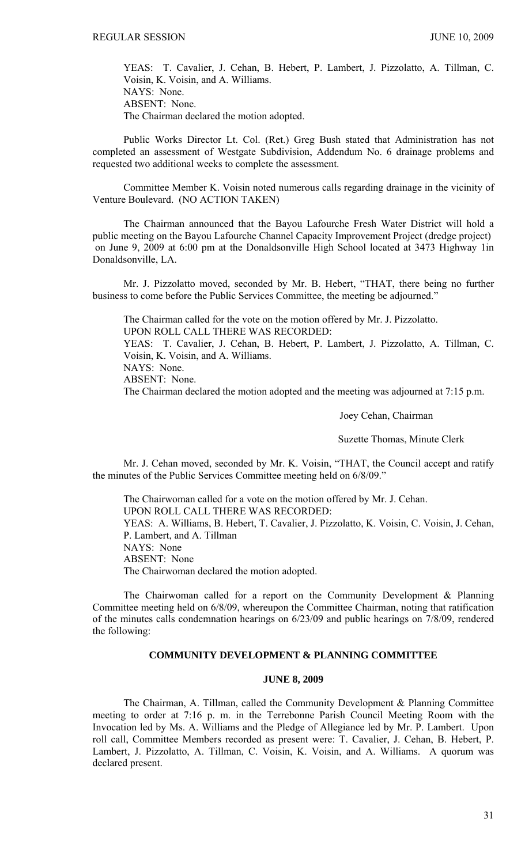YEAS: T. Cavalier, J. Cehan, B. Hebert, P. Lambert, J. Pizzolatto, A. Tillman, C. Voisin, K. Voisin, and A. Williams. NAYS: None. ABSENT: None. The Chairman declared the motion adopted.

 Public Works Director Lt. Col. (Ret.) Greg Bush stated that Administration has not completed an assessment of Westgate Subdivision, Addendum No. 6 drainage problems and requested two additional weeks to complete the assessment.

 Committee Member K. Voisin noted numerous calls regarding drainage in the vicinity of Venture Boulevard. (NO ACTION TAKEN)

 The Chairman announced that the Bayou Lafourche Fresh Water District will hold a public meeting on the Bayou Lafourche Channel Capacity Improvement Project (dredge project) on June 9, 2009 at 6:00 pm at the Donaldsonville High School located at 3473 Highway 1in Donaldsonville, LA.

 Mr. J. Pizzolatto moved, seconded by Mr. B. Hebert, "THAT, there being no further business to come before the Public Services Committee, the meeting be adjourned."

 The Chairman called for the vote on the motion offered by Mr. J. Pizzolatto. UPON ROLL CALL THERE WAS RECORDED: YEAS: T. Cavalier, J. Cehan, B. Hebert, P. Lambert, J. Pizzolatto, A. Tillman, C. Voisin, K. Voisin, and A. Williams. NAYS: None. ABSENT: None.

The Chairman declared the motion adopted and the meeting was adjourned at 7:15 p.m.

Joey Cehan, Chairman

Suzette Thomas, Minute Clerk

Mr. J. Cehan moved, seconded by Mr. K. Voisin, "THAT, the Council accept and ratify the minutes of the Public Services Committee meeting held on 6/8/09."

 The Chairwoman called for a vote on the motion offered by Mr. J. Cehan. UPON ROLL CALL THERE WAS RECORDED: YEAS: A. Williams, B. Hebert, T. Cavalier, J. Pizzolatto, K. Voisin, C. Voisin, J. Cehan, P. Lambert, and A. Tillman NAYS: None ABSENT: None The Chairwoman declared the motion adopted.

 The Chairwoman called for a report on the Community Development & Planning Committee meeting held on 6/8/09, whereupon the Committee Chairman, noting that ratification of the minutes calls condemnation hearings on 6/23/09 and public hearings on 7/8/09, rendered the following:

# **COMMUNITY DEVELOPMENT & PLANNING COMMITTEE**

### **JUNE 8, 2009**

 The Chairman, A. Tillman, called the Community Development & Planning Committee meeting to order at 7:16 p. m. in the Terrebonne Parish Council Meeting Room with the Invocation led by Ms. A. Williams and the Pledge of Allegiance led by Mr. P. Lambert. Upon roll call, Committee Members recorded as present were: T. Cavalier, J. Cehan, B. Hebert, P. Lambert, J. Pizzolatto, A. Tillman, C. Voisin, K. Voisin, and A. Williams. A quorum was declared present.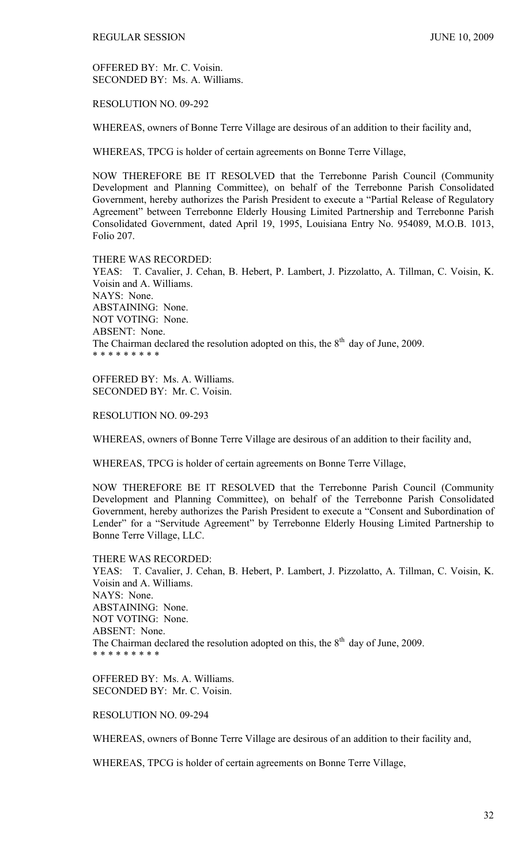OFFERED BY: Mr. C. Voisin. SECONDED BY: Ms. A. Williams.

RESOLUTION NO. 09-292

WHEREAS, owners of Bonne Terre Village are desirous of an addition to their facility and,

WHEREAS, TPCG is holder of certain agreements on Bonne Terre Village,

NOW THEREFORE BE IT RESOLVED that the Terrebonne Parish Council (Community Development and Planning Committee), on behalf of the Terrebonne Parish Consolidated Government, hereby authorizes the Parish President to execute a "Partial Release of Regulatory Agreement" between Terrebonne Elderly Housing Limited Partnership and Terrebonne Parish Consolidated Government, dated April 19, 1995, Louisiana Entry No. 954089, M.O.B. 1013, Folio 207.

THERE WAS RECORDED:

YEAS: T. Cavalier, J. Cehan, B. Hebert, P. Lambert, J. Pizzolatto, A. Tillman, C. Voisin, K. Voisin and A. Williams. NAYS: None. ABSTAINING: None. NOT VOTING: None. ABSENT: None. The Chairman declared the resolution adopted on this, the  $8<sup>th</sup>$  day of June, 2009. \* \* \* \* \* \* \* \* \*

OFFERED BY: Ms. A. Williams. SECONDED BY: Mr. C. Voisin.

RESOLUTION NO. 09-293

WHEREAS, owners of Bonne Terre Village are desirous of an addition to their facility and,

WHEREAS, TPCG is holder of certain agreements on Bonne Terre Village,

NOW THEREFORE BE IT RESOLVED that the Terrebonne Parish Council (Community Development and Planning Committee), on behalf of the Terrebonne Parish Consolidated Government, hereby authorizes the Parish President to execute a "Consent and Subordination of Lender" for a "Servitude Agreement" by Terrebonne Elderly Housing Limited Partnership to Bonne Terre Village, LLC.

THERE WAS RECORDED: YEAS: T. Cavalier, J. Cehan, B. Hebert, P. Lambert, J. Pizzolatto, A. Tillman, C. Voisin, K. Voisin and A. Williams. NAYS: None. ABSTAINING: None. NOT VOTING: None. ABSENT: None. The Chairman declared the resolution adopted on this, the  $8<sup>th</sup>$  day of June, 2009. \* \* \* \* \* \* \* \* \*

OFFERED BY: Ms. A. Williams. SECONDED BY: Mr. C. Voisin.

RESOLUTION NO. 09-294

WHEREAS, owners of Bonne Terre Village are desirous of an addition to their facility and,

WHEREAS, TPCG is holder of certain agreements on Bonne Terre Village,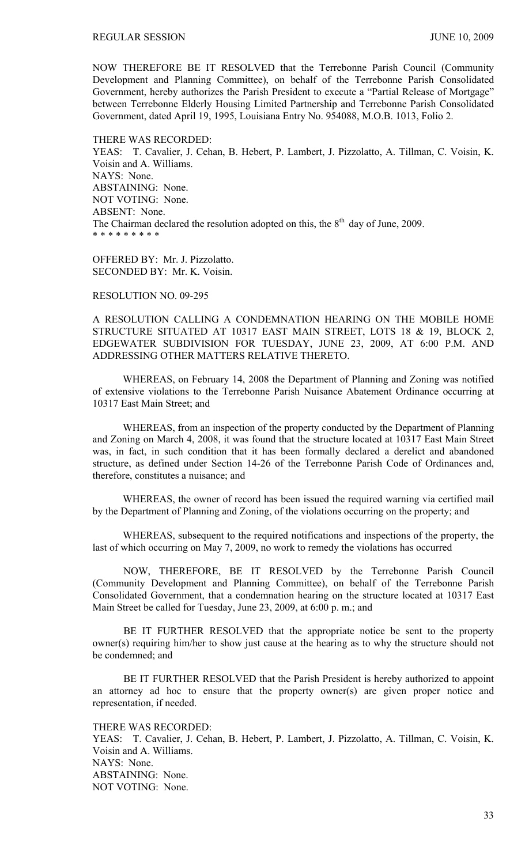NOW THEREFORE BE IT RESOLVED that the Terrebonne Parish Council (Community Development and Planning Committee), on behalf of the Terrebonne Parish Consolidated Government, hereby authorizes the Parish President to execute a "Partial Release of Mortgage" between Terrebonne Elderly Housing Limited Partnership and Terrebonne Parish Consolidated Government, dated April 19, 1995, Louisiana Entry No. 954088, M.O.B. 1013, Folio 2.

THERE WAS RECORDED:

YEAS: T. Cavalier, J. Cehan, B. Hebert, P. Lambert, J. Pizzolatto, A. Tillman, C. Voisin, K. Voisin and A. Williams. NAYS: None. ABSTAINING: None. NOT VOTING: None. ABSENT: None. The Chairman declared the resolution adopted on this, the  $8<sup>th</sup>$  day of June, 2009. \* \* \* \* \* \* \* \* \*

OFFERED BY: Mr. J. Pizzolatto. SECONDED BY: Mr. K. Voisin.

## RESOLUTION NO. 09-295

A RESOLUTION CALLING A CONDEMNATION HEARING ON THE MOBILE HOME STRUCTURE SITUATED AT 10317 EAST MAIN STREET, LOTS 18 & 19, BLOCK 2, EDGEWATER SUBDIVISION FOR TUESDAY, JUNE 23, 2009, AT 6:00 P.M. AND ADDRESSING OTHER MATTERS RELATIVE THERETO.

WHEREAS, on February 14, 2008 the Department of Planning and Zoning was notified of extensive violations to the Terrebonne Parish Nuisance Abatement Ordinance occurring at 10317 East Main Street; and

WHEREAS, from an inspection of the property conducted by the Department of Planning and Zoning on March 4, 2008, it was found that the structure located at 10317 East Main Street was, in fact, in such condition that it has been formally declared a derelict and abandoned structure, as defined under Section 14-26 of the Terrebonne Parish Code of Ordinances and, therefore, constitutes a nuisance; and

WHEREAS, the owner of record has been issued the required warning via certified mail by the Department of Planning and Zoning, of the violations occurring on the property; and

WHEREAS, subsequent to the required notifications and inspections of the property, the last of which occurring on May 7, 2009, no work to remedy the violations has occurred

 NOW, THEREFORE, BE IT RESOLVED by the Terrebonne Parish Council (Community Development and Planning Committee), on behalf of the Terrebonne Parish Consolidated Government, that a condemnation hearing on the structure located at 10317 East Main Street be called for Tuesday, June 23, 2009, at 6:00 p. m.; and

 BE IT FURTHER RESOLVED that the appropriate notice be sent to the property owner(s) requiring him/her to show just cause at the hearing as to why the structure should not be condemned; and

 BE IT FURTHER RESOLVED that the Parish President is hereby authorized to appoint an attorney ad hoc to ensure that the property owner(s) are given proper notice and representation, if needed.

THERE WAS RECORDED: YEAS: T. Cavalier, J. Cehan, B. Hebert, P. Lambert, J. Pizzolatto, A. Tillman, C. Voisin, K. Voisin and A. Williams. NAYS: None. ABSTAINING: None. NOT VOTING: None.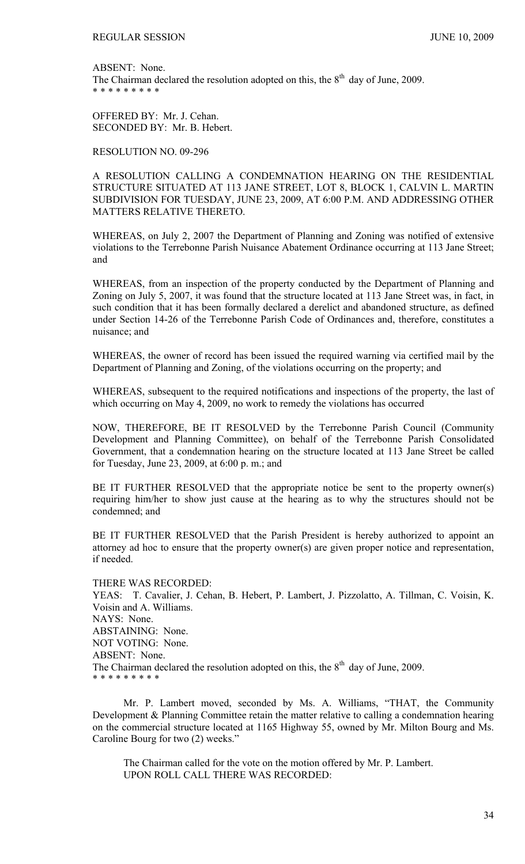ABSENT: None. The Chairman declared the resolution adopted on this, the  $8<sup>th</sup>$  day of June, 2009. \* \* \* \* \* \* \* \* \*

OFFERED BY: Mr. J. Cehan. SECONDED BY: Mr. B. Hebert.

RESOLUTION NO. 09-296

A RESOLUTION CALLING A CONDEMNATION HEARING ON THE RESIDENTIAL STRUCTURE SITUATED AT 113 JANE STREET, LOT 8, BLOCK 1, CALVIN L. MARTIN SUBDIVISION FOR TUESDAY, JUNE 23, 2009, AT 6:00 P.M. AND ADDRESSING OTHER MATTERS RELATIVE THERETO.

WHEREAS, on July 2, 2007 the Department of Planning and Zoning was notified of extensive violations to the Terrebonne Parish Nuisance Abatement Ordinance occurring at 113 Jane Street; and

WHEREAS, from an inspection of the property conducted by the Department of Planning and Zoning on July 5, 2007, it was found that the structure located at 113 Jane Street was, in fact, in such condition that it has been formally declared a derelict and abandoned structure, as defined under Section 14-26 of the Terrebonne Parish Code of Ordinances and, therefore, constitutes a nuisance; and

WHEREAS, the owner of record has been issued the required warning via certified mail by the Department of Planning and Zoning, of the violations occurring on the property; and

WHEREAS, subsequent to the required notifications and inspections of the property, the last of which occurring on May 4, 2009, no work to remedy the violations has occurred

NOW, THEREFORE, BE IT RESOLVED by the Terrebonne Parish Council (Community Development and Planning Committee), on behalf of the Terrebonne Parish Consolidated Government, that a condemnation hearing on the structure located at 113 Jane Street be called for Tuesday, June 23, 2009, at 6:00 p. m.; and

BE IT FURTHER RESOLVED that the appropriate notice be sent to the property owner(s) requiring him/her to show just cause at the hearing as to why the structures should not be condemned; and

BE IT FURTHER RESOLVED that the Parish President is hereby authorized to appoint an attorney ad hoc to ensure that the property owner(s) are given proper notice and representation, if needed.

THERE WAS RECORDED: YEAS: T. Cavalier, J. Cehan, B. Hebert, P. Lambert, J. Pizzolatto, A. Tillman, C. Voisin, K. Voisin and A. Williams. NAYS: None. ABSTAINING: None. NOT VOTING: None. ABSENT: None. The Chairman declared the resolution adopted on this, the  $8<sup>th</sup>$  day of June, 2009. \* \* \* \* \* \* \* \* \*

Mr. P. Lambert moved, seconded by Ms. A. Williams, "THAT, the Community Development & Planning Committee retain the matter relative to calling a condemnation hearing on the commercial structure located at 1165 Highway 55, owned by Mr. Milton Bourg and Ms. Caroline Bourg for two (2) weeks."

The Chairman called for the vote on the motion offered by Mr. P. Lambert. UPON ROLL CALL THERE WAS RECORDED: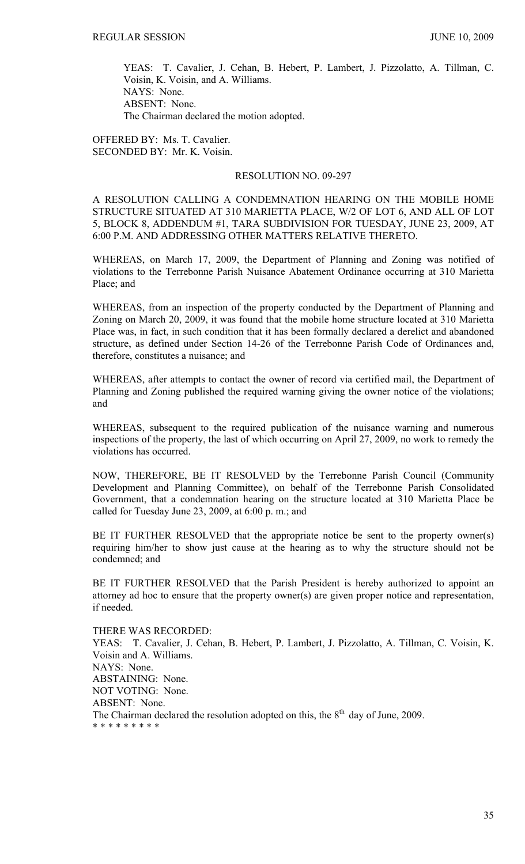YEAS: T. Cavalier, J. Cehan, B. Hebert, P. Lambert, J. Pizzolatto, A. Tillman, C. Voisin, K. Voisin, and A. Williams. NAYS: None. ABSENT: None. The Chairman declared the motion adopted.

OFFERED BY: Ms. T. Cavalier. SECONDED BY: Mr. K. Voisin.

## RESOLUTION NO. 09-297

A RESOLUTION CALLING A CONDEMNATION HEARING ON THE MOBILE HOME STRUCTURE SITUATED AT 310 MARIETTA PLACE, W/2 OF LOT 6, AND ALL OF LOT 5, BLOCK 8, ADDENDUM #1, TARA SUBDIVISION FOR TUESDAY, JUNE 23, 2009, AT 6:00 P.M. AND ADDRESSING OTHER MATTERS RELATIVE THERETO.

WHEREAS, on March 17, 2009, the Department of Planning and Zoning was notified of violations to the Terrebonne Parish Nuisance Abatement Ordinance occurring at 310 Marietta Place; and

WHEREAS, from an inspection of the property conducted by the Department of Planning and Zoning on March 20, 2009, it was found that the mobile home structure located at 310 Marietta Place was, in fact, in such condition that it has been formally declared a derelict and abandoned structure, as defined under Section 14-26 of the Terrebonne Parish Code of Ordinances and, therefore, constitutes a nuisance; and

WHEREAS, after attempts to contact the owner of record via certified mail, the Department of Planning and Zoning published the required warning giving the owner notice of the violations; and

WHEREAS, subsequent to the required publication of the nuisance warning and numerous inspections of the property, the last of which occurring on April 27, 2009, no work to remedy the violations has occurred.

NOW, THEREFORE, BE IT RESOLVED by the Terrebonne Parish Council (Community Development and Planning Committee), on behalf of the Terrebonne Parish Consolidated Government, that a condemnation hearing on the structure located at 310 Marietta Place be called for Tuesday June 23, 2009, at 6:00 p. m.; and

BE IT FURTHER RESOLVED that the appropriate notice be sent to the property owner(s) requiring him/her to show just cause at the hearing as to why the structure should not be condemned; and

BE IT FURTHER RESOLVED that the Parish President is hereby authorized to appoint an attorney ad hoc to ensure that the property owner(s) are given proper notice and representation, if needed.

THERE WAS RECORDED:

YEAS: T. Cavalier, J. Cehan, B. Hebert, P. Lambert, J. Pizzolatto, A. Tillman, C. Voisin, K. Voisin and A. Williams. NAYS: None. ABSTAINING: None. NOT VOTING: None. ABSENT: None. The Chairman declared the resolution adopted on this, the  $8<sup>th</sup>$  day of June, 2009. \* \* \* \* \* \* \* \* \*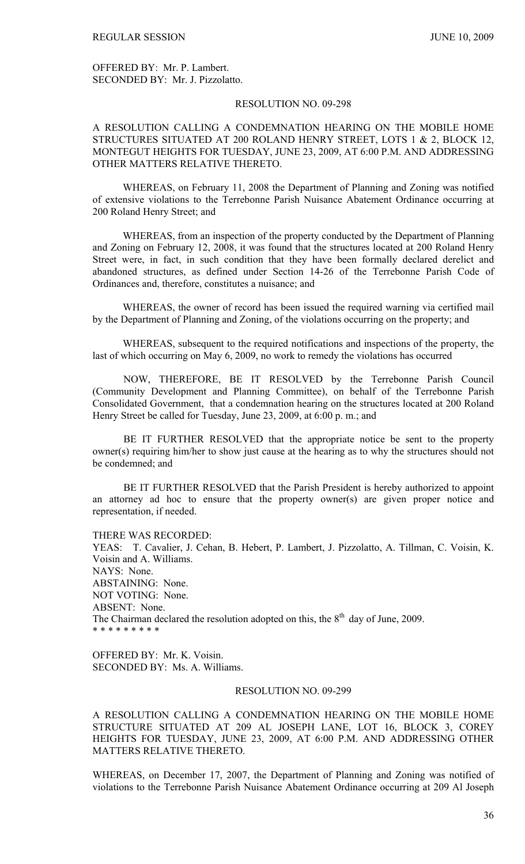OFFERED BY: Mr. P. Lambert. SECONDED BY: Mr. J. Pizzolatto.

## RESOLUTION NO. 09-298

# A RESOLUTION CALLING A CONDEMNATION HEARING ON THE MOBILE HOME STRUCTURES SITUATED AT 200 ROLAND HENRY STREET, LOTS 1 & 2, BLOCK 12, MONTEGUT HEIGHTS FOR TUESDAY, JUNE 23, 2009, AT 6:00 P.M. AND ADDRESSING OTHER MATTERS RELATIVE THERETO.

WHEREAS, on February 11, 2008 the Department of Planning and Zoning was notified of extensive violations to the Terrebonne Parish Nuisance Abatement Ordinance occurring at 200 Roland Henry Street; and

WHEREAS, from an inspection of the property conducted by the Department of Planning and Zoning on February 12, 2008, it was found that the structures located at 200 Roland Henry Street were, in fact, in such condition that they have been formally declared derelict and abandoned structures, as defined under Section 14-26 of the Terrebonne Parish Code of Ordinances and, therefore, constitutes a nuisance; and

WHEREAS, the owner of record has been issued the required warning via certified mail by the Department of Planning and Zoning, of the violations occurring on the property; and

WHEREAS, subsequent to the required notifications and inspections of the property, the last of which occurring on May 6, 2009, no work to remedy the violations has occurred

 NOW, THEREFORE, BE IT RESOLVED by the Terrebonne Parish Council (Community Development and Planning Committee), on behalf of the Terrebonne Parish Consolidated Government, that a condemnation hearing on the structures located at 200 Roland Henry Street be called for Tuesday, June 23, 2009, at 6:00 p. m.; and

 BE IT FURTHER RESOLVED that the appropriate notice be sent to the property owner(s) requiring him/her to show just cause at the hearing as to why the structures should not be condemned; and

 BE IT FURTHER RESOLVED that the Parish President is hereby authorized to appoint an attorney ad hoc to ensure that the property owner(s) are given proper notice and representation, if needed.

THERE WAS RECORDED:

YEAS: T. Cavalier, J. Cehan, B. Hebert, P. Lambert, J. Pizzolatto, A. Tillman, C. Voisin, K. Voisin and A. Williams. NAYS: None. ABSTAINING: None. NOT VOTING: None. ABSENT: None. The Chairman declared the resolution adopted on this, the  $8<sup>th</sup>$  day of June, 2009. \* \* \* \* \* \* \* \* \*

OFFERED BY: Mr. K. Voisin. SECONDED BY: Ms. A. Williams.

## RESOLUTION NO. 09-299

A RESOLUTION CALLING A CONDEMNATION HEARING ON THE MOBILE HOME STRUCTURE SITUATED AT 209 AL JOSEPH LANE, LOT 16, BLOCK 3, COREY HEIGHTS FOR TUESDAY, JUNE 23, 2009, AT 6:00 P.M. AND ADDRESSING OTHER MATTERS RELATIVE THERETO.

WHEREAS, on December 17, 2007, the Department of Planning and Zoning was notified of violations to the Terrebonne Parish Nuisance Abatement Ordinance occurring at 209 Al Joseph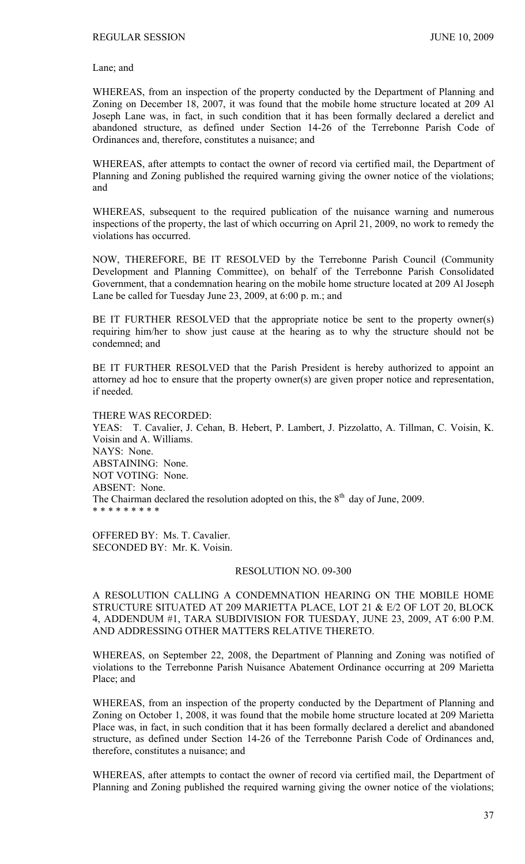Lane; and

WHEREAS, from an inspection of the property conducted by the Department of Planning and Zoning on December 18, 2007, it was found that the mobile home structure located at 209 Al Joseph Lane was, in fact, in such condition that it has been formally declared a derelict and abandoned structure, as defined under Section 14-26 of the Terrebonne Parish Code of Ordinances and, therefore, constitutes a nuisance; and

WHEREAS, after attempts to contact the owner of record via certified mail, the Department of Planning and Zoning published the required warning giving the owner notice of the violations; and

WHEREAS, subsequent to the required publication of the nuisance warning and numerous inspections of the property, the last of which occurring on April 21, 2009, no work to remedy the violations has occurred.

NOW, THEREFORE, BE IT RESOLVED by the Terrebonne Parish Council (Community Development and Planning Committee), on behalf of the Terrebonne Parish Consolidated Government, that a condemnation hearing on the mobile home structure located at 209 Al Joseph Lane be called for Tuesday June 23, 2009, at 6:00 p. m.; and

BE IT FURTHER RESOLVED that the appropriate notice be sent to the property owner(s) requiring him/her to show just cause at the hearing as to why the structure should not be condemned; and

BE IT FURTHER RESOLVED that the Parish President is hereby authorized to appoint an attorney ad hoc to ensure that the property owner(s) are given proper notice and representation, if needed.

THERE WAS RECORDED: YEAS: T. Cavalier, J. Cehan, B. Hebert, P. Lambert, J. Pizzolatto, A. Tillman, C. Voisin, K. Voisin and A. Williams. NAYS: None. ABSTAINING: None. NOT VOTING: None. ABSENT: None. The Chairman declared the resolution adopted on this, the  $8<sup>th</sup>$  day of June, 2009. \* \* \* \* \* \* \* \* \*

OFFERED BY: Ms. T. Cavalier. SECONDED BY: Mr. K. Voisin.

#### RESOLUTION NO. 09-300

A RESOLUTION CALLING A CONDEMNATION HEARING ON THE MOBILE HOME STRUCTURE SITUATED AT 209 MARIETTA PLACE, LOT 21 & E/2 OF LOT 20, BLOCK 4, ADDENDUM #1, TARA SUBDIVISION FOR TUESDAY, JUNE 23, 2009, AT 6:00 P.M. AND ADDRESSING OTHER MATTERS RELATIVE THERETO.

WHEREAS, on September 22, 2008, the Department of Planning and Zoning was notified of violations to the Terrebonne Parish Nuisance Abatement Ordinance occurring at 209 Marietta Place; and

WHEREAS, from an inspection of the property conducted by the Department of Planning and Zoning on October 1, 2008, it was found that the mobile home structure located at 209 Marietta Place was, in fact, in such condition that it has been formally declared a derelict and abandoned structure, as defined under Section 14-26 of the Terrebonne Parish Code of Ordinances and, therefore, constitutes a nuisance; and

WHEREAS, after attempts to contact the owner of record via certified mail, the Department of Planning and Zoning published the required warning giving the owner notice of the violations;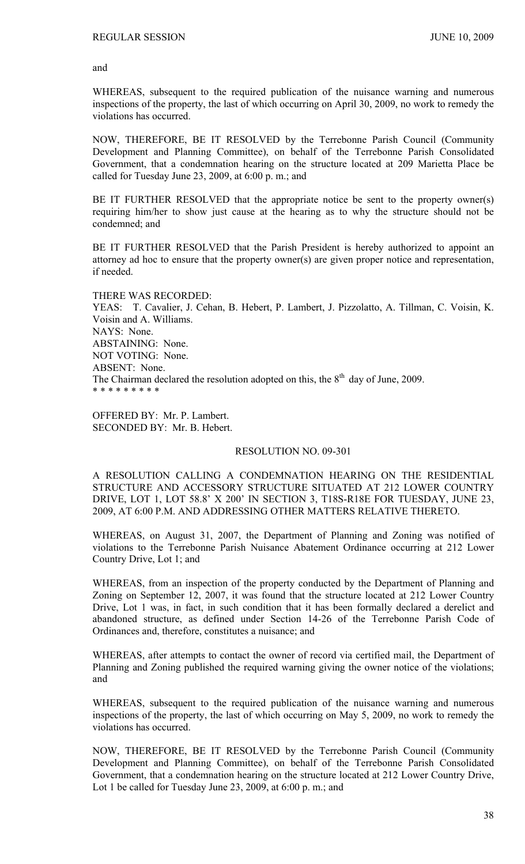and

WHEREAS, subsequent to the required publication of the nuisance warning and numerous inspections of the property, the last of which occurring on April 30, 2009, no work to remedy the violations has occurred.

NOW, THEREFORE, BE IT RESOLVED by the Terrebonne Parish Council (Community Development and Planning Committee), on behalf of the Terrebonne Parish Consolidated Government, that a condemnation hearing on the structure located at 209 Marietta Place be called for Tuesday June 23, 2009, at 6:00 p. m.; and

BE IT FURTHER RESOLVED that the appropriate notice be sent to the property owner(s) requiring him/her to show just cause at the hearing as to why the structure should not be condemned; and

BE IT FURTHER RESOLVED that the Parish President is hereby authorized to appoint an attorney ad hoc to ensure that the property owner(s) are given proper notice and representation, if needed.

THERE WAS RECORDED: YEAS: T. Cavalier, J. Cehan, B. Hebert, P. Lambert, J. Pizzolatto, A. Tillman, C. Voisin, K. Voisin and A. Williams. NAYS: None. ABSTAINING: None. NOT VOTING: None. ABSENT: None. The Chairman declared the resolution adopted on this, the  $8<sup>th</sup>$  day of June, 2009. \* \* \* \* \* \* \* \* \*

OFFERED BY: Mr. P. Lambert. SECONDED BY: Mr. B. Hebert.

# RESOLUTION NO. 09-301

A RESOLUTION CALLING A CONDEMNATION HEARING ON THE RESIDENTIAL STRUCTURE AND ACCESSORY STRUCTURE SITUATED AT 212 LOWER COUNTRY DRIVE, LOT 1, LOT 58.8' X 200' IN SECTION 3, T18S-R18E FOR TUESDAY, JUNE 23, 2009, AT 6:00 P.M. AND ADDRESSING OTHER MATTERS RELATIVE THERETO.

WHEREAS, on August 31, 2007, the Department of Planning and Zoning was notified of violations to the Terrebonne Parish Nuisance Abatement Ordinance occurring at 212 Lower Country Drive, Lot 1; and

WHEREAS, from an inspection of the property conducted by the Department of Planning and Zoning on September 12, 2007, it was found that the structure located at 212 Lower Country Drive, Lot 1 was, in fact, in such condition that it has been formally declared a derelict and abandoned structure, as defined under Section 14-26 of the Terrebonne Parish Code of Ordinances and, therefore, constitutes a nuisance; and

WHEREAS, after attempts to contact the owner of record via certified mail, the Department of Planning and Zoning published the required warning giving the owner notice of the violations; and

WHEREAS, subsequent to the required publication of the nuisance warning and numerous inspections of the property, the last of which occurring on May 5, 2009, no work to remedy the violations has occurred.

NOW, THEREFORE, BE IT RESOLVED by the Terrebonne Parish Council (Community Development and Planning Committee), on behalf of the Terrebonne Parish Consolidated Government, that a condemnation hearing on the structure located at 212 Lower Country Drive, Lot 1 be called for Tuesday June 23, 2009, at 6:00 p.m.; and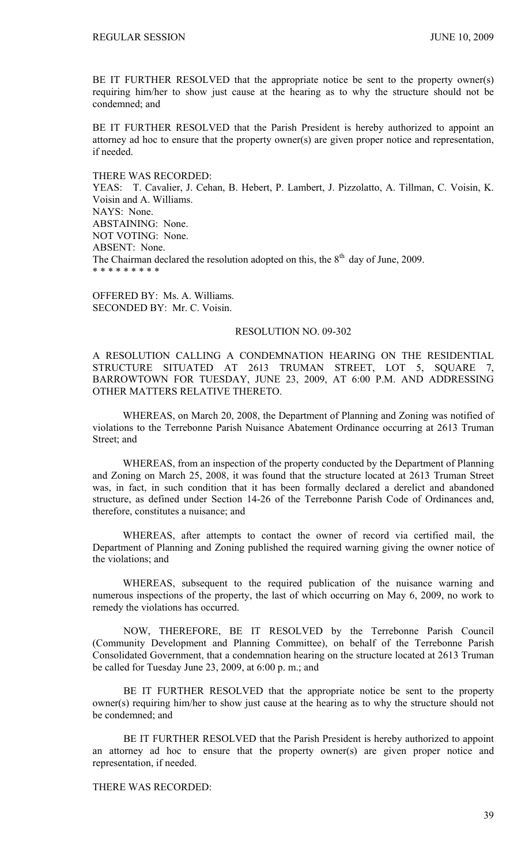BE IT FURTHER RESOLVED that the appropriate notice be sent to the property owner(s) requiring him/her to show just cause at the hearing as to why the structure should not be condemned; and

BE IT FURTHER RESOLVED that the Parish President is hereby authorized to appoint an attorney ad hoc to ensure that the property owner(s) are given proper notice and representation, if needed.

THERE WAS RECORDED: YEAS: T. Cavalier, J. Cehan, B. Hebert, P. Lambert, J. Pizzolatto, A. Tillman, C. Voisin, K. Voisin and A. Williams. NAYS: None. ABSTAINING: None. NOT VOTING: None. ABSENT: None. The Chairman declared the resolution adopted on this, the  $8<sup>th</sup>$  day of June, 2009. \* \* \* \* \* \* \* \* \*

OFFERED BY: Ms. A. Williams. SECONDED BY: Mr. C. Voisin.

# RESOLUTION NO. 09-302

A RESOLUTION CALLING A CONDEMNATION HEARING ON THE RESIDENTIAL STRUCTURE SITUATED AT 2613 TRUMAN STREET, LOT 5, SQUARE 7, BARROWTOWN FOR TUESDAY, JUNE 23, 2009, AT 6:00 P.M. AND ADDRESSING OTHER MATTERS RELATIVE THERETO.

WHEREAS, on March 20, 2008, the Department of Planning and Zoning was notified of violations to the Terrebonne Parish Nuisance Abatement Ordinance occurring at 2613 Truman Street; and

WHEREAS, from an inspection of the property conducted by the Department of Planning and Zoning on March 25, 2008, it was found that the structure located at 2613 Truman Street was, in fact, in such condition that it has been formally declared a derelict and abandoned structure, as defined under Section 14-26 of the Terrebonne Parish Code of Ordinances and, therefore, constitutes a nuisance; and

WHEREAS, after attempts to contact the owner of record via certified mail, the Department of Planning and Zoning published the required warning giving the owner notice of the violations; and

WHEREAS, subsequent to the required publication of the nuisance warning and numerous inspections of the property, the last of which occurring on May 6, 2009, no work to remedy the violations has occurred.

 NOW, THEREFORE, BE IT RESOLVED by the Terrebonne Parish Council (Community Development and Planning Committee), on behalf of the Terrebonne Parish Consolidated Government, that a condemnation hearing on the structure located at 2613 Truman be called for Tuesday June 23, 2009, at 6:00 p. m.; and

 BE IT FURTHER RESOLVED that the appropriate notice be sent to the property owner(s) requiring him/her to show just cause at the hearing as to why the structure should not be condemned; and

 BE IT FURTHER RESOLVED that the Parish President is hereby authorized to appoint an attorney ad hoc to ensure that the property owner(s) are given proper notice and representation, if needed.

THERE WAS RECORDED: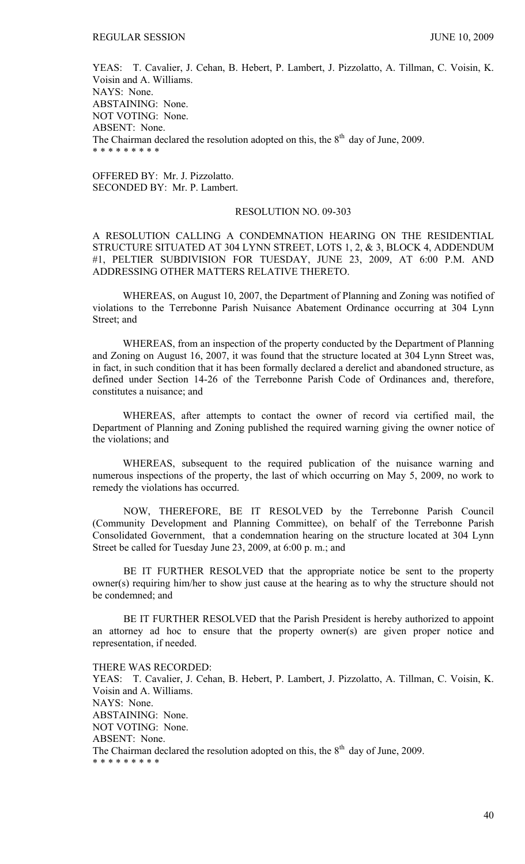YEAS: T. Cavalier, J. Cehan, B. Hebert, P. Lambert, J. Pizzolatto, A. Tillman, C. Voisin, K. Voisin and A. Williams. NAYS: None. ABSTAINING: None. NOT VOTING: None. ABSENT: None. The Chairman declared the resolution adopted on this, the  $8<sup>th</sup>$  day of June, 2009. \* \* \* \* \* \* \* \* \*

OFFERED BY: Mr. J. Pizzolatto. SECONDED BY: Mr. P. Lambert.

# RESOLUTION NO. 09-303

A RESOLUTION CALLING A CONDEMNATION HEARING ON THE RESIDENTIAL STRUCTURE SITUATED AT 304 LYNN STREET, LOTS 1, 2, & 3, BLOCK 4, ADDENDUM #1, PELTIER SUBDIVISION FOR TUESDAY, JUNE 23, 2009, AT 6:00 P.M. AND ADDRESSING OTHER MATTERS RELATIVE THERETO.

WHEREAS, on August 10, 2007, the Department of Planning and Zoning was notified of violations to the Terrebonne Parish Nuisance Abatement Ordinance occurring at 304 Lynn Street; and

WHEREAS, from an inspection of the property conducted by the Department of Planning and Zoning on August 16, 2007, it was found that the structure located at 304 Lynn Street was, in fact, in such condition that it has been formally declared a derelict and abandoned structure, as defined under Section 14-26 of the Terrebonne Parish Code of Ordinances and, therefore, constitutes a nuisance; and

WHEREAS, after attempts to contact the owner of record via certified mail, the Department of Planning and Zoning published the required warning giving the owner notice of the violations; and

WHEREAS, subsequent to the required publication of the nuisance warning and numerous inspections of the property, the last of which occurring on May 5, 2009, no work to remedy the violations has occurred.

 NOW, THEREFORE, BE IT RESOLVED by the Terrebonne Parish Council (Community Development and Planning Committee), on behalf of the Terrebonne Parish Consolidated Government, that a condemnation hearing on the structure located at 304 Lynn Street be called for Tuesday June 23, 2009, at 6:00 p. m.; and

 BE IT FURTHER RESOLVED that the appropriate notice be sent to the property owner(s) requiring him/her to show just cause at the hearing as to why the structure should not be condemned; and

 BE IT FURTHER RESOLVED that the Parish President is hereby authorized to appoint an attorney ad hoc to ensure that the property owner(s) are given proper notice and representation, if needed.

THERE WAS RECORDED: YEAS: T. Cavalier, J. Cehan, B. Hebert, P. Lambert, J. Pizzolatto, A. Tillman, C. Voisin, K. Voisin and A. Williams. NAYS: None. ABSTAINING: None. NOT VOTING: None. ABSENT: None. The Chairman declared the resolution adopted on this, the  $8<sup>th</sup>$  day of June, 2009. \* \* \* \* \* \* \* \* \*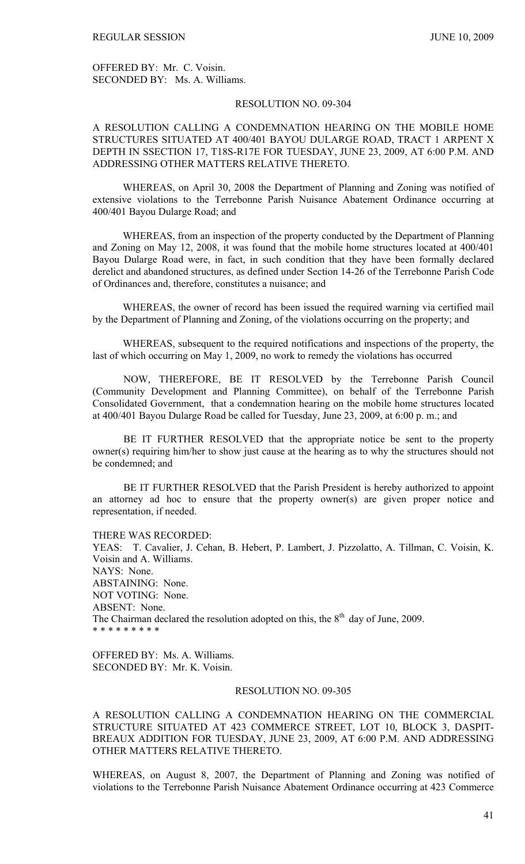OFFERED BY: Mr. C. Voisin. SECONDED BY: Ms. A. Williams.

## RESOLUTION NO. 09-304

# A RESOLUTION CALLING A CONDEMNATION HEARING ON THE MOBILE HOME STRUCTURES SITUATED AT 400/401 BAYOU DULARGE ROAD, TRACT 1 ARPENT X DEPTH IN SSECTION 17, T18S-R17E FOR TUESDAY, JUNE 23, 2009, AT 6:00 P.M. AND ADDRESSING OTHER MATTERS RELATIVE THERETO.

WHEREAS, on April 30, 2008 the Department of Planning and Zoning was notified of extensive violations to the Terrebonne Parish Nuisance Abatement Ordinance occurring at 400/401 Bayou Dularge Road; and

WHEREAS, from an inspection of the property conducted by the Department of Planning and Zoning on May 12, 2008, it was found that the mobile home structures located at 400/401 Bayou Dularge Road were, in fact, in such condition that they have been formally declared derelict and abandoned structures, as defined under Section 14-26 of the Terrebonne Parish Code of Ordinances and, therefore, constitutes a nuisance; and

WHEREAS, the owner of record has been issued the required warning via certified mail by the Department of Planning and Zoning, of the violations occurring on the property; and

WHEREAS, subsequent to the required notifications and inspections of the property, the last of which occurring on May 1, 2009, no work to remedy the violations has occurred

 NOW, THEREFORE, BE IT RESOLVED by the Terrebonne Parish Council (Community Development and Planning Committee), on behalf of the Terrebonne Parish Consolidated Government, that a condemnation hearing on the mobile home structures located at 400/401 Bayou Dularge Road be called for Tuesday, June 23, 2009, at 6:00 p. m.; and

 BE IT FURTHER RESOLVED that the appropriate notice be sent to the property owner(s) requiring him/her to show just cause at the hearing as to why the structures should not be condemned; and

 BE IT FURTHER RESOLVED that the Parish President is hereby authorized to appoint an attorney ad hoc to ensure that the property owner(s) are given proper notice and representation, if needed.

THERE WAS RECORDED:

YEAS: T. Cavalier, J. Cehan, B. Hebert, P. Lambert, J. Pizzolatto, A. Tillman, C. Voisin, K. Voisin and A. Williams. NAYS: None. ABSTAINING: None. NOT VOTING: None. ABSENT: None. The Chairman declared the resolution adopted on this, the  $8<sup>th</sup>$  day of June, 2009. \* \* \* \* \* \* \* \* \*

OFFERED BY: Ms. A. Williams. SECONDED BY: Mr. K. Voisin.

# RESOLUTION NO. 09-305

A RESOLUTION CALLING A CONDEMNATION HEARING ON THE COMMERCIAL STRUCTURE SITUATED AT 423 COMMERCE STREET, LOT 10, BLOCK 3, DASPIT-BREAUX ADDITION FOR TUESDAY, JUNE 23, 2009, AT 6:00 P.M. AND ADDRESSING OTHER MATTERS RELATIVE THERETO.

WHEREAS, on August 8, 2007, the Department of Planning and Zoning was notified of violations to the Terrebonne Parish Nuisance Abatement Ordinance occurring at 423 Commerce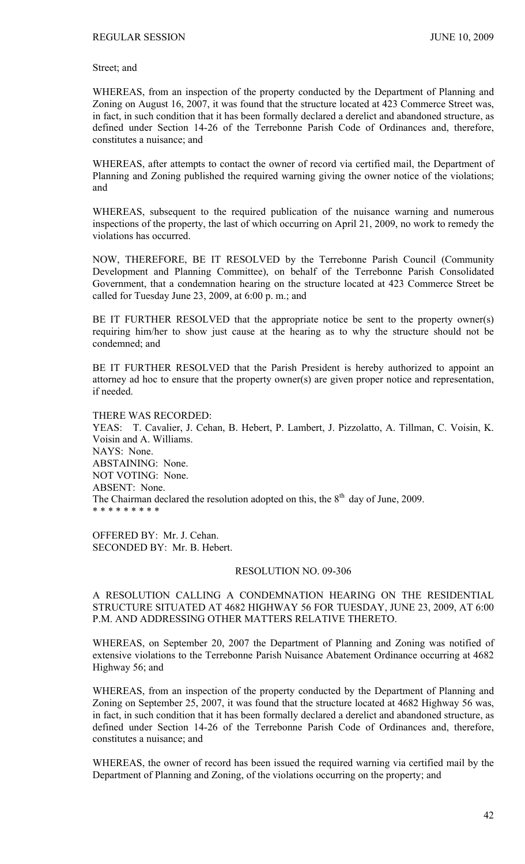Street; and

WHEREAS, from an inspection of the property conducted by the Department of Planning and Zoning on August 16, 2007, it was found that the structure located at 423 Commerce Street was, in fact, in such condition that it has been formally declared a derelict and abandoned structure, as defined under Section 14-26 of the Terrebonne Parish Code of Ordinances and, therefore, constitutes a nuisance; and

WHEREAS, after attempts to contact the owner of record via certified mail, the Department of Planning and Zoning published the required warning giving the owner notice of the violations; and

WHEREAS, subsequent to the required publication of the nuisance warning and numerous inspections of the property, the last of which occurring on April 21, 2009, no work to remedy the violations has occurred.

NOW, THEREFORE, BE IT RESOLVED by the Terrebonne Parish Council (Community Development and Planning Committee), on behalf of the Terrebonne Parish Consolidated Government, that a condemnation hearing on the structure located at 423 Commerce Street be called for Tuesday June 23, 2009, at 6:00 p. m.; and

BE IT FURTHER RESOLVED that the appropriate notice be sent to the property owner(s) requiring him/her to show just cause at the hearing as to why the structure should not be condemned; and

BE IT FURTHER RESOLVED that the Parish President is hereby authorized to appoint an attorney ad hoc to ensure that the property owner(s) are given proper notice and representation, if needed.

THERE WAS RECORDED: YEAS: T. Cavalier, J. Cehan, B. Hebert, P. Lambert, J. Pizzolatto, A. Tillman, C. Voisin, K. Voisin and A. Williams. NAYS: None. ABSTAINING: None. NOT VOTING: None. ABSENT: None. The Chairman declared the resolution adopted on this, the  $8<sup>th</sup>$  day of June, 2009. \* \* \* \* \* \* \* \* \*

OFFERED BY: Mr. J. Cehan. SECONDED BY: Mr. B. Hebert.

### RESOLUTION NO. 09-306

A RESOLUTION CALLING A CONDEMNATION HEARING ON THE RESIDENTIAL STRUCTURE SITUATED AT 4682 HIGHWAY 56 FOR TUESDAY, JUNE 23, 2009, AT 6:00 P.M. AND ADDRESSING OTHER MATTERS RELATIVE THERETO.

WHEREAS, on September 20, 2007 the Department of Planning and Zoning was notified of extensive violations to the Terrebonne Parish Nuisance Abatement Ordinance occurring at 4682 Highway 56; and

WHEREAS, from an inspection of the property conducted by the Department of Planning and Zoning on September 25, 2007, it was found that the structure located at 4682 Highway 56 was, in fact, in such condition that it has been formally declared a derelict and abandoned structure, as defined under Section 14-26 of the Terrebonne Parish Code of Ordinances and, therefore, constitutes a nuisance; and

WHEREAS, the owner of record has been issued the required warning via certified mail by the Department of Planning and Zoning, of the violations occurring on the property; and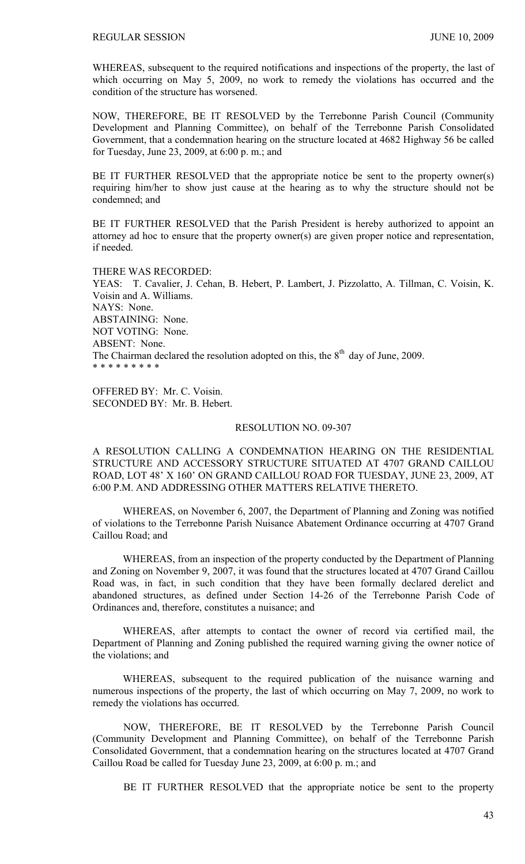WHEREAS, subsequent to the required notifications and inspections of the property, the last of which occurring on May 5, 2009, no work to remedy the violations has occurred and the condition of the structure has worsened.

NOW, THEREFORE, BE IT RESOLVED by the Terrebonne Parish Council (Community Development and Planning Committee), on behalf of the Terrebonne Parish Consolidated Government, that a condemnation hearing on the structure located at 4682 Highway 56 be called for Tuesday, June 23, 2009, at 6:00 p. m.; and

BE IT FURTHER RESOLVED that the appropriate notice be sent to the property owner(s) requiring him/her to show just cause at the hearing as to why the structure should not be condemned; and

BE IT FURTHER RESOLVED that the Parish President is hereby authorized to appoint an attorney ad hoc to ensure that the property owner(s) are given proper notice and representation, if needed.

THERE WAS RECORDED: YEAS: T. Cavalier, J. Cehan, B. Hebert, P. Lambert, J. Pizzolatto, A. Tillman, C. Voisin, K. Voisin and A. Williams. NAYS: None. ABSTAINING: None. NOT VOTING: None. ABSENT: None. The Chairman declared the resolution adopted on this, the  $8<sup>th</sup>$  day of June, 2009. \* \* \* \* \* \* \* \* \*

OFFERED BY: Mr. C. Voisin. SECONDED BY: Mr. B. Hebert.

### RESOLUTION NO. 09-307

A RESOLUTION CALLING A CONDEMNATION HEARING ON THE RESIDENTIAL STRUCTURE AND ACCESSORY STRUCTURE SITUATED AT 4707 GRAND CAILLOU ROAD, LOT 48' X 160' ON GRAND CAILLOU ROAD FOR TUESDAY, JUNE 23, 2009, AT 6:00 P.M. AND ADDRESSING OTHER MATTERS RELATIVE THERETO.

WHEREAS, on November 6, 2007, the Department of Planning and Zoning was notified of violations to the Terrebonne Parish Nuisance Abatement Ordinance occurring at 4707 Grand Caillou Road; and

WHEREAS, from an inspection of the property conducted by the Department of Planning and Zoning on November 9, 2007, it was found that the structures located at 4707 Grand Caillou Road was, in fact, in such condition that they have been formally declared derelict and abandoned structures, as defined under Section 14-26 of the Terrebonne Parish Code of Ordinances and, therefore, constitutes a nuisance; and

WHEREAS, after attempts to contact the owner of record via certified mail, the Department of Planning and Zoning published the required warning giving the owner notice of the violations; and

WHEREAS, subsequent to the required publication of the nuisance warning and numerous inspections of the property, the last of which occurring on May 7, 2009, no work to remedy the violations has occurred.

 NOW, THEREFORE, BE IT RESOLVED by the Terrebonne Parish Council (Community Development and Planning Committee), on behalf of the Terrebonne Parish Consolidated Government, that a condemnation hearing on the structures located at 4707 Grand Caillou Road be called for Tuesday June 23, 2009, at 6:00 p. m.; and

BE IT FURTHER RESOLVED that the appropriate notice be sent to the property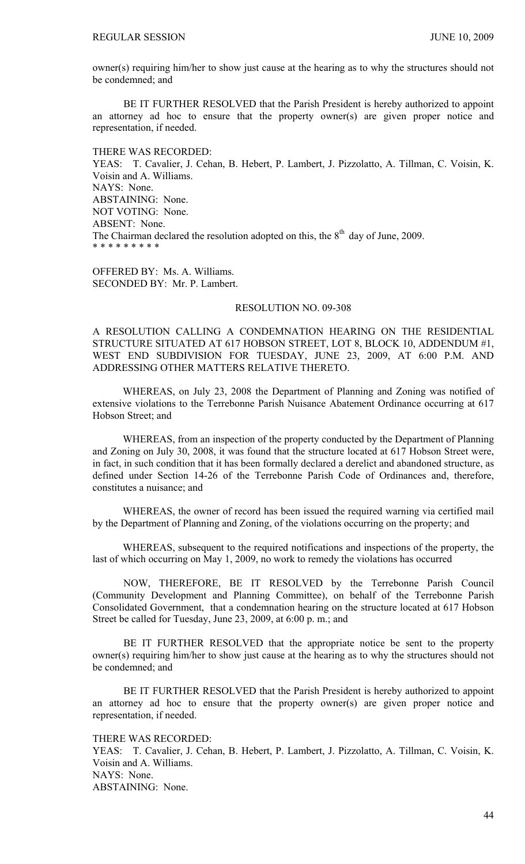owner(s) requiring him/her to show just cause at the hearing as to why the structures should not be condemned; and

 BE IT FURTHER RESOLVED that the Parish President is hereby authorized to appoint an attorney ad hoc to ensure that the property owner(s) are given proper notice and representation, if needed.

THERE WAS RECORDED: YEAS: T. Cavalier, J. Cehan, B. Hebert, P. Lambert, J. Pizzolatto, A. Tillman, C. Voisin, K. Voisin and A. Williams. NAYS: None. ABSTAINING: None. NOT VOTING: None. ABSENT: None. The Chairman declared the resolution adopted on this, the  $8<sup>th</sup>$  day of June, 2009. \* \* \* \* \* \* \* \* \*

OFFERED BY: Ms. A. Williams. SECONDED BY: Mr. P. Lambert.

# RESOLUTION NO. 09-308

A RESOLUTION CALLING A CONDEMNATION HEARING ON THE RESIDENTIAL STRUCTURE SITUATED AT 617 HOBSON STREET, LOT 8, BLOCK 10, ADDENDUM #1, WEST END SUBDIVISION FOR TUESDAY, JUNE 23, 2009, AT 6:00 P.M. AND ADDRESSING OTHER MATTERS RELATIVE THERETO.

WHEREAS, on July 23, 2008 the Department of Planning and Zoning was notified of extensive violations to the Terrebonne Parish Nuisance Abatement Ordinance occurring at 617 Hobson Street; and

WHEREAS, from an inspection of the property conducted by the Department of Planning and Zoning on July 30, 2008, it was found that the structure located at 617 Hobson Street were, in fact, in such condition that it has been formally declared a derelict and abandoned structure, as defined under Section 14-26 of the Terrebonne Parish Code of Ordinances and, therefore, constitutes a nuisance; and

WHEREAS, the owner of record has been issued the required warning via certified mail by the Department of Planning and Zoning, of the violations occurring on the property; and

WHEREAS, subsequent to the required notifications and inspections of the property, the last of which occurring on May 1, 2009, no work to remedy the violations has occurred

 NOW, THEREFORE, BE IT RESOLVED by the Terrebonne Parish Council (Community Development and Planning Committee), on behalf of the Terrebonne Parish Consolidated Government, that a condemnation hearing on the structure located at 617 Hobson Street be called for Tuesday, June 23, 2009, at 6:00 p. m.; and

 BE IT FURTHER RESOLVED that the appropriate notice be sent to the property owner(s) requiring him/her to show just cause at the hearing as to why the structures should not be condemned; and

 BE IT FURTHER RESOLVED that the Parish President is hereby authorized to appoint an attorney ad hoc to ensure that the property owner(s) are given proper notice and representation, if needed.

THERE WAS RECORDED:

YEAS: T. Cavalier, J. Cehan, B. Hebert, P. Lambert, J. Pizzolatto, A. Tillman, C. Voisin, K. Voisin and A. Williams. NAYS: None. ABSTAINING: None.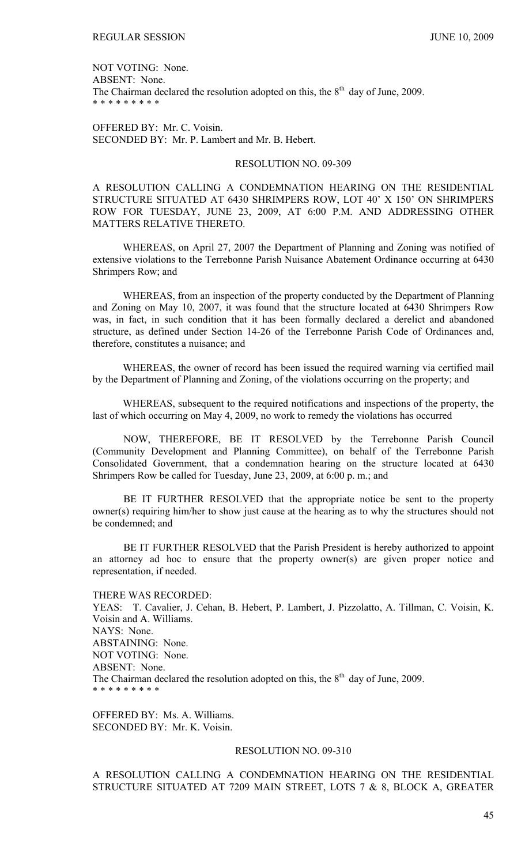NOT VOTING: None. ABSENT: None. The Chairman declared the resolution adopted on this, the  $8<sup>th</sup>$  day of June, 2009. \* \* \* \* \* \* \* \* \*

OFFERED BY: Mr. C. Voisin. SECONDED BY: Mr. P. Lambert and Mr. B. Hebert.

# RESOLUTION NO. 09-309

A RESOLUTION CALLING A CONDEMNATION HEARING ON THE RESIDENTIAL STRUCTURE SITUATED AT 6430 SHRIMPERS ROW, LOT 40' X 150' ON SHRIMPERS ROW FOR TUESDAY, JUNE 23, 2009, AT 6:00 P.M. AND ADDRESSING OTHER MATTERS RELATIVE THERETO.

WHEREAS, on April 27, 2007 the Department of Planning and Zoning was notified of extensive violations to the Terrebonne Parish Nuisance Abatement Ordinance occurring at 6430 Shrimpers Row; and

WHEREAS, from an inspection of the property conducted by the Department of Planning and Zoning on May 10, 2007, it was found that the structure located at 6430 Shrimpers Row was, in fact, in such condition that it has been formally declared a derelict and abandoned structure, as defined under Section 14-26 of the Terrebonne Parish Code of Ordinances and, therefore, constitutes a nuisance; and

WHEREAS, the owner of record has been issued the required warning via certified mail by the Department of Planning and Zoning, of the violations occurring on the property; and

WHEREAS, subsequent to the required notifications and inspections of the property, the last of which occurring on May 4, 2009, no work to remedy the violations has occurred

 NOW, THEREFORE, BE IT RESOLVED by the Terrebonne Parish Council (Community Development and Planning Committee), on behalf of the Terrebonne Parish Consolidated Government, that a condemnation hearing on the structure located at 6430 Shrimpers Row be called for Tuesday, June 23, 2009, at 6:00 p. m.; and

 BE IT FURTHER RESOLVED that the appropriate notice be sent to the property owner(s) requiring him/her to show just cause at the hearing as to why the structures should not be condemned; and

 BE IT FURTHER RESOLVED that the Parish President is hereby authorized to appoint an attorney ad hoc to ensure that the property owner(s) are given proper notice and representation, if needed.

THERE WAS RECORDED:

YEAS: T. Cavalier, J. Cehan, B. Hebert, P. Lambert, J. Pizzolatto, A. Tillman, C. Voisin, K. Voisin and A. Williams. NAYS: None. ABSTAINING: None. NOT VOTING: None. ABSENT: None. The Chairman declared the resolution adopted on this, the  $8<sup>th</sup>$  day of June, 2009. \* \* \* \* \* \* \* \* \*

OFFERED BY: Ms. A. Williams. SECONDED BY: Mr. K. Voisin.

# RESOLUTION NO. 09-310

A RESOLUTION CALLING A CONDEMNATION HEARING ON THE RESIDENTIAL STRUCTURE SITUATED AT 7209 MAIN STREET, LOTS 7 & 8, BLOCK A, GREATER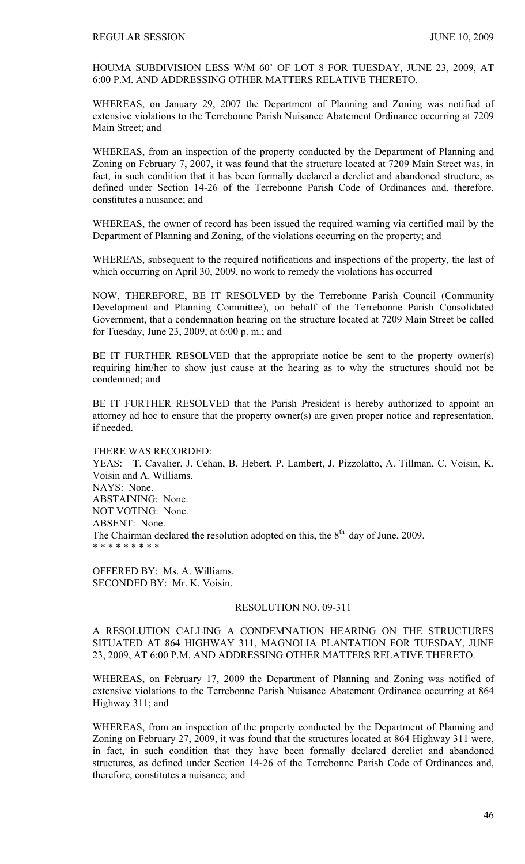HOUMA SUBDIVISION LESS W/M 60' OF LOT 8 FOR TUESDAY, JUNE 23, 2009, AT 6:00 P.M. AND ADDRESSING OTHER MATTERS RELATIVE THERETO.

WHEREAS, on January 29, 2007 the Department of Planning and Zoning was notified of extensive violations to the Terrebonne Parish Nuisance Abatement Ordinance occurring at 7209 Main Street; and

WHEREAS, from an inspection of the property conducted by the Department of Planning and Zoning on February 7, 2007, it was found that the structure located at 7209 Main Street was, in fact, in such condition that it has been formally declared a derelict and abandoned structure, as defined under Section 14-26 of the Terrebonne Parish Code of Ordinances and, therefore, constitutes a nuisance; and

WHEREAS, the owner of record has been issued the required warning via certified mail by the Department of Planning and Zoning, of the violations occurring on the property; and

WHEREAS, subsequent to the required notifications and inspections of the property, the last of which occurring on April 30, 2009, no work to remedy the violations has occurred

NOW, THEREFORE, BE IT RESOLVED by the Terrebonne Parish Council (Community Development and Planning Committee), on behalf of the Terrebonne Parish Consolidated Government, that a condemnation hearing on the structure located at 7209 Main Street be called for Tuesday, June 23, 2009, at 6:00 p. m.; and

BE IT FURTHER RESOLVED that the appropriate notice be sent to the property owner(s) requiring him/her to show just cause at the hearing as to why the structures should not be condemned; and

BE IT FURTHER RESOLVED that the Parish President is hereby authorized to appoint an attorney ad hoc to ensure that the property owner(s) are given proper notice and representation, if needed.

THERE WAS RECORDED: YEAS: T. Cavalier, J. Cehan, B. Hebert, P. Lambert, J. Pizzolatto, A. Tillman, C. Voisin, K. Voisin and A. Williams. NAYS: None. ABSTAINING: None. NOT VOTING: None. ABSENT: None. The Chairman declared the resolution adopted on this, the  $8<sup>th</sup>$  day of June, 2009. \* \* \* \* \* \* \* \* \*

OFFERED BY: Ms. A. Williams. SECONDED BY: Mr. K. Voisin.

# RESOLUTION NO. 09-311

A RESOLUTION CALLING A CONDEMNATION HEARING ON THE STRUCTURES SITUATED AT 864 HIGHWAY 311, MAGNOLIA PLANTATION FOR TUESDAY, JUNE 23, 2009, AT 6:00 P.M. AND ADDRESSING OTHER MATTERS RELATIVE THERETO.

WHEREAS, on February 17, 2009 the Department of Planning and Zoning was notified of extensive violations to the Terrebonne Parish Nuisance Abatement Ordinance occurring at 864 Highway 311; and

WHEREAS, from an inspection of the property conducted by the Department of Planning and Zoning on February 27, 2009, it was found that the structures located at 864 Highway 311 were, in fact, in such condition that they have been formally declared derelict and abandoned structures, as defined under Section 14-26 of the Terrebonne Parish Code of Ordinances and, therefore, constitutes a nuisance; and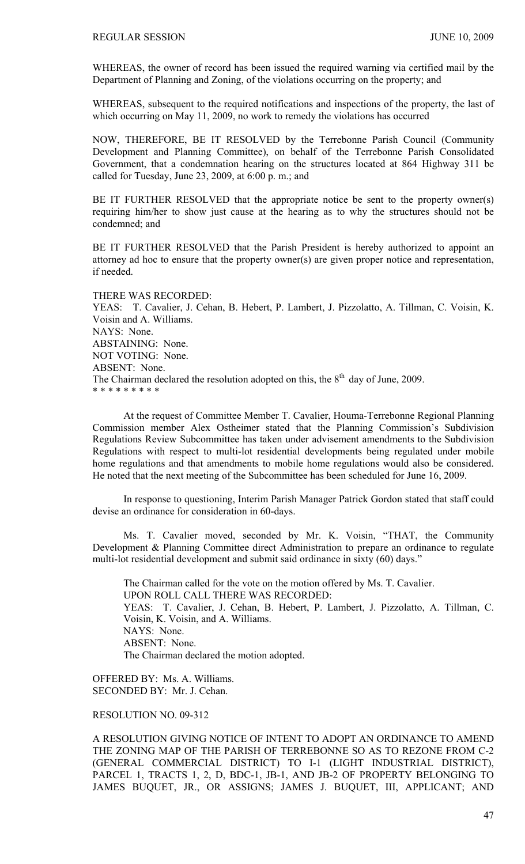WHEREAS, the owner of record has been issued the required warning via certified mail by the Department of Planning and Zoning, of the violations occurring on the property; and

WHEREAS, subsequent to the required notifications and inspections of the property, the last of which occurring on May 11, 2009, no work to remedy the violations has occurred

NOW, THEREFORE, BE IT RESOLVED by the Terrebonne Parish Council (Community Development and Planning Committee), on behalf of the Terrebonne Parish Consolidated Government, that a condemnation hearing on the structures located at 864 Highway 311 be called for Tuesday, June 23, 2009, at 6:00 p. m.; and

BE IT FURTHER RESOLVED that the appropriate notice be sent to the property owner(s) requiring him/her to show just cause at the hearing as to why the structures should not be condemned; and

BE IT FURTHER RESOLVED that the Parish President is hereby authorized to appoint an attorney ad hoc to ensure that the property owner(s) are given proper notice and representation, if needed.

THERE WAS RECORDED: YEAS: T. Cavalier, J. Cehan, B. Hebert, P. Lambert, J. Pizzolatto, A. Tillman, C. Voisin, K. Voisin and A. Williams. NAYS: None. ABSTAINING: None. NOT VOTING: None. ABSENT: None. The Chairman declared the resolution adopted on this, the 8<sup>th</sup> day of June, 2009. \* \* \* \* \* \* \* \* \*

At the request of Committee Member T. Cavalier, Houma-Terrebonne Regional Planning Commission member Alex Ostheimer stated that the Planning Commission's Subdivision Regulations Review Subcommittee has taken under advisement amendments to the Subdivision Regulations with respect to multi-lot residential developments being regulated under mobile home regulations and that amendments to mobile home regulations would also be considered. He noted that the next meeting of the Subcommittee has been scheduled for June 16, 2009.

In response to questioning, Interim Parish Manager Patrick Gordon stated that staff could devise an ordinance for consideration in 60-days.

Ms. T. Cavalier moved, seconded by Mr. K. Voisin, "THAT, the Community Development & Planning Committee direct Administration to prepare an ordinance to regulate multi-lot residential development and submit said ordinance in sixty (60) days."

The Chairman called for the vote on the motion offered by Ms. T. Cavalier. UPON ROLL CALL THERE WAS RECORDED: YEAS: T. Cavalier, J. Cehan, B. Hebert, P. Lambert, J. Pizzolatto, A. Tillman, C. Voisin, K. Voisin, and A. Williams. NAYS: None. ABSENT: None. The Chairman declared the motion adopted.

OFFERED BY: Ms. A. Williams. SECONDED BY: Mr. J. Cehan.

RESOLUTION NO. 09-312

A RESOLUTION GIVING NOTICE OF INTENT TO ADOPT AN ORDINANCE TO AMEND THE ZONING MAP OF THE PARISH OF TERREBONNE SO AS TO REZONE FROM C-2 (GENERAL COMMERCIAL DISTRICT) TO I-1 (LIGHT INDUSTRIAL DISTRICT), PARCEL 1, TRACTS 1, 2, D, BDC-1, JB-1, AND JB-2 OF PROPERTY BELONGING TO JAMES BUQUET, JR., OR ASSIGNS; JAMES J. BUQUET, III, APPLICANT; AND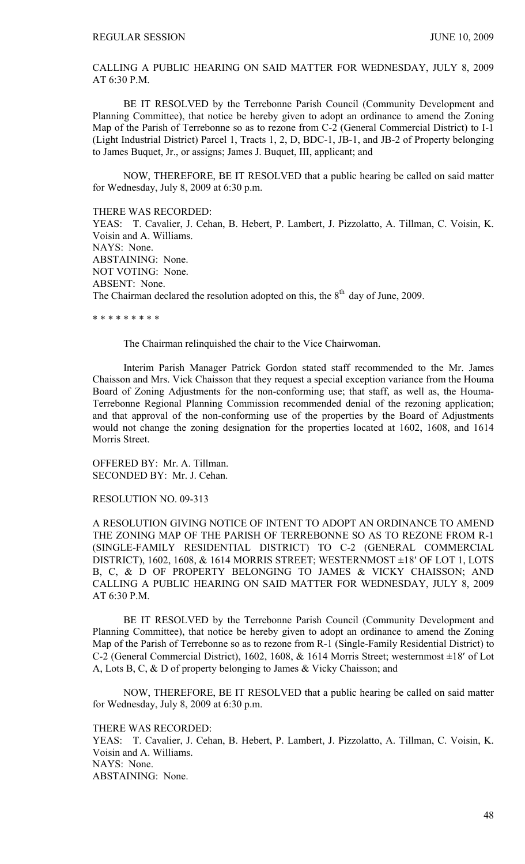CALLING A PUBLIC HEARING ON SAID MATTER FOR WEDNESDAY, JULY 8, 2009 AT 6:30 P.M.

BE IT RESOLVED by the Terrebonne Parish Council (Community Development and Planning Committee), that notice be hereby given to adopt an ordinance to amend the Zoning Map of the Parish of Terrebonne so as to rezone from C-2 (General Commercial District) to I-1 (Light Industrial District) Parcel 1, Tracts 1, 2, D, BDC-1, JB-1, and JB-2 of Property belonging to James Buquet, Jr., or assigns; James J. Buquet, III, applicant; and

NOW, THEREFORE, BE IT RESOLVED that a public hearing be called on said matter for Wednesday, July 8, 2009 at 6:30 p.m.

THERE WAS RECORDED:

YEAS: T. Cavalier, J. Cehan, B. Hebert, P. Lambert, J. Pizzolatto, A. Tillman, C. Voisin, K. Voisin and A. Williams. NAYS: None. ABSTAINING: None. NOT VOTING: None. ABSENT: None. The Chairman declared the resolution adopted on this, the  $8<sup>th</sup>$  day of June, 2009.

\* \* \* \* \* \* \* \* \*

The Chairman relinquished the chair to the Vice Chairwoman.

 Interim Parish Manager Patrick Gordon stated staff recommended to the Mr. James Chaisson and Mrs. Vick Chaisson that they request a special exception variance from the Houma Board of Zoning Adjustments for the non-conforming use; that staff, as well as, the Houma-Terrebonne Regional Planning Commission recommended denial of the rezoning application; and that approval of the non-conforming use of the properties by the Board of Adjustments would not change the zoning designation for the properties located at 1602, 1608, and 1614 Morris Street.

OFFERED BY: Mr. A. Tillman. SECONDED BY: Mr. J. Cehan.

RESOLUTION NO. 09-313

A RESOLUTION GIVING NOTICE OF INTENT TO ADOPT AN ORDINANCE TO AMEND THE ZONING MAP OF THE PARISH OF TERREBONNE SO AS TO REZONE FROM R-1 (SINGLE-FAMILY RESIDENTIAL DISTRICT) TO C-2 (GENERAL COMMERCIAL DISTRICT), 1602, 1608, & 1614 MORRIS STREET; WESTERNMOST ±18′ OF LOT 1, LOTS B, C, & D OF PROPERTY BELONGING TO JAMES & VICKY CHAISSON; AND CALLING A PUBLIC HEARING ON SAID MATTER FOR WEDNESDAY, JULY 8, 2009 AT 6:30 P.M.

BE IT RESOLVED by the Terrebonne Parish Council (Community Development and Planning Committee), that notice be hereby given to adopt an ordinance to amend the Zoning Map of the Parish of Terrebonne so as to rezone from R-1 (Single-Family Residential District) to C-2 (General Commercial District), 1602, 1608, & 1614 Morris Street; westernmost ±18′ of Lot A, Lots B, C, & D of property belonging to James & Vicky Chaisson; and

NOW, THEREFORE, BE IT RESOLVED that a public hearing be called on said matter for Wednesday, July 8, 2009 at 6:30 p.m.

THERE WAS RECORDED:

YEAS: T. Cavalier, J. Cehan, B. Hebert, P. Lambert, J. Pizzolatto, A. Tillman, C. Voisin, K. Voisin and A. Williams. NAYS: None. ABSTAINING: None.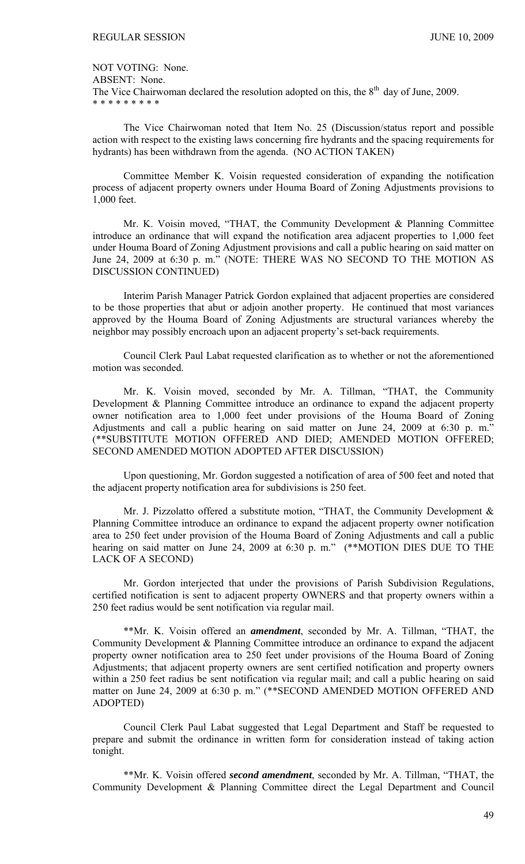NOT VOTING: None.

ABSENT: None.

The Vice Chairwoman declared the resolution adopted on this, the  $8<sup>th</sup>$  day of June, 2009. \* \* \* \* \* \* \* \* \*

 The Vice Chairwoman noted that Item No. 25 (Discussion/status report and possible action with respect to the existing laws concerning fire hydrants and the spacing requirements for hydrants) has been withdrawn from the agenda. (NO ACTION TAKEN)

 Committee Member K. Voisin requested consideration of expanding the notification process of adjacent property owners under Houma Board of Zoning Adjustments provisions to 1,000 feet.

 Mr. K. Voisin moved, "THAT, the Community Development & Planning Committee introduce an ordinance that will expand the notification area adjacent properties to 1,000 feet under Houma Board of Zoning Adjustment provisions and call a public hearing on said matter on June 24, 2009 at 6:30 p. m." (NOTE: THERE WAS NO SECOND TO THE MOTION AS DISCUSSION CONTINUED)

 Interim Parish Manager Patrick Gordon explained that adjacent properties are considered to be those properties that abut or adjoin another property. He continued that most variances approved by the Houma Board of Zoning Adjustments are structural variances whereby the neighbor may possibly encroach upon an adjacent property's set-back requirements.

 Council Clerk Paul Labat requested clarification as to whether or not the aforementioned motion was seconded.

 Mr. K. Voisin moved, seconded by Mr. A. Tillman, "THAT, the Community Development & Planning Committee introduce an ordinance to expand the adjacent property owner notification area to 1,000 feet under provisions of the Houma Board of Zoning Adjustments and call a public hearing on said matter on June 24, 2009 at 6:30 p. m." (\*\*SUBSTITUTE MOTION OFFERED AND DIED; AMENDED MOTION OFFERED; SECOND AMENDED MOTION ADOPTED AFTER DISCUSSION)

 Upon questioning, Mr. Gordon suggested a notification of area of 500 feet and noted that the adjacent property notification area for subdivisions is 250 feet.

 Mr. J. Pizzolatto offered a substitute motion, "THAT, the Community Development & Planning Committee introduce an ordinance to expand the adjacent property owner notification area to 250 feet under provision of the Houma Board of Zoning Adjustments and call a public hearing on said matter on June 24, 2009 at 6:30 p. m." (\*\*MOTION DIES DUE TO THE LACK OF A SECOND)

 Mr. Gordon interjected that under the provisions of Parish Subdivision Regulations, certified notification is sent to adjacent property OWNERS and that property owners within a 250 feet radius would be sent notification via regular mail.

 \*\*Mr. K. Voisin offered an *amendment*, seconded by Mr. A. Tillman, "THAT, the Community Development & Planning Committee introduce an ordinance to expand the adjacent property owner notification area to 250 feet under provisions of the Houma Board of Zoning Adjustments; that adjacent property owners are sent certified notification and property owners within a 250 feet radius be sent notification via regular mail; and call a public hearing on said matter on June 24, 2009 at 6:30 p. m." (\*\*SECOND AMENDED MOTION OFFERED AND ADOPTED)

 Council Clerk Paul Labat suggested that Legal Department and Staff be requested to prepare and submit the ordinance in written form for consideration instead of taking action tonight.

 \*\*Mr. K. Voisin offered *second amendment*, seconded by Mr. A. Tillman, "THAT, the Community Development & Planning Committee direct the Legal Department and Council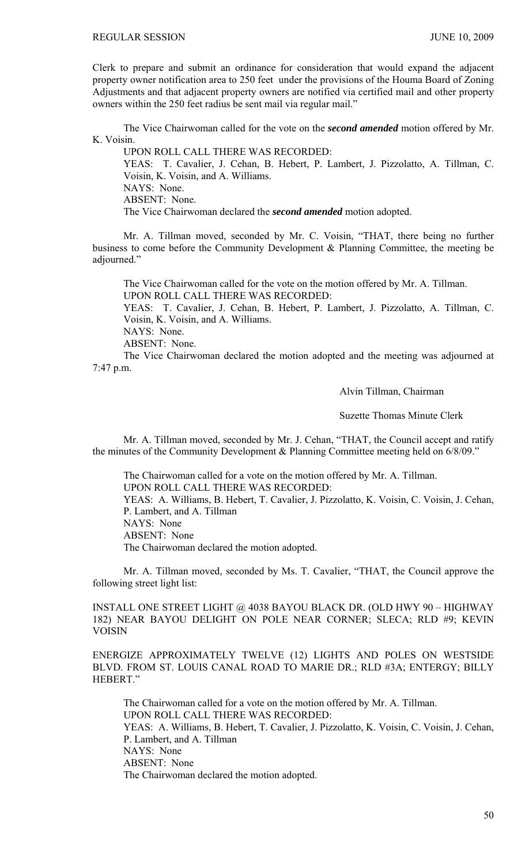Clerk to prepare and submit an ordinance for consideration that would expand the adjacent property owner notification area to 250 feet under the provisions of the Houma Board of Zoning Adjustments and that adjacent property owners are notified via certified mail and other property owners within the 250 feet radius be sent mail via regular mail."

The Vice Chairwoman called for the vote on the *second amended* motion offered by Mr. K. Voisin.

UPON ROLL CALL THERE WAS RECORDED: YEAS: T. Cavalier, J. Cehan, B. Hebert, P. Lambert, J. Pizzolatto, A. Tillman, C. Voisin, K. Voisin, and A. Williams. NAYS: None. ABSENT: None. The Vice Chairwoman declared the *second amended* motion adopted.

 Mr. A. Tillman moved, seconded by Mr. C. Voisin, "THAT, there being no further business to come before the Community Development & Planning Committee, the meeting be adjourned."

 The Vice Chairwoman called for the vote on the motion offered by Mr. A. Tillman. UPON ROLL CALL THERE WAS RECORDED:

YEAS: T. Cavalier, J. Cehan, B. Hebert, P. Lambert, J. Pizzolatto, A. Tillman, C. Voisin, K. Voisin, and A. Williams.

NAYS: None.

ABSENT: None.

 The Vice Chairwoman declared the motion adopted and the meeting was adjourned at 7:47 p.m.

Alvin Tillman, Chairman

Suzette Thomas Minute Clerk

Mr. A. Tillman moved, seconded by Mr. J. Cehan, "THAT, the Council accept and ratify the minutes of the Community Development & Planning Committee meeting held on 6/8/09."

 The Chairwoman called for a vote on the motion offered by Mr. A. Tillman. UPON ROLL CALL THERE WAS RECORDED: YEAS: A. Williams, B. Hebert, T. Cavalier, J. Pizzolatto, K. Voisin, C. Voisin, J. Cehan, P. Lambert, and A. Tillman NAYS: None ABSENT: None The Chairwoman declared the motion adopted.

 Mr. A. Tillman moved, seconded by Ms. T. Cavalier, "THAT, the Council approve the following street light list:

INSTALL ONE STREET LIGHT @ 4038 BAYOU BLACK DR. (OLD HWY 90 – HIGHWAY 182) NEAR BAYOU DELIGHT ON POLE NEAR CORNER; SLECA; RLD #9; KEVIN VOISIN

ENERGIZE APPROXIMATELY TWELVE (12) LIGHTS AND POLES ON WESTSIDE BLVD. FROM ST. LOUIS CANAL ROAD TO MARIE DR.; RLD #3A; ENTERGY; BILLY HEBERT."

The Chairwoman called for a vote on the motion offered by Mr. A. Tillman. UPON ROLL CALL THERE WAS RECORDED: YEAS: A. Williams, B. Hebert, T. Cavalier, J. Pizzolatto, K. Voisin, C. Voisin, J. Cehan, P. Lambert, and A. Tillman NAYS: None ABSENT: None The Chairwoman declared the motion adopted.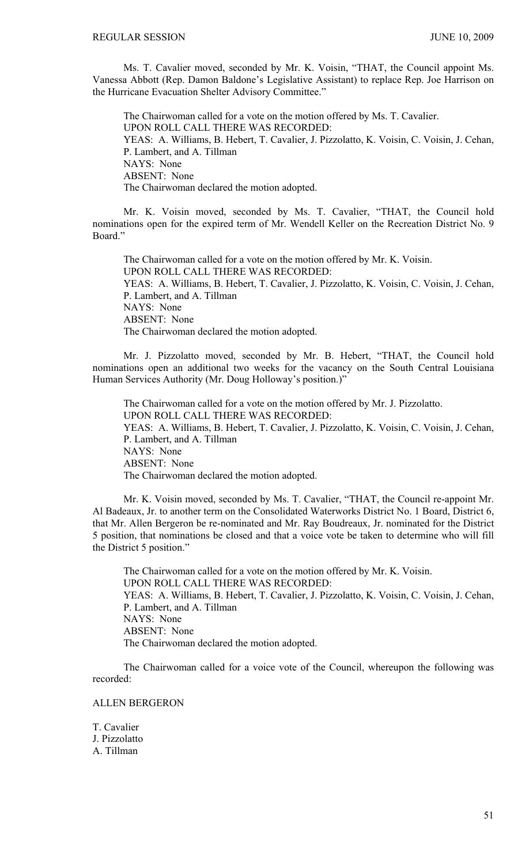Ms. T. Cavalier moved, seconded by Mr. K. Voisin, "THAT, the Council appoint Ms. Vanessa Abbott (Rep. Damon Baldone's Legislative Assistant) to replace Rep. Joe Harrison on the Hurricane Evacuation Shelter Advisory Committee."

 The Chairwoman called for a vote on the motion offered by Ms. T. Cavalier. UPON ROLL CALL THERE WAS RECORDED: YEAS: A. Williams, B. Hebert, T. Cavalier, J. Pizzolatto, K. Voisin, C. Voisin, J. Cehan, P. Lambert, and A. Tillman NAYS: None ABSENT: None The Chairwoman declared the motion adopted.

Mr. K. Voisin moved, seconded by Ms. T. Cavalier, "THAT, the Council hold nominations open for the expired term of Mr. Wendell Keller on the Recreation District No. 9 Board."

The Chairwoman called for a vote on the motion offered by Mr. K. Voisin. UPON ROLL CALL THERE WAS RECORDED: YEAS: A. Williams, B. Hebert, T. Cavalier, J. Pizzolatto, K. Voisin, C. Voisin, J. Cehan, P. Lambert, and A. Tillman NAYS: None ABSENT: None The Chairwoman declared the motion adopted.

 Mr. J. Pizzolatto moved, seconded by Mr. B. Hebert, "THAT, the Council hold nominations open an additional two weeks for the vacancy on the South Central Louisiana Human Services Authority (Mr. Doug Holloway's position.)"

 The Chairwoman called for a vote on the motion offered by Mr. J. Pizzolatto. UPON ROLL CALL THERE WAS RECORDED: YEAS: A. Williams, B. Hebert, T. Cavalier, J. Pizzolatto, K. Voisin, C. Voisin, J. Cehan, P. Lambert, and A. Tillman NAYS: None ABSENT: None The Chairwoman declared the motion adopted.

 Mr. K. Voisin moved, seconded by Ms. T. Cavalier, "THAT, the Council re-appoint Mr. Al Badeaux, Jr. to another term on the Consolidated Waterworks District No. 1 Board, District 6, that Mr. Allen Bergeron be re-nominated and Mr. Ray Boudreaux, Jr. nominated for the District 5 position, that nominations be closed and that a voice vote be taken to determine who will fill the District 5 position."

 The Chairwoman called for a vote on the motion offered by Mr. K. Voisin. UPON ROLL CALL THERE WAS RECORDED: YEAS: A. Williams, B. Hebert, T. Cavalier, J. Pizzolatto, K. Voisin, C. Voisin, J. Cehan, P. Lambert, and A. Tillman NAYS: None ABSENT: None The Chairwoman declared the motion adopted.

 The Chairwoman called for a voice vote of the Council, whereupon the following was recorded:

### ALLEN BERGERON

T. Cavalier J. Pizzolatto A. Tillman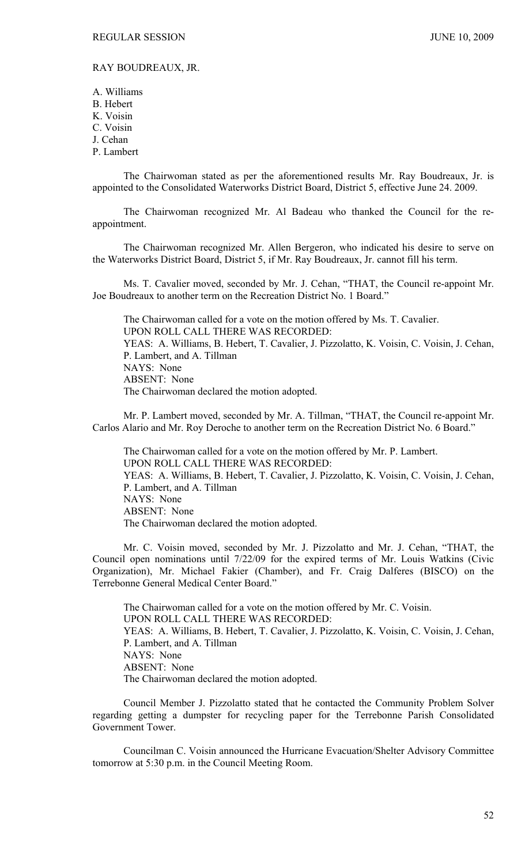# RAY BOUDREAUX, JR.

A. Williams B. Hebert K. Voisin C. Voisin J. Cehan P. Lambert

 The Chairwoman stated as per the aforementioned results Mr. Ray Boudreaux, Jr. is appointed to the Consolidated Waterworks District Board, District 5, effective June 24. 2009.

 The Chairwoman recognized Mr. Al Badeau who thanked the Council for the reappointment.

 The Chairwoman recognized Mr. Allen Bergeron, who indicated his desire to serve on the Waterworks District Board, District 5, if Mr. Ray Boudreaux, Jr. cannot fill his term.

 Ms. T. Cavalier moved, seconded by Mr. J. Cehan, "THAT, the Council re-appoint Mr. Joe Boudreaux to another term on the Recreation District No. 1 Board."

 The Chairwoman called for a vote on the motion offered by Ms. T. Cavalier. UPON ROLL CALL THERE WAS RECORDED: YEAS: A. Williams, B. Hebert, T. Cavalier, J. Pizzolatto, K. Voisin, C. Voisin, J. Cehan, P. Lambert, and A. Tillman NAYS: None ABSENT: None The Chairwoman declared the motion adopted.

 Mr. P. Lambert moved, seconded by Mr. A. Tillman, "THAT, the Council re-appoint Mr. Carlos Alario and Mr. Roy Deroche to another term on the Recreation District No. 6 Board."

 The Chairwoman called for a vote on the motion offered by Mr. P. Lambert. UPON ROLL CALL THERE WAS RECORDED: YEAS: A. Williams, B. Hebert, T. Cavalier, J. Pizzolatto, K. Voisin, C. Voisin, J. Cehan, P. Lambert, and A. Tillman NAYS: None ABSENT: None The Chairwoman declared the motion adopted.

 Mr. C. Voisin moved, seconded by Mr. J. Pizzolatto and Mr. J. Cehan, "THAT, the Council open nominations until 7/22/09 for the expired terms of Mr. Louis Watkins (Civic Organization), Mr. Michael Fakier (Chamber), and Fr. Craig Dalferes (BISCO) on the Terrebonne General Medical Center Board."

 The Chairwoman called for a vote on the motion offered by Mr. C. Voisin. UPON ROLL CALL THERE WAS RECORDED: YEAS: A. Williams, B. Hebert, T. Cavalier, J. Pizzolatto, K. Voisin, C. Voisin, J. Cehan, P. Lambert, and A. Tillman NAYS: None ABSENT: None The Chairwoman declared the motion adopted.

 Council Member J. Pizzolatto stated that he contacted the Community Problem Solver regarding getting a dumpster for recycling paper for the Terrebonne Parish Consolidated Government Tower.

 Councilman C. Voisin announced the Hurricane Evacuation/Shelter Advisory Committee tomorrow at 5:30 p.m. in the Council Meeting Room.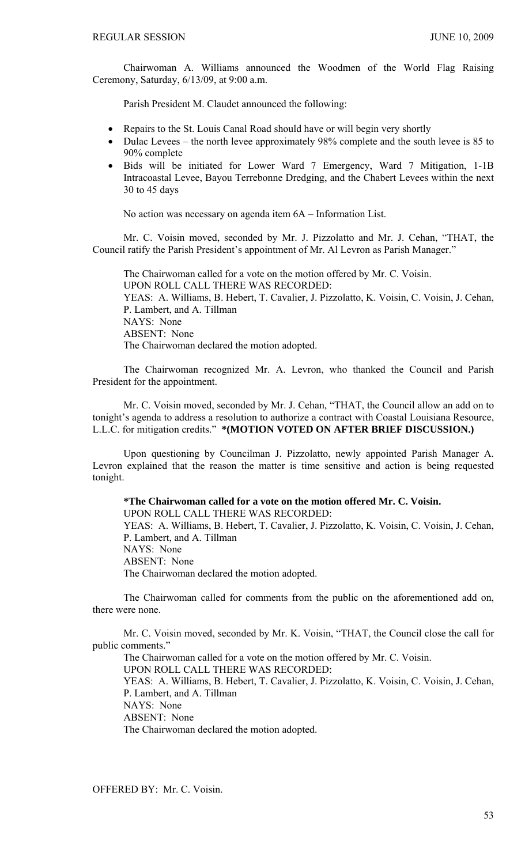Chairwoman A. Williams announced the Woodmen of the World Flag Raising Ceremony, Saturday, 6/13/09, at 9:00 a.m.

Parish President M. Claudet announced the following:

- Repairs to the St. Louis Canal Road should have or will begin very shortly
- Dulac Levees the north levee approximately 98% complete and the south levee is 85 to 90% complete
- Bids will be initiated for Lower Ward 7 Emergency, Ward 7 Mitigation, 1-1B Intracoastal Levee, Bayou Terrebonne Dredging, and the Chabert Levees within the next 30 to 45 days

No action was necessary on agenda item 6A – Information List.

 Mr. C. Voisin moved, seconded by Mr. J. Pizzolatto and Mr. J. Cehan, "THAT, the Council ratify the Parish President's appointment of Mr. Al Levron as Parish Manager."

 The Chairwoman called for a vote on the motion offered by Mr. C. Voisin. UPON ROLL CALL THERE WAS RECORDED: YEAS: A. Williams, B. Hebert, T. Cavalier, J. Pizzolatto, K. Voisin, C. Voisin, J. Cehan, P. Lambert, and A. Tillman NAYS: None ABSENT: None The Chairwoman declared the motion adopted.

 The Chairwoman recognized Mr. A. Levron, who thanked the Council and Parish President for the appointment.

 Mr. C. Voisin moved, seconded by Mr. J. Cehan, "THAT, the Council allow an add on to tonight's agenda to address a resolution to authorize a contract with Coastal Louisiana Resource, L.L.C. for mitigation credits." **\*(MOTION VOTED ON AFTER BRIEF DISCUSSION.)** 

 Upon questioning by Councilman J. Pizzolatto, newly appointed Parish Manager A. Levron explained that the reason the matter is time sensitive and action is being requested tonight.

**\*The Chairwoman called for a vote on the motion offered Mr. C. Voisin.**  UPON ROLL CALL THERE WAS RECORDED: YEAS: A. Williams, B. Hebert, T. Cavalier, J. Pizzolatto, K. Voisin, C. Voisin, J. Cehan, P. Lambert, and A. Tillman NAYS: None ABSENT: None The Chairwoman declared the motion adopted.

 The Chairwoman called for comments from the public on the aforementioned add on, there were none.

 Mr. C. Voisin moved, seconded by Mr. K. Voisin, "THAT, the Council close the call for public comments."

The Chairwoman called for a vote on the motion offered by Mr. C. Voisin.

UPON ROLL CALL THERE WAS RECORDED:

YEAS: A. Williams, B. Hebert, T. Cavalier, J. Pizzolatto, K. Voisin, C. Voisin, J. Cehan, P. Lambert, and A. Tillman

NAYS: None

ABSENT: None

The Chairwoman declared the motion adopted.

OFFERED BY: Mr. C. Voisin.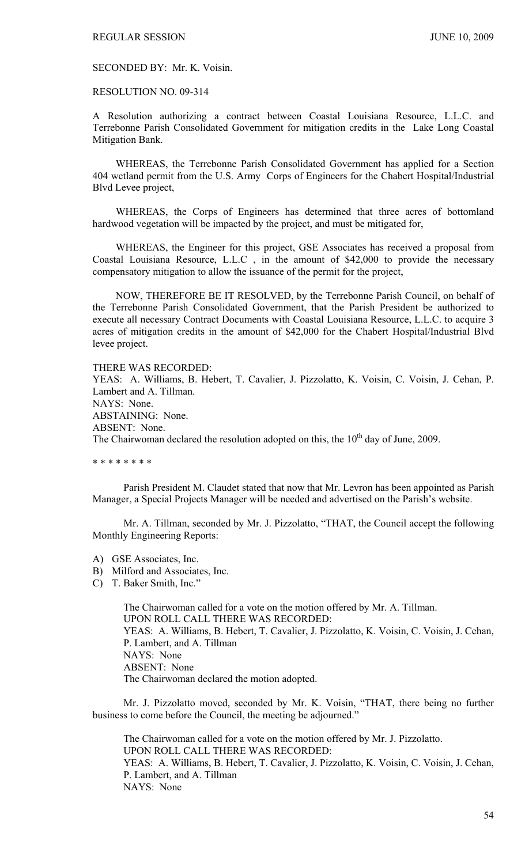SECONDED BY: Mr. K. Voisin.

### RESOLUTION NO. 09-314

A Resolution authorizing a contract between Coastal Louisiana Resource, L.L.C. and Terrebonne Parish Consolidated Government for mitigation credits in the Lake Long Coastal Mitigation Bank.

WHEREAS, the Terrebonne Parish Consolidated Government has applied for a Section 404 wetland permit from the U.S. Army Corps of Engineers for the Chabert Hospital/Industrial Blvd Levee project,

WHEREAS, the Corps of Engineers has determined that three acres of bottomland hardwood vegetation will be impacted by the project, and must be mitigated for,

WHEREAS, the Engineer for this project, GSE Associates has received a proposal from Coastal Louisiana Resource, L.L.C , in the amount of \$42,000 to provide the necessary compensatory mitigation to allow the issuance of the permit for the project,

NOW, THEREFORE BE IT RESOLVED, by the Terrebonne Parish Council, on behalf of the Terrebonne Parish Consolidated Government, that the Parish President be authorized to execute all necessary Contract Documents with Coastal Louisiana Resource, L.L.C. to acquire 3 acres of mitigation credits in the amount of \$42,000 for the Chabert Hospital/Industrial Blvd levee project.

### THERE WAS RECORDED:

YEAS: A. Williams, B. Hebert, T. Cavalier, J. Pizzolatto, K. Voisin, C. Voisin, J. Cehan, P. Lambert and A. Tillman. NAYS: None. ABSTAINING: None. ABSENT: None. The Chairwoman declared the resolution adopted on this, the  $10<sup>th</sup>$  day of June, 2009.

\* \* \* \* \* \* \* \*

 Parish President M. Claudet stated that now that Mr. Levron has been appointed as Parish Manager, a Special Projects Manager will be needed and advertised on the Parish's website.

 Mr. A. Tillman, seconded by Mr. J. Pizzolatto, "THAT, the Council accept the following Monthly Engineering Reports:

- A) GSE Associates, Inc.
- B) Milford and Associates, Inc.
- C) T. Baker Smith, Inc."

 The Chairwoman called for a vote on the motion offered by Mr. A. Tillman. UPON ROLL CALL THERE WAS RECORDED: YEAS: A. Williams, B. Hebert, T. Cavalier, J. Pizzolatto, K. Voisin, C. Voisin, J. Cehan, P. Lambert, and A. Tillman NAYS: None ABSENT: None The Chairwoman declared the motion adopted.

 Mr. J. Pizzolatto moved, seconded by Mr. K. Voisin, "THAT, there being no further business to come before the Council, the meeting be adjourned."

 The Chairwoman called for a vote on the motion offered by Mr. J. Pizzolatto. UPON ROLL CALL THERE WAS RECORDED: YEAS: A. Williams, B. Hebert, T. Cavalier, J. Pizzolatto, K. Voisin, C. Voisin, J. Cehan, P. Lambert, and A. Tillman NAYS: None